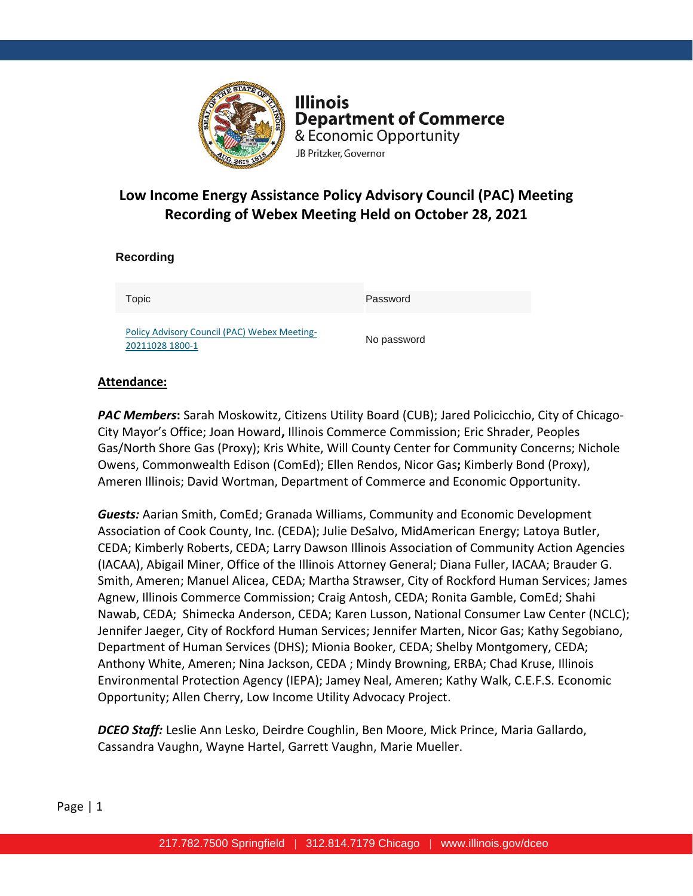

**Illinois Department of Commerce** & Economic Opportunity JB Pritzker, Governor

# **Low Income Energy Assistance Policy Advisory Council (PAC) Meeting Recording of Webex Meeting Held on October 28, 2021**

| Recording                                                              |             |
|------------------------------------------------------------------------|-------------|
| Topic                                                                  | Password    |
| <b>Policy Advisory Council (PAC) Webex Meeting-</b><br>20211028 1800-1 | No password |

### **Attendance:**

*PAC Members***:** Sarah Moskowitz, Citizens Utility Board (CUB); Jared Policicchio, City of Chicago-City Mayor's Office; Joan Howard**,** Illinois Commerce Commission; Eric Shrader, Peoples Gas/North Shore Gas (Proxy); Kris White, Will County Center for Community Concerns; Nichole Owens, Commonwealth Edison (ComEd); Ellen Rendos, Nicor Gas**;** Kimberly Bond (Proxy), Ameren Illinois; David Wortman, Department of Commerce and Economic Opportunity.

*Guests:* Aarian Smith, ComEd; Granada Williams, Community and Economic Development Association of Cook County, Inc. (CEDA); Julie DeSalvo, MidAmerican Energy; Latoya Butler, CEDA; Kimberly Roberts, CEDA; Larry Dawson Illinois Association of Community Action Agencies (IACAA), Abigail Miner, Office of the Illinois Attorney General; Diana Fuller, IACAA; Brauder G. Smith, Ameren; Manuel Alicea, CEDA; Martha Strawser, City of Rockford Human Services; James Agnew, Illinois Commerce Commission; Craig Antosh, CEDA; Ronita Gamble, ComEd; Shahi Nawab, CEDA; Shimecka Anderson, CEDA; Karen Lusson, National Consumer Law Center (NCLC); Jennifer Jaeger, City of Rockford Human Services; Jennifer Marten, Nicor Gas; Kathy Segobiano, Department of Human Services (DHS); Mionia Booker, CEDA; Shelby Montgomery, CEDA; Anthony White, Ameren; Nina Jackson, CEDA ; Mindy Browning, ERBA; Chad Kruse, Illinois Environmental Protection Agency (IEPA); Jamey Neal, Ameren; Kathy Walk, C.E.F.S. Economic Opportunity; Allen Cherry, Low Income Utility Advocacy Project.

*DCEO Staff:* Leslie Ann Lesko, Deirdre Coughlin, Ben Moore, Mick Prince, Maria Gallardo, Cassandra Vaughn, Wayne Hartel, Garrett Vaughn, Marie Mueller.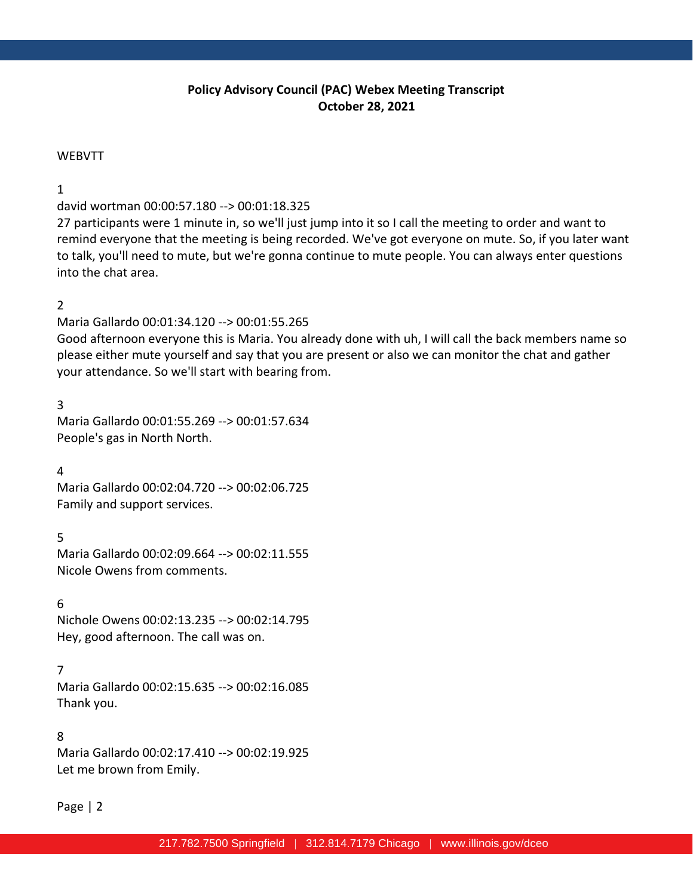# **Policy Advisory Council (PAC) Webex Meeting Transcript October 28, 2021**

#### **WEBVTT**

#### 1

david wortman 00:00:57.180 --> 00:01:18.325

27 participants were 1 minute in, so we'll just jump into it so I call the meeting to order and want to remind everyone that the meeting is being recorded. We've got everyone on mute. So, if you later want to talk, you'll need to mute, but we're gonna continue to mute people. You can always enter questions into the chat area.

#### 2

Maria Gallardo 00:01:34.120 --> 00:01:55.265

Good afternoon everyone this is Maria. You already done with uh, I will call the back members name so please either mute yourself and say that you are present or also we can monitor the chat and gather your attendance. So we'll start with bearing from.

3

Maria Gallardo 00:01:55.269 --> 00:01:57.634 People's gas in North North.

4

Maria Gallardo 00:02:04.720 --> 00:02:06.725 Family and support services.

5

Maria Gallardo 00:02:09.664 --> 00:02:11.555 Nicole Owens from comments.

6

Nichole Owens 00:02:13.235 --> 00:02:14.795 Hey, good afternoon. The call was on.

#### 7

Maria Gallardo 00:02:15.635 --> 00:02:16.085 Thank you.

#### 8

Maria Gallardo 00:02:17.410 --> 00:02:19.925 Let me brown from Emily.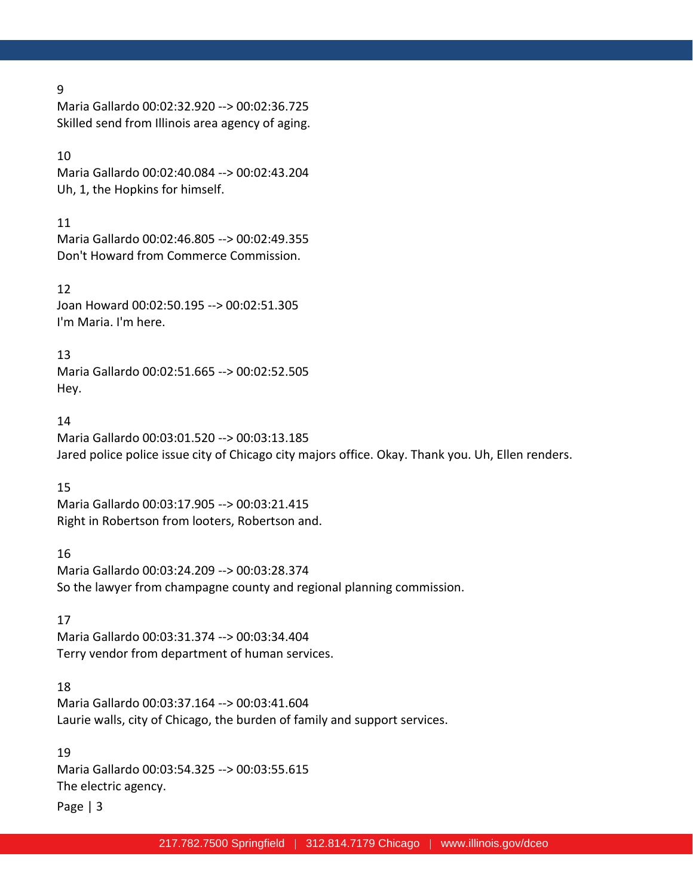Maria Gallardo 00:02:32.920 --> 00:02:36.725 Skilled send from Illinois area agency of aging.

### 10

Maria Gallardo 00:02:40.084 --> 00:02:43.204 Uh, 1, the Hopkins for himself.

### 11

Maria Gallardo 00:02:46.805 --> 00:02:49.355 Don't Howard from Commerce Commission.

#### 12

Joan Howard 00:02:50.195 --> 00:02:51.305 I'm Maria. I'm here.

### 13

Maria Gallardo 00:02:51.665 --> 00:02:52.505 Hey.

### 14

Maria Gallardo 00:03:01.520 --> 00:03:13.185 Jared police police issue city of Chicago city majors office. Okay. Thank you. Uh, Ellen renders.

# 15

Maria Gallardo 00:03:17.905 --> 00:03:21.415 Right in Robertson from looters, Robertson and.

# 16

Maria Gallardo 00:03:24.209 --> 00:03:28.374 So the lawyer from champagne county and regional planning commission.

# 17

Maria Gallardo 00:03:31.374 --> 00:03:34.404 Terry vendor from department of human services.

# 18

Maria Gallardo 00:03:37.164 --> 00:03:41.604 Laurie walls, city of Chicago, the burden of family and support services.

### 19

Maria Gallardo 00:03:54.325 --> 00:03:55.615 The electric agency.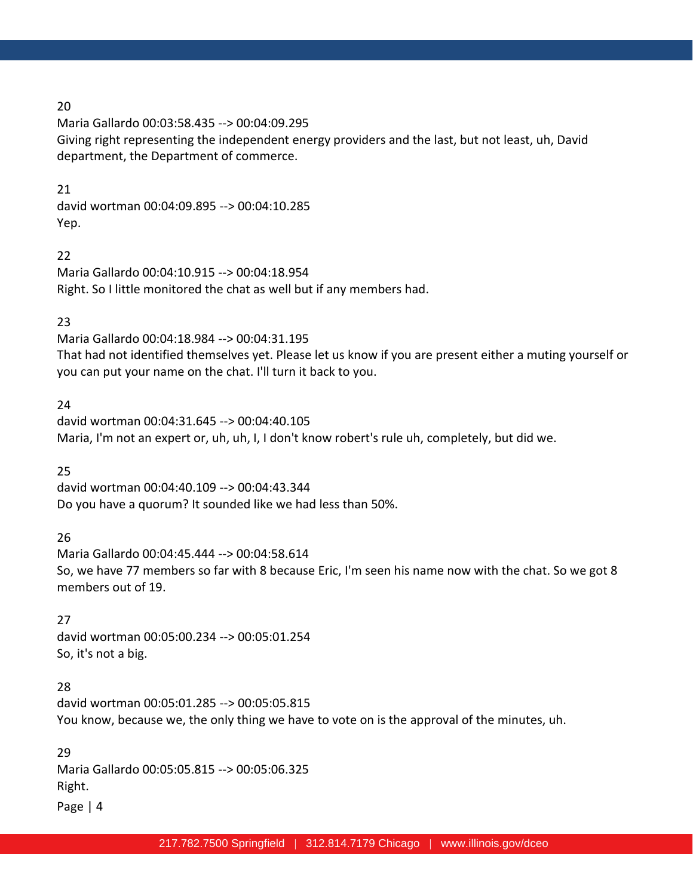Maria Gallardo 00:03:58.435 --> 00:04:09.295 Giving right representing the independent energy providers and the last, but not least, uh, David department, the Department of commerce.

#### 21

david wortman 00:04:09.895 --> 00:04:10.285 Yep.

#### 22

Maria Gallardo 00:04:10.915 --> 00:04:18.954 Right. So I little monitored the chat as well but if any members had.

### 23

Maria Gallardo 00:04:18.984 --> 00:04:31.195 That had not identified themselves yet. Please let us know if you are present either a muting yourself or you can put your name on the chat. I'll turn it back to you.

### 24

david wortman 00:04:31.645 --> 00:04:40.105 Maria, I'm not an expert or, uh, uh, I, I don't know robert's rule uh, completely, but did we.

# 25

david wortman 00:04:40.109 --> 00:04:43.344 Do you have a quorum? It sounded like we had less than 50%.

# 26

Maria Gallardo 00:04:45.444 --> 00:04:58.614 So, we have 77 members so far with 8 because Eric, I'm seen his name now with the chat. So we got 8 members out of 19.

# 27

david wortman 00:05:00.234 --> 00:05:01.254 So, it's not a big.

# 28

david wortman 00:05:01.285 --> 00:05:05.815 You know, because we, the only thing we have to vote on is the approval of the minutes, uh.

### 29

Maria Gallardo 00:05:05.815 --> 00:05:06.325 Right.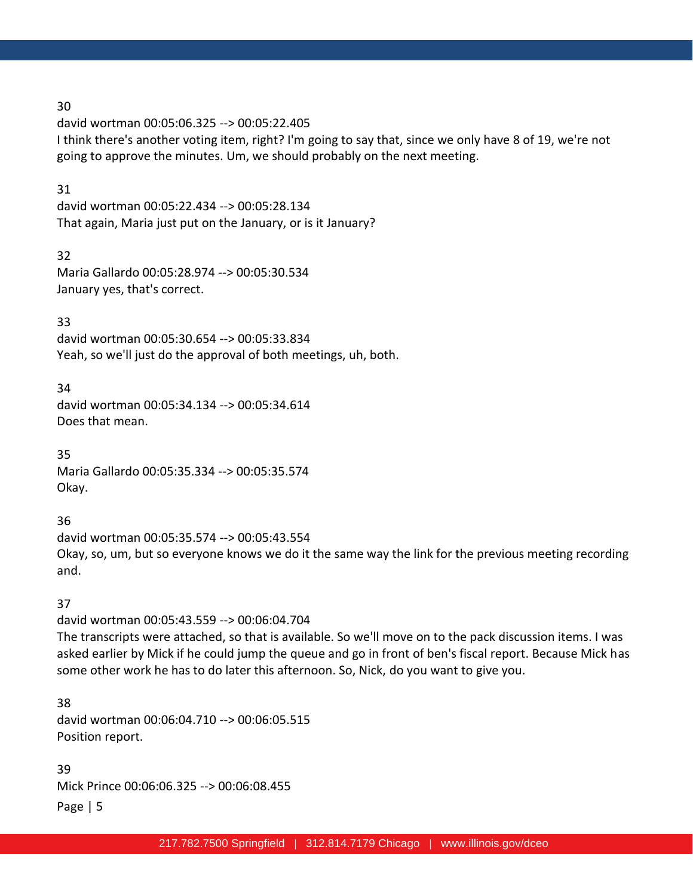david wortman 00:05:06.325 --> 00:05:22.405 I think there's another voting item, right? I'm going to say that, since we only have 8 of 19, we're not going to approve the minutes. Um, we should probably on the next meeting.

### 31

david wortman 00:05:22.434 --> 00:05:28.134 That again, Maria just put on the January, or is it January?

### 32

Maria Gallardo 00:05:28.974 --> 00:05:30.534 January yes, that's correct.

# 33

david wortman 00:05:30.654 --> 00:05:33.834 Yeah, so we'll just do the approval of both meetings, uh, both.

# 34

david wortman 00:05:34.134 --> 00:05:34.614 Does that mean.

### 35 Maria Gallardo 00:05:35.334 --> 00:05:35.574 Okay.

# 36

david wortman 00:05:35.574 --> 00:05:43.554 Okay, so, um, but so everyone knows we do it the same way the link for the previous meeting recording and.

# 37

david wortman 00:05:43.559 --> 00:06:04.704 The transcripts were attached, so that is available. So we'll move on to the pack discussion items. I was asked earlier by Mick if he could jump the queue and go in front of ben's fiscal report. Because Mick has some other work he has to do later this afternoon. So, Nick, do you want to give you.

# 38

david wortman 00:06:04.710 --> 00:06:05.515 Position report.

# 39

Mick Prince 00:06:06.325 --> 00:06:08.455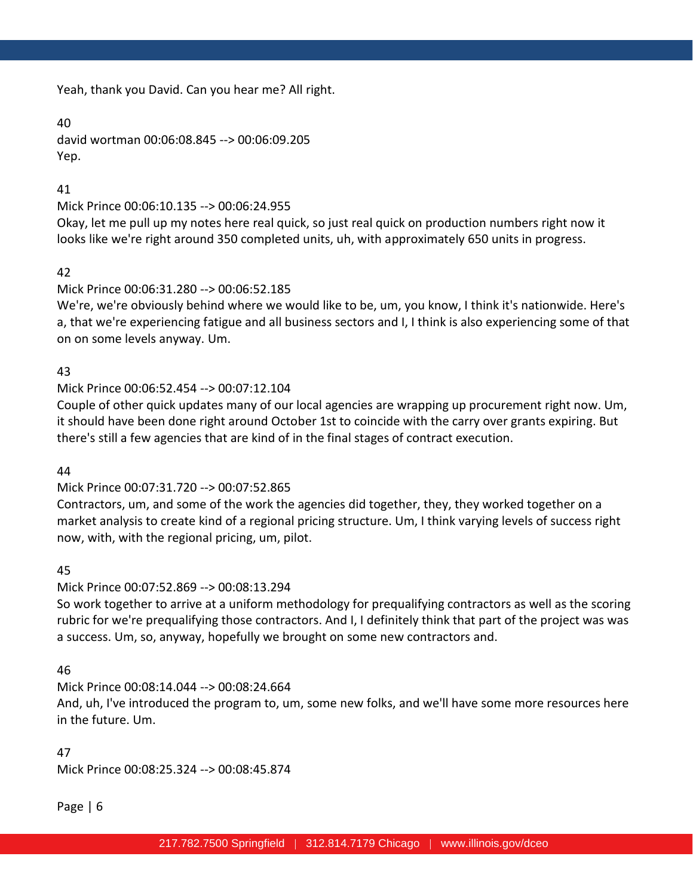Yeah, thank you David. Can you hear me? All right.

### 40

david wortman 00:06:08.845 --> 00:06:09.205 Yep.

# 41

# Mick Prince 00:06:10.135 --> 00:06:24.955

Okay, let me pull up my notes here real quick, so just real quick on production numbers right now it looks like we're right around 350 completed units, uh, with approximately 650 units in progress.

# 42

# Mick Prince 00:06:31.280 --> 00:06:52.185

We're, we're obviously behind where we would like to be, um, you know, I think it's nationwide. Here's a, that we're experiencing fatigue and all business sectors and I, I think is also experiencing some of that on on some levels anyway. Um.

# 43

# Mick Prince 00:06:52.454 --> 00:07:12.104

Couple of other quick updates many of our local agencies are wrapping up procurement right now. Um, it should have been done right around October 1st to coincide with the carry over grants expiring. But there's still a few agencies that are kind of in the final stages of contract execution.

#### 44

# Mick Prince 00:07:31.720 --> 00:07:52.865

Contractors, um, and some of the work the agencies did together, they, they worked together on a market analysis to create kind of a regional pricing structure. Um, I think varying levels of success right now, with, with the regional pricing, um, pilot.

# 45

# Mick Prince 00:07:52.869 --> 00:08:13.294

So work together to arrive at a uniform methodology for prequalifying contractors as well as the scoring rubric for we're prequalifying those contractors. And I, I definitely think that part of the project was was a success. Um, so, anyway, hopefully we brought on some new contractors and.

# 46

# Mick Prince 00:08:14.044 --> 00:08:24.664

And, uh, I've introduced the program to, um, some new folks, and we'll have some more resources here in the future. Um.

#### 47

Mick Prince 00:08:25.324 --> 00:08:45.874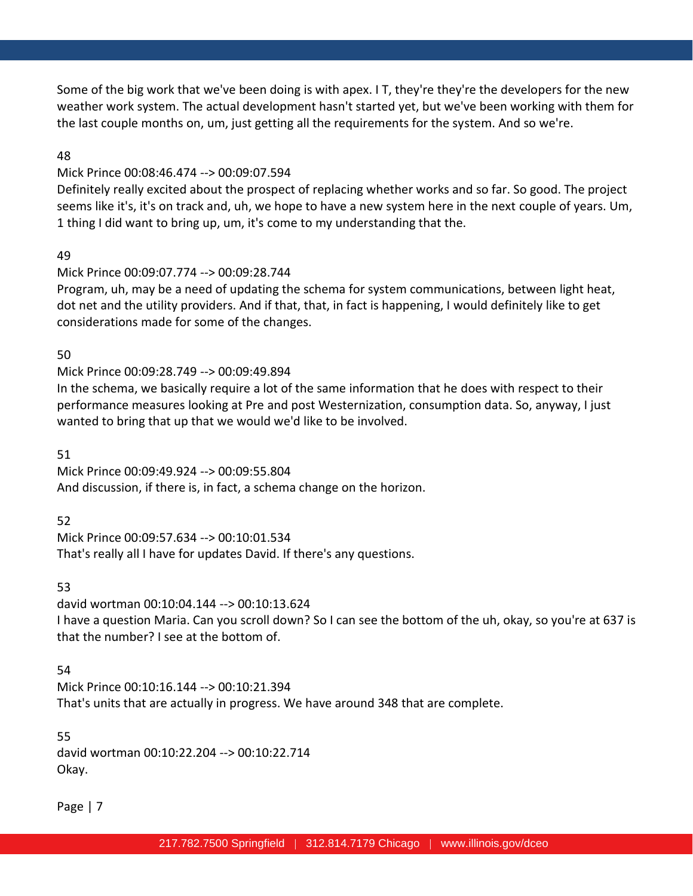Some of the big work that we've been doing is with apex. I T, they're they're the developers for the new weather work system. The actual development hasn't started yet, but we've been working with them for the last couple months on, um, just getting all the requirements for the system. And so we're.

### 48

### Mick Prince 00:08:46.474 --> 00:09:07.594

Definitely really excited about the prospect of replacing whether works and so far. So good. The project seems like it's, it's on track and, uh, we hope to have a new system here in the next couple of years. Um, 1 thing I did want to bring up, um, it's come to my understanding that the.

### 49

# Mick Prince 00:09:07.774 --> 00:09:28.744

Program, uh, may be a need of updating the schema for system communications, between light heat, dot net and the utility providers. And if that, that, in fact is happening, I would definitely like to get considerations made for some of the changes.

# 50

# Mick Prince 00:09:28.749 --> 00:09:49.894

In the schema, we basically require a lot of the same information that he does with respect to their performance measures looking at Pre and post Westernization, consumption data. So, anyway, I just wanted to bring that up that we would we'd like to be involved.

### 51

Mick Prince 00:09:49.924 --> 00:09:55.804 And discussion, if there is, in fact, a schema change on the horizon.

# 52

Mick Prince 00:09:57.634 --> 00:10:01.534 That's really all I have for updates David. If there's any questions.

#### 53

david wortman 00:10:04.144 --> 00:10:13.624 I have a question Maria. Can you scroll down? So I can see the bottom of the uh, okay, so you're at 637 is that the number? I see at the bottom of.

# 54

Mick Prince 00:10:16.144 --> 00:10:21.394 That's units that are actually in progress. We have around 348 that are complete.

#### 55

david wortman 00:10:22.204 --> 00:10:22.714 Okay.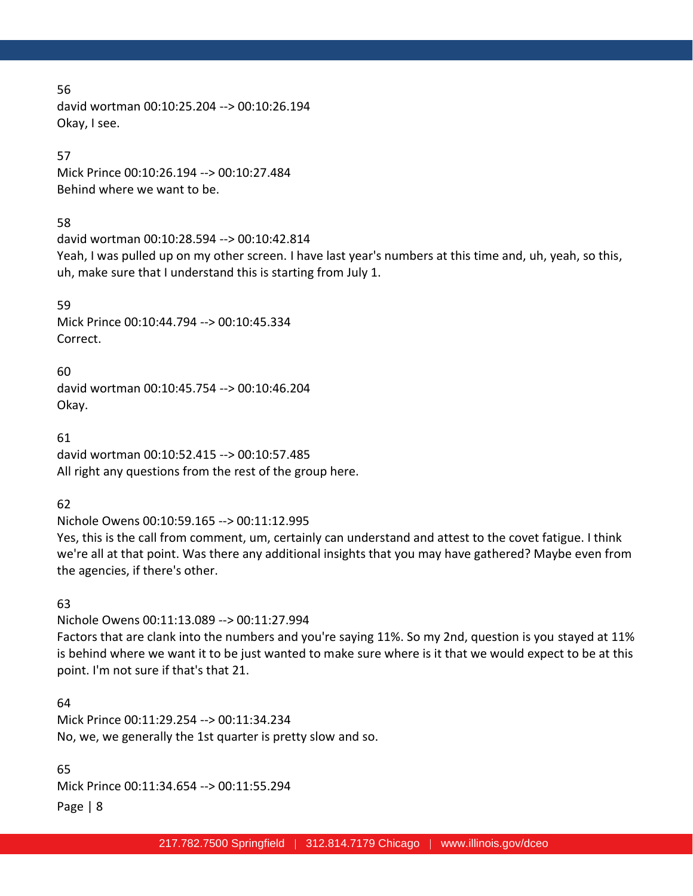david wortman 00:10:25.204 --> 00:10:26.194 Okay, I see.

### 57

Mick Prince 00:10:26.194 --> 00:10:27.484 Behind where we want to be.

### 58

david wortman 00:10:28.594 --> 00:10:42.814

Yeah, I was pulled up on my other screen. I have last year's numbers at this time and, uh, yeah, so this, uh, make sure that I understand this is starting from July 1.

59 Mick Prince 00:10:44.794 --> 00:10:45.334 Correct.

60 david wortman 00:10:45.754 --> 00:10:46.204 Okay.

61 david wortman 00:10:52.415 --> 00:10:57.485 All right any questions from the rest of the group here.

62

Nichole Owens 00:10:59.165 --> 00:11:12.995

Yes, this is the call from comment, um, certainly can understand and attest to the covet fatigue. I think we're all at that point. Was there any additional insights that you may have gathered? Maybe even from the agencies, if there's other.

# 63

Nichole Owens 00:11:13.089 --> 00:11:27.994

Factors that are clank into the numbers and you're saying 11%. So my 2nd, question is you stayed at 11% is behind where we want it to be just wanted to make sure where is it that we would expect to be at this point. I'm not sure if that's that 21.

# 64

Mick Prince 00:11:29.254 --> 00:11:34.234 No, we, we generally the 1st quarter is pretty slow and so.

65 Mick Prince 00:11:34.654 --> 00:11:55.294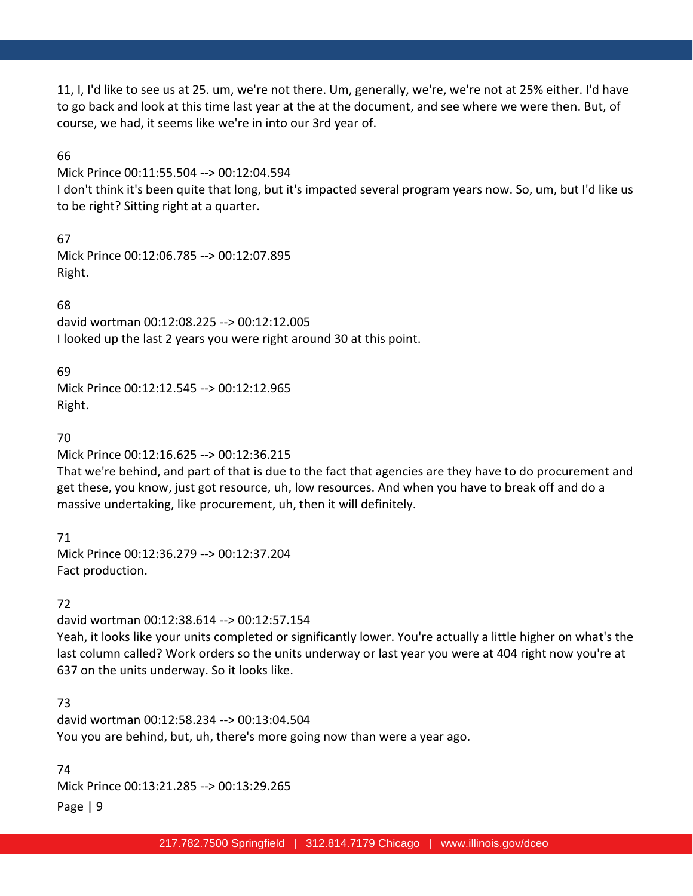11, I, I'd like to see us at 25. um, we're not there. Um, generally, we're, we're not at 25% either. I'd have to go back and look at this time last year at the at the document, and see where we were then. But, of course, we had, it seems like we're in into our 3rd year of.

### 66

Mick Prince 00:11:55.504 --> 00:12:04.594

I don't think it's been quite that long, but it's impacted several program years now. So, um, but I'd like us to be right? Sitting right at a quarter.

67 Mick Prince 00:12:06.785 --> 00:12:07.895 Right.

68 david wortman 00:12:08.225 --> 00:12:12.005 I looked up the last 2 years you were right around 30 at this point.

69

Mick Prince 00:12:12.545 --> 00:12:12.965 Right.

### 70

Mick Prince 00:12:16.625 --> 00:12:36.215

That we're behind, and part of that is due to the fact that agencies are they have to do procurement and get these, you know, just got resource, uh, low resources. And when you have to break off and do a massive undertaking, like procurement, uh, then it will definitely.

71 Mick Prince 00:12:36.279 --> 00:12:37.204 Fact production.

# 72

david wortman 00:12:38.614 --> 00:12:57.154 Yeah, it looks like your units completed or significantly lower. You're actually a little higher on what's the last column called? Work orders so the units underway or last year you were at 404 right now you're at 637 on the units underway. So it looks like.

# 73

david wortman 00:12:58.234 --> 00:13:04.504 You you are behind, but, uh, there's more going now than were a year ago.

Page | 9 74 Mick Prince 00:13:21.285 --> 00:13:29.265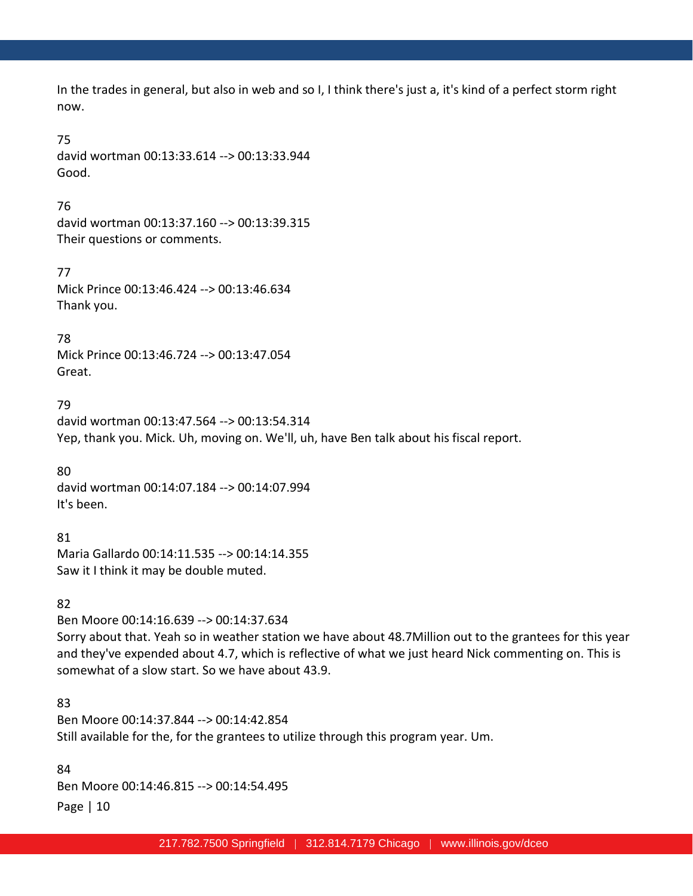In the trades in general, but also in web and so I, I think there's just a, it's kind of a perfect storm right now.

### 75

david wortman 00:13:33.614 --> 00:13:33.944 Good.

### 76

david wortman 00:13:37.160 --> 00:13:39.315 Their questions or comments.

77 Mick Prince 00:13:46.424 --> 00:13:46.634 Thank you.

78

Mick Prince 00:13:46.724 --> 00:13:47.054 Great.

# 79

david wortman 00:13:47.564 --> 00:13:54.314 Yep, thank you. Mick. Uh, moving on. We'll, uh, have Ben talk about his fiscal report.

80 david wortman 00:14:07.184 --> 00:14:07.994 It's been.

81 Maria Gallardo 00:14:11.535 --> 00:14:14.355 Saw it I think it may be double muted.

# 82

Ben Moore 00:14:16.639 --> 00:14:37.634

Sorry about that. Yeah so in weather station we have about 48.7Million out to the grantees for this year and they've expended about 4.7, which is reflective of what we just heard Nick commenting on. This is somewhat of a slow start. So we have about 43.9.

# 83

Ben Moore 00:14:37.844 --> 00:14:42.854 Still available for the, for the grantees to utilize through this program year. Um.

Page | 10 84 Ben Moore 00:14:46.815 --> 00:14:54.495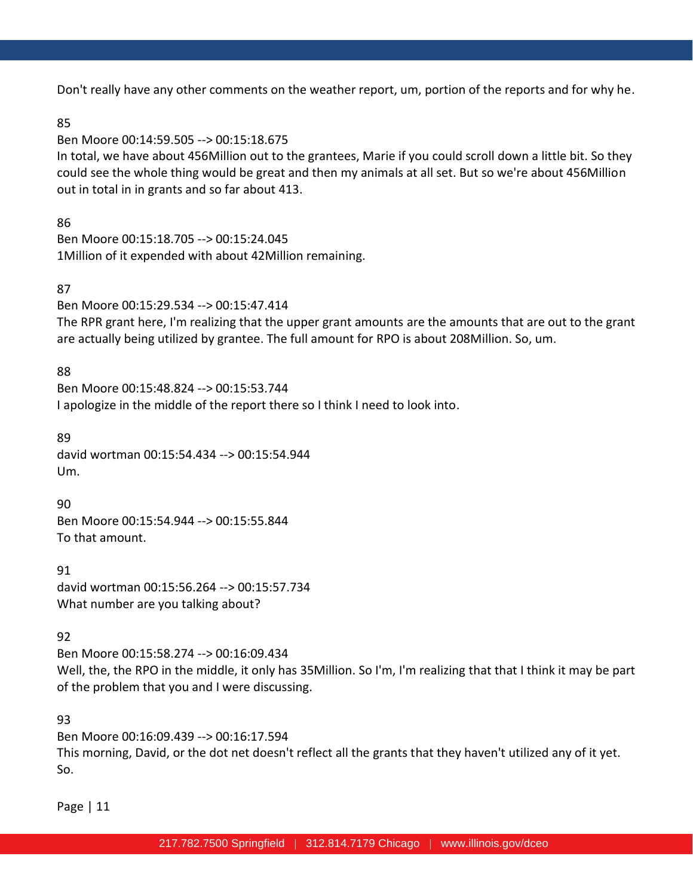Don't really have any other comments on the weather report, um, portion of the reports and for why he.

#### 85

Ben Moore 00:14:59.505 --> 00:15:18.675

In total, we have about 456Million out to the grantees, Marie if you could scroll down a little bit. So they could see the whole thing would be great and then my animals at all set. But so we're about 456Million out in total in in grants and so far about 413.

### 86

Ben Moore 00:15:18.705 --> 00:15:24.045 1Million of it expended with about 42Million remaining.

### 87

Ben Moore 00:15:29.534 --> 00:15:47.414

The RPR grant here, I'm realizing that the upper grant amounts are the amounts that are out to the grant are actually being utilized by grantee. The full amount for RPO is about 208Million. So, um.

### 88

Ben Moore 00:15:48.824 --> 00:15:53.744 I apologize in the middle of the report there so I think I need to look into.

#### 89

david wortman 00:15:54.434 --> 00:15:54.944 Um.

90

Ben Moore 00:15:54.944 --> 00:15:55.844 To that amount.

91 david wortman 00:15:56.264 --> 00:15:57.734 What number are you talking about?

# 92

Ben Moore 00:15:58.274 --> 00:16:09.434 Well, the, the RPO in the middle, it only has 35Million. So I'm, I'm realizing that that I think it may be part of the problem that you and I were discussing.

# 93

Ben Moore 00:16:09.439 --> 00:16:17.594 This morning, David, or the dot net doesn't reflect all the grants that they haven't utilized any of it yet. So.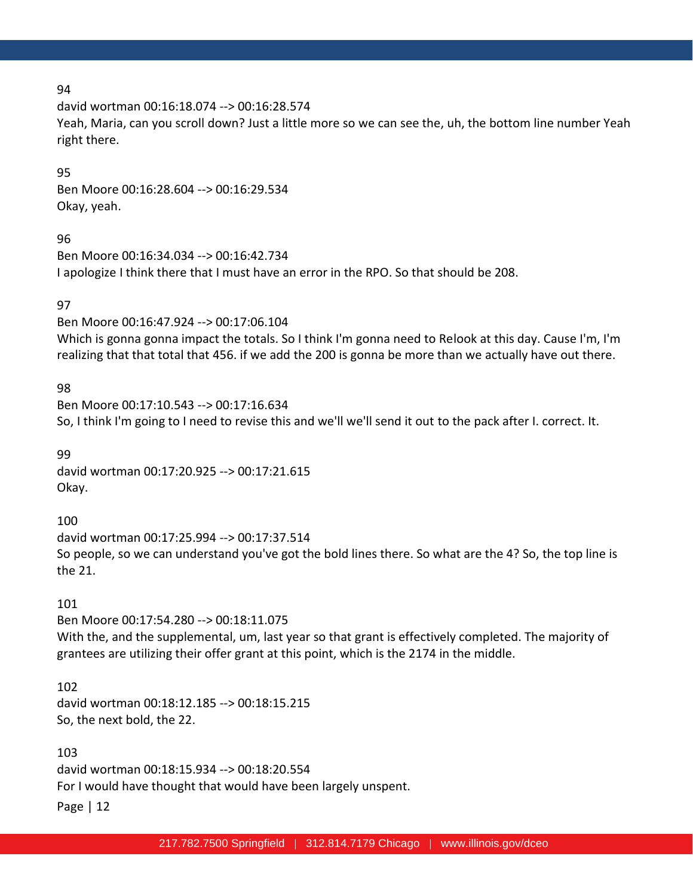david wortman 00:16:18.074 --> 00:16:28.574

Yeah, Maria, can you scroll down? Just a little more so we can see the, uh, the bottom line number Yeah right there.

#### 95

Ben Moore 00:16:28.604 --> 00:16:29.534 Okay, yeah.

#### 96

Ben Moore 00:16:34.034 --> 00:16:42.734 I apologize I think there that I must have an error in the RPO. So that should be 208.

### 97

Ben Moore 00:16:47.924 --> 00:17:06.104 Which is gonna gonna impact the totals. So I think I'm gonna need to Relook at this day. Cause I'm, I'm realizing that that total that 456. if we add the 200 is gonna be more than we actually have out there.

### 98

Ben Moore 00:17:10.543 --> 00:17:16.634 So, I think I'm going to I need to revise this and we'll we'll send it out to the pack after I. correct. It.

99 david wortman 00:17:20.925 --> 00:17:21.615 Okay.

100 david wortman 00:17:25.994 --> 00:17:37.514 So people, so we can understand you've got the bold lines there. So what are the 4? So, the top line is the 21.

# 101

Ben Moore 00:17:54.280 --> 00:18:11.075 With the, and the supplemental, um, last year so that grant is effectively completed. The majority of grantees are utilizing their offer grant at this point, which is the 2174 in the middle.

#### 102

david wortman 00:18:12.185 --> 00:18:15.215 So, the next bold, the 22.

Page | 12 103 david wortman 00:18:15.934 --> 00:18:20.554 For I would have thought that would have been largely unspent.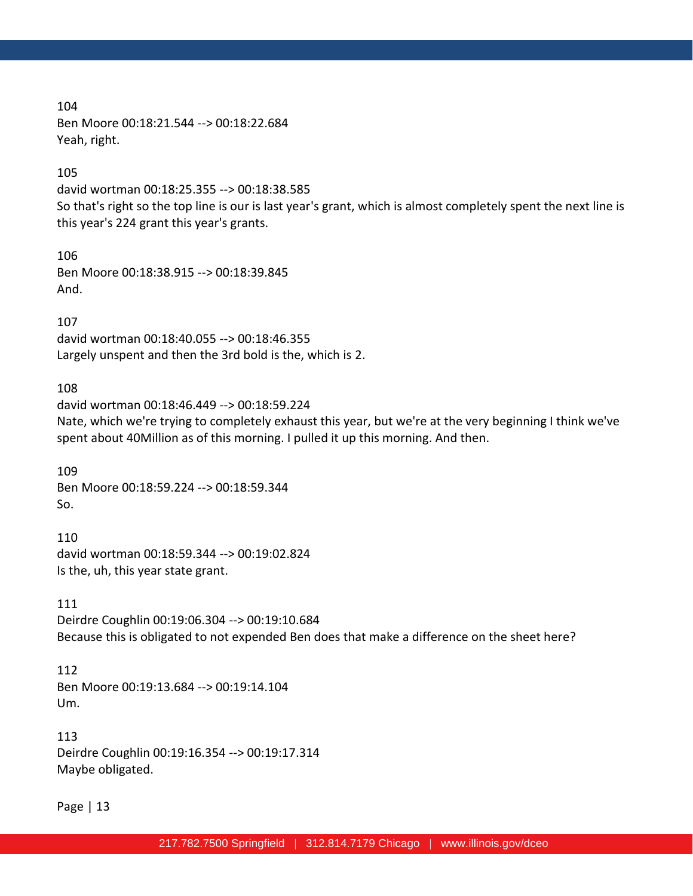104 Ben Moore 00:18:21.544 --> 00:18:22.684 Yeah, right.

105

david wortman 00:18:25.355 --> 00:18:38.585 So that's right so the top line is our is last year's grant, which is almost completely spent the next line is this year's 224 grant this year's grants.

106 Ben Moore 00:18:38.915 --> 00:18:39.845 And.

107 david wortman 00:18:40.055 --> 00:18:46.355 Largely unspent and then the 3rd bold is the, which is 2.

108

david wortman 00:18:46.449 --> 00:18:59.224 Nate, which we're trying to completely exhaust this year, but we're at the very beginning I think we've spent about 40Million as of this morning. I pulled it up this morning. And then.

109 Ben Moore 00:18:59.224 --> 00:18:59.344 So.

110 david wortman 00:18:59.344 --> 00:19:02.824 Is the, uh, this year state grant.

111 Deirdre Coughlin 00:19:06.304 --> 00:19:10.684 Because this is obligated to not expended Ben does that make a difference on the sheet here?

112 Ben Moore 00:19:13.684 --> 00:19:14.104 Um.

113 Deirdre Coughlin 00:19:16.354 --> 00:19:17.314 Maybe obligated.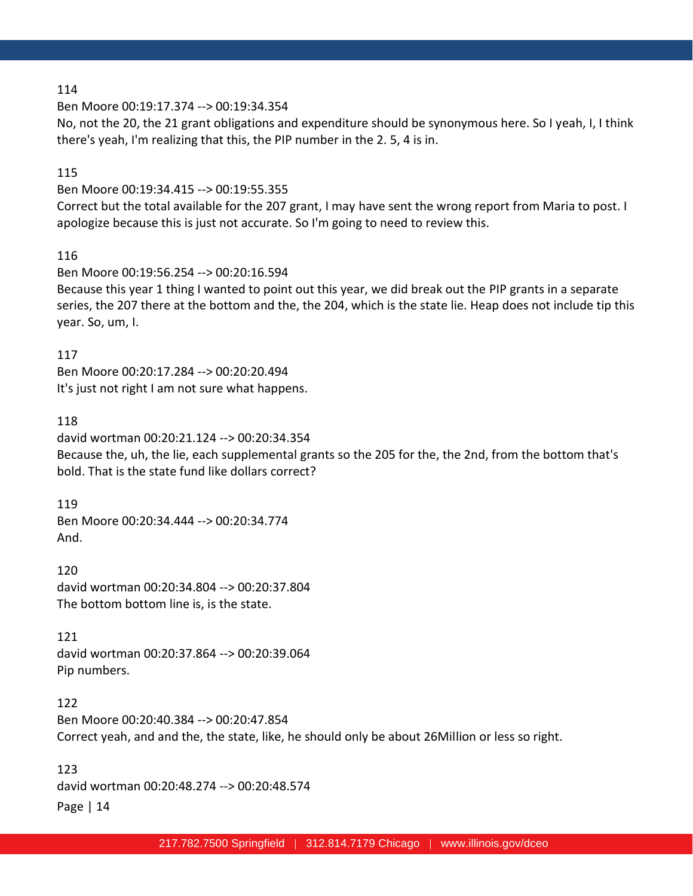Ben Moore 00:19:17.374 --> 00:19:34.354

No, not the 20, the 21 grant obligations and expenditure should be synonymous here. So I yeah, I, I think there's yeah, I'm realizing that this, the PIP number in the 2. 5, 4 is in.

#### 115

Ben Moore 00:19:34.415 --> 00:19:55.355

Correct but the total available for the 207 grant, I may have sent the wrong report from Maria to post. I apologize because this is just not accurate. So I'm going to need to review this.

```
116
```
Ben Moore 00:19:56.254 --> 00:20:16.594

Because this year 1 thing I wanted to point out this year, we did break out the PIP grants in a separate series, the 207 there at the bottom and the, the 204, which is the state lie. Heap does not include tip this year. So, um, I.

117 Ben Moore 00:20:17.284 --> 00:20:20.494 It's just not right I am not sure what happens.

### 118

david wortman 00:20:21.124 --> 00:20:34.354 Because the, uh, the lie, each supplemental grants so the 205 for the, the 2nd, from the bottom that's bold. That is the state fund like dollars correct?

119 Ben Moore 00:20:34.444 --> 00:20:34.774 And.

120 david wortman 00:20:34.804 --> 00:20:37.804 The bottom bottom line is, is the state.

# 121

david wortman 00:20:37.864 --> 00:20:39.064 Pip numbers.

#### 122

Ben Moore 00:20:40.384 --> 00:20:47.854 Correct yeah, and and the, the state, like, he should only be about 26Million or less so right.

Page | 14 123 david wortman 00:20:48.274 --> 00:20:48.574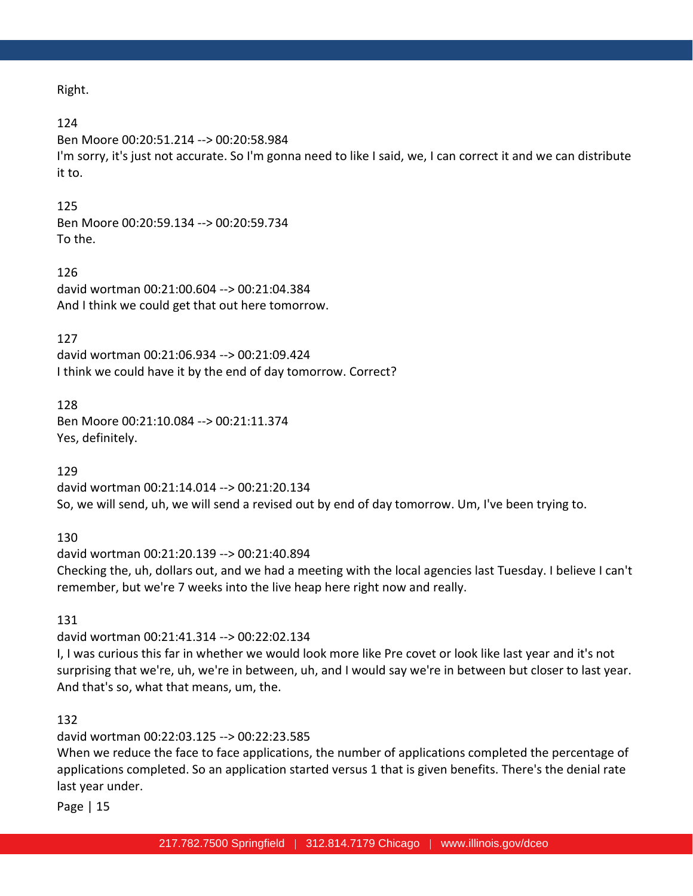Right.

#### 124

Ben Moore 00:20:51.214 --> 00:20:58.984 I'm sorry, it's just not accurate. So I'm gonna need to like I said, we, I can correct it and we can distribute it to.

#### 125

Ben Moore 00:20:59.134 --> 00:20:59.734 To the.

#### 126

david wortman 00:21:00.604 --> 00:21:04.384 And I think we could get that out here tomorrow.

#### 127

david wortman 00:21:06.934 --> 00:21:09.424 I think we could have it by the end of day tomorrow. Correct?

#### 128

Ben Moore 00:21:10.084 --> 00:21:11.374 Yes, definitely.

#### 129

david wortman 00:21:14.014 --> 00:21:20.134 So, we will send, uh, we will send a revised out by end of day tomorrow. Um, I've been trying to.

#### 130

david wortman 00:21:20.139 --> 00:21:40.894 Checking the, uh, dollars out, and we had a meeting with the local agencies last Tuesday. I believe I can't remember, but we're 7 weeks into the live heap here right now and really.

#### 131

david wortman 00:21:41.314 --> 00:22:02.134

I, I was curious this far in whether we would look more like Pre covet or look like last year and it's not surprising that we're, uh, we're in between, uh, and I would say we're in between but closer to last year. And that's so, what that means, um, the.

#### 132

david wortman 00:22:03.125 --> 00:22:23.585

When we reduce the face to face applications, the number of applications completed the percentage of applications completed. So an application started versus 1 that is given benefits. There's the denial rate last year under.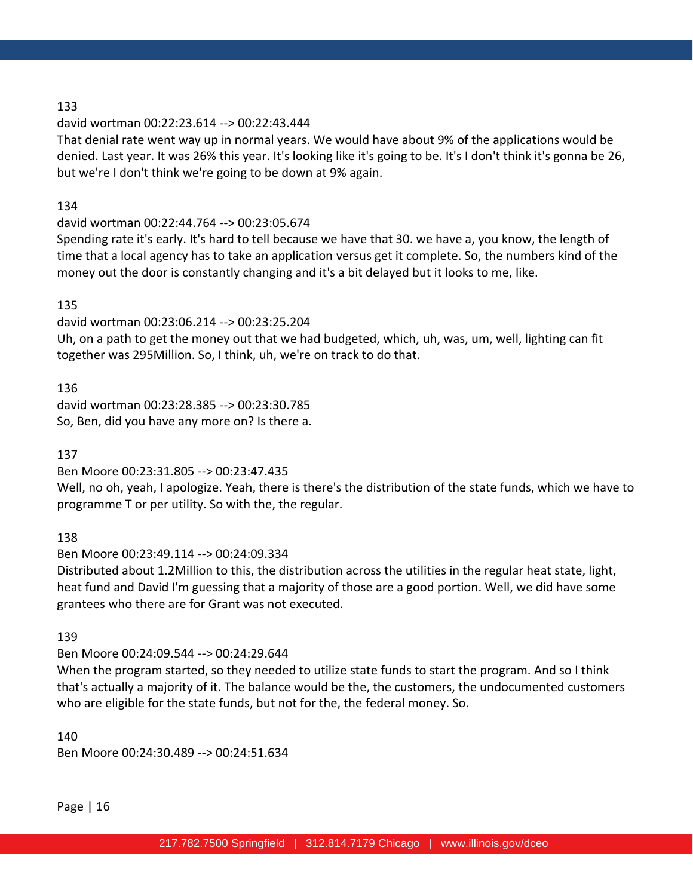#### david wortman 00:22:23.614 --> 00:22:43.444

That denial rate went way up in normal years. We would have about 9% of the applications would be denied. Last year. It was 26% this year. It's looking like it's going to be. It's I don't think it's gonna be 26, but we're I don't think we're going to be down at 9% again.

### 134

# david wortman 00:22:44.764 --> 00:23:05.674

Spending rate it's early. It's hard to tell because we have that 30. we have a, you know, the length of time that a local agency has to take an application versus get it complete. So, the numbers kind of the money out the door is constantly changing and it's a bit delayed but it looks to me, like.

### 135

david wortman 00:23:06.214 --> 00:23:25.204

Uh, on a path to get the money out that we had budgeted, which, uh, was, um, well, lighting can fit together was 295Million. So, I think, uh, we're on track to do that.

136 david wortman 00:23:28.385 --> 00:23:30.785 So, Ben, did you have any more on? Is there a.

137

Ben Moore 00:23:31.805 --> 00:23:47.435

Well, no oh, yeah, I apologize. Yeah, there is there's the distribution of the state funds, which we have to programme T or per utility. So with the, the regular.

138

Ben Moore 00:23:49.114 --> 00:24:09.334

Distributed about 1.2Million to this, the distribution across the utilities in the regular heat state, light, heat fund and David I'm guessing that a majority of those are a good portion. Well, we did have some grantees who there are for Grant was not executed.

139

Ben Moore 00:24:09.544 --> 00:24:29.644

When the program started, so they needed to utilize state funds to start the program. And so I think that's actually a majority of it. The balance would be the, the customers, the undocumented customers who are eligible for the state funds, but not for the, the federal money. So.

140

Ben Moore 00:24:30.489 --> 00:24:51.634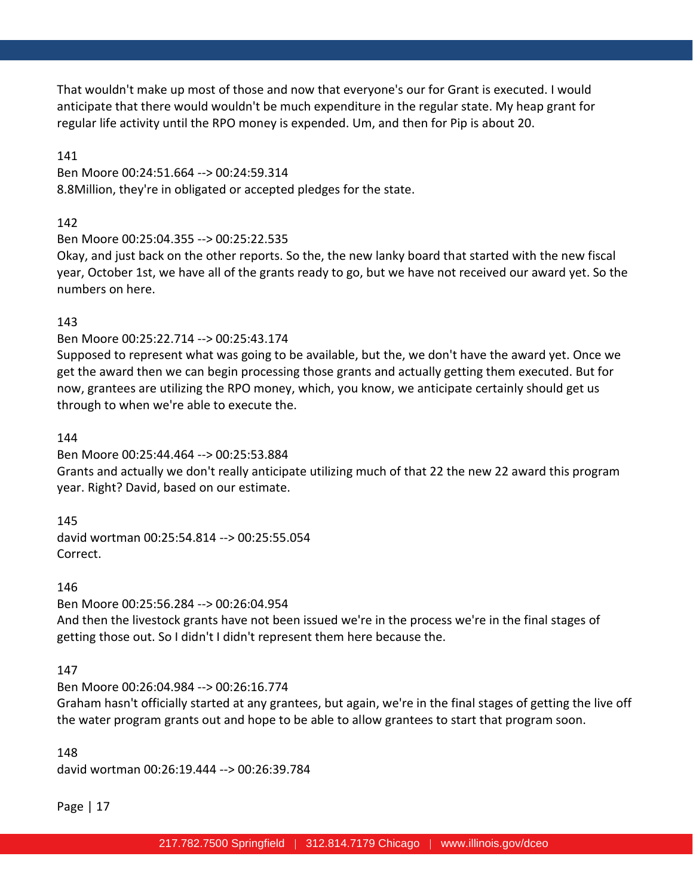That wouldn't make up most of those and now that everyone's our for Grant is executed. I would anticipate that there would wouldn't be much expenditure in the regular state. My heap grant for regular life activity until the RPO money is expended. Um, and then for Pip is about 20.

141

Ben Moore 00:24:51.664 --> 00:24:59.314 8.8Million, they're in obligated or accepted pledges for the state.

142

# Ben Moore 00:25:04.355 --> 00:25:22.535

Okay, and just back on the other reports. So the, the new lanky board that started with the new fiscal year, October 1st, we have all of the grants ready to go, but we have not received our award yet. So the numbers on here.

# 143

# Ben Moore 00:25:22.714 --> 00:25:43.174

Supposed to represent what was going to be available, but the, we don't have the award yet. Once we get the award then we can begin processing those grants and actually getting them executed. But for now, grantees are utilizing the RPO money, which, you know, we anticipate certainly should get us through to when we're able to execute the.

# 144

Ben Moore 00:25:44.464 --> 00:25:53.884

Grants and actually we don't really anticipate utilizing much of that 22 the new 22 award this program year. Right? David, based on our estimate.

145

david wortman 00:25:54.814 --> 00:25:55.054 Correct.

# 146

Ben Moore 00:25:56.284 --> 00:26:04.954

And then the livestock grants have not been issued we're in the process we're in the final stages of getting those out. So I didn't I didn't represent them here because the.

# 147

# Ben Moore 00:26:04.984 --> 00:26:16.774

Graham hasn't officially started at any grantees, but again, we're in the final stages of getting the live off the water program grants out and hope to be able to allow grantees to start that program soon.

148

david wortman 00:26:19.444 --> 00:26:39.784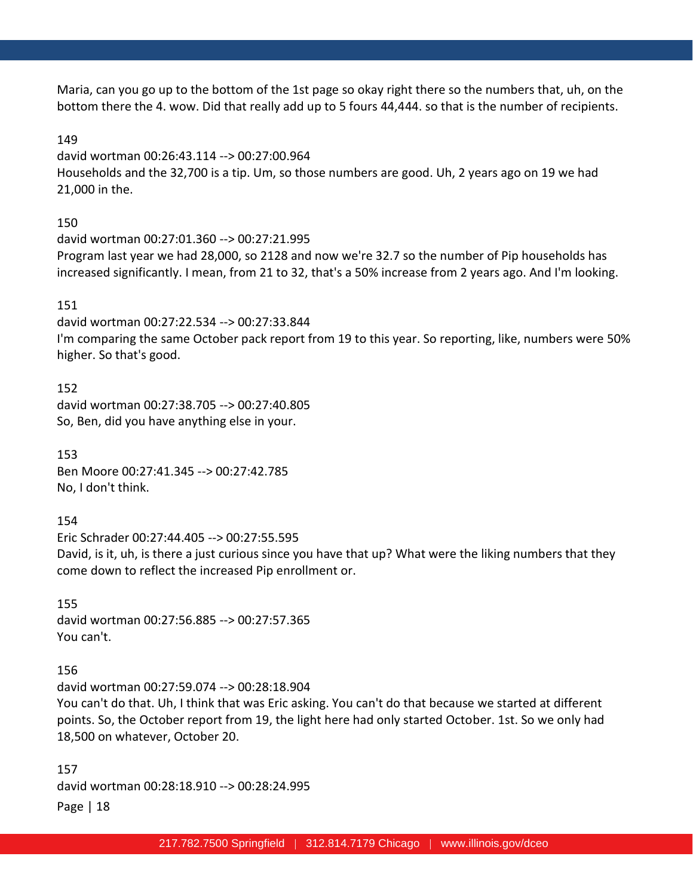Maria, can you go up to the bottom of the 1st page so okay right there so the numbers that, uh, on the bottom there the 4. wow. Did that really add up to 5 fours 44,444. so that is the number of recipients.

#### 149

david wortman 00:26:43.114 --> 00:27:00.964 Households and the 32,700 is a tip. Um, so those numbers are good. Uh, 2 years ago on 19 we had 21,000 in the.

#### 150

david wortman 00:27:01.360 --> 00:27:21.995 Program last year we had 28,000, so 2128 and now we're 32.7 so the number of Pip households has increased significantly. I mean, from 21 to 32, that's a 50% increase from 2 years ago. And I'm looking.

#### 151

david wortman 00:27:22.534 --> 00:27:33.844 I'm comparing the same October pack report from 19 to this year. So reporting, like, numbers were 50% higher. So that's good.

152 david wortman 00:27:38.705 --> 00:27:40.805 So, Ben, did you have anything else in your.

153 Ben Moore 00:27:41.345 --> 00:27:42.785 No, I don't think.

154

Eric Schrader 00:27:44.405 --> 00:27:55.595 David, is it, uh, is there a just curious since you have that up? What were the liking numbers that they come down to reflect the increased Pip enrollment or.

155 david wortman 00:27:56.885 --> 00:27:57.365 You can't.

#### 156

david wortman 00:27:59.074 --> 00:28:18.904 You can't do that. Uh, I think that was Eric asking. You can't do that because we started at different points. So, the October report from 19, the light here had only started October. 1st. So we only had 18,500 on whatever, October 20.

Page | 18 157 david wortman 00:28:18.910 --> 00:28:24.995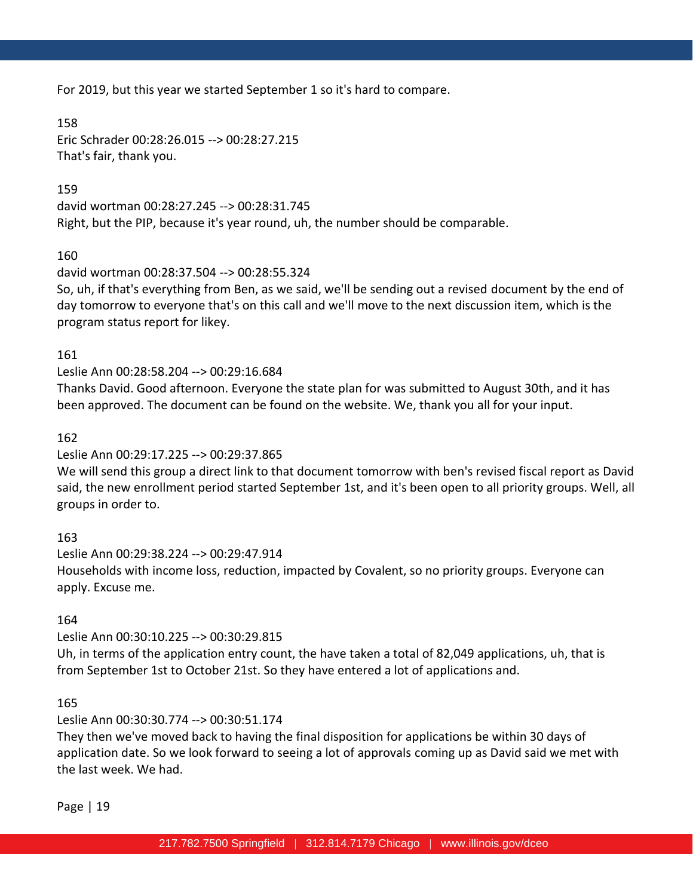For 2019, but this year we started September 1 so it's hard to compare.

158

Eric Schrader 00:28:26.015 --> 00:28:27.215 That's fair, thank you.

159

david wortman 00:28:27.245 --> 00:28:31.745 Right, but the PIP, because it's year round, uh, the number should be comparable.

160

# david wortman 00:28:37.504 --> 00:28:55.324

So, uh, if that's everything from Ben, as we said, we'll be sending out a revised document by the end of day tomorrow to everyone that's on this call and we'll move to the next discussion item, which is the program status report for likey.

161

# Leslie Ann 00:28:58.204 --> 00:29:16.684

Thanks David. Good afternoon. Everyone the state plan for was submitted to August 30th, and it has been approved. The document can be found on the website. We, thank you all for your input.

162

# Leslie Ann 00:29:17.225 --> 00:29:37.865

We will send this group a direct link to that document tomorrow with ben's revised fiscal report as David said, the new enrollment period started September 1st, and it's been open to all priority groups. Well, all groups in order to.

# 163

Leslie Ann 00:29:38.224 --> 00:29:47.914 Households with income loss, reduction, impacted by Covalent, so no priority groups. Everyone can apply. Excuse me.

# 164

# Leslie Ann 00:30:10.225 --> 00:30:29.815

Uh, in terms of the application entry count, the have taken a total of 82,049 applications, uh, that is from September 1st to October 21st. So they have entered a lot of applications and.

165

# Leslie Ann 00:30:30.774 --> 00:30:51.174

They then we've moved back to having the final disposition for applications be within 30 days of application date. So we look forward to seeing a lot of approvals coming up as David said we met with the last week. We had.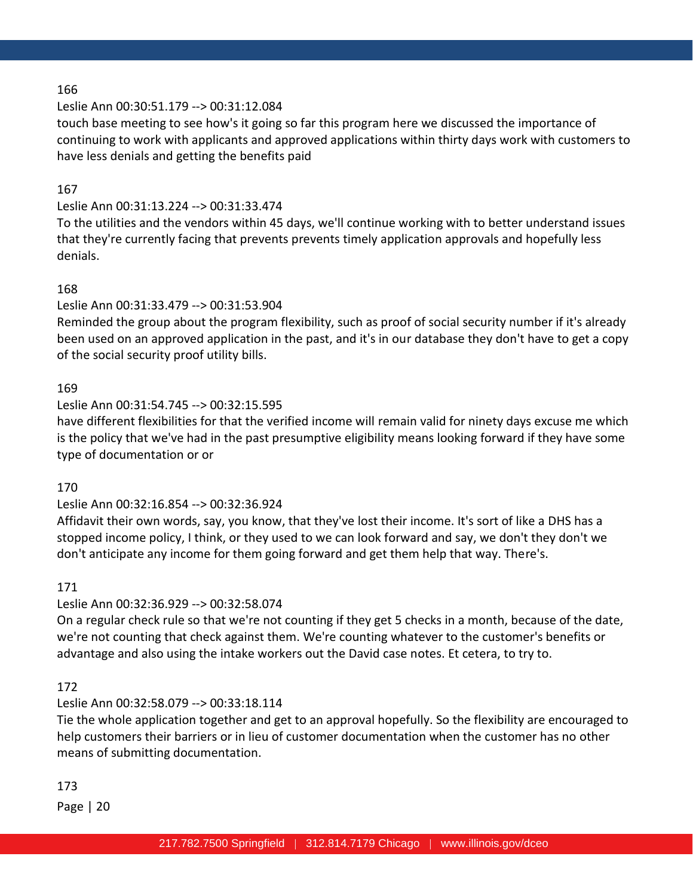### Leslie Ann 00:30:51.179 --> 00:31:12.084

touch base meeting to see how's it going so far this program here we discussed the importance of continuing to work with applicants and approved applications within thirty days work with customers to have less denials and getting the benefits paid

#### 167

### Leslie Ann 00:31:13.224 --> 00:31:33.474

To the utilities and the vendors within 45 days, we'll continue working with to better understand issues that they're currently facing that prevents prevents timely application approvals and hopefully less denials.

#### 168

#### Leslie Ann 00:31:33.479 --> 00:31:53.904

Reminded the group about the program flexibility, such as proof of social security number if it's already been used on an approved application in the past, and it's in our database they don't have to get a copy of the social security proof utility bills.

#### 169

#### Leslie Ann 00:31:54.745 --> 00:32:15.595

have different flexibilities for that the verified income will remain valid for ninety days excuse me which is the policy that we've had in the past presumptive eligibility means looking forward if they have some type of documentation or or

#### 170

#### Leslie Ann 00:32:16.854 --> 00:32:36.924

Affidavit their own words, say, you know, that they've lost their income. It's sort of like a DHS has a stopped income policy, I think, or they used to we can look forward and say, we don't they don't we don't anticipate any income for them going forward and get them help that way. There's.

#### 171

#### Leslie Ann 00:32:36.929 --> 00:32:58.074

On a regular check rule so that we're not counting if they get 5 checks in a month, because of the date, we're not counting that check against them. We're counting whatever to the customer's benefits or advantage and also using the intake workers out the David case notes. Et cetera, to try to.

#### 172

#### Leslie Ann 00:32:58.079 --> 00:33:18.114

Tie the whole application together and get to an approval hopefully. So the flexibility are encouraged to help customers their barriers or in lieu of customer documentation when the customer has no other means of submitting documentation.

#### 173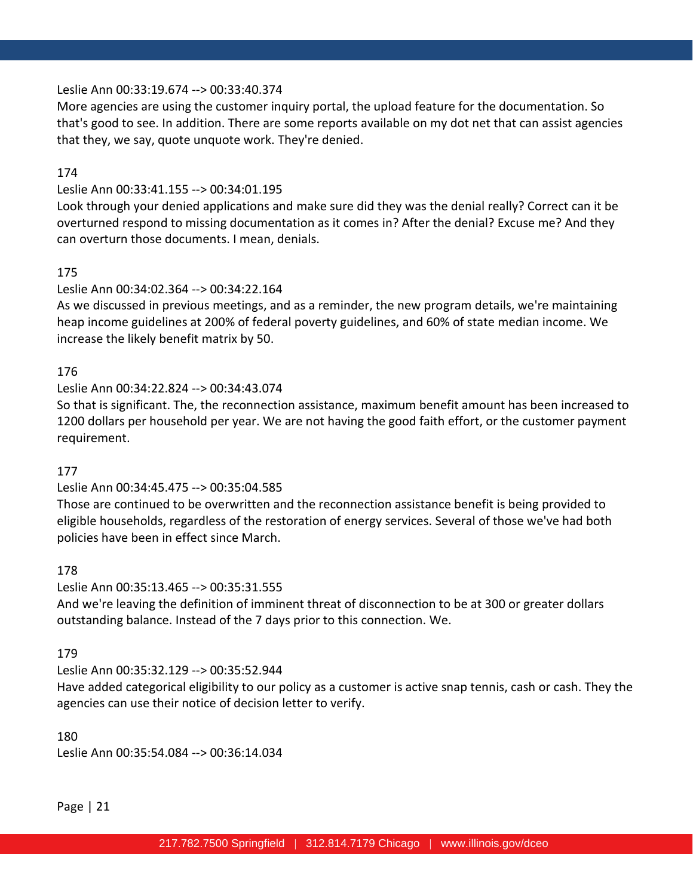### Leslie Ann 00:33:19.674 --> 00:33:40.374

More agencies are using the customer inquiry portal, the upload feature for the documentation. So that's good to see. In addition. There are some reports available on my dot net that can assist agencies that they, we say, quote unquote work. They're denied.

### 174

# Leslie Ann 00:33:41.155 --> 00:34:01.195

Look through your denied applications and make sure did they was the denial really? Correct can it be overturned respond to missing documentation as it comes in? After the denial? Excuse me? And they can overturn those documents. I mean, denials.

# 175

# Leslie Ann 00:34:02.364 --> 00:34:22.164

As we discussed in previous meetings, and as a reminder, the new program details, we're maintaining heap income guidelines at 200% of federal poverty guidelines, and 60% of state median income. We increase the likely benefit matrix by 50.

### 176

# Leslie Ann 00:34:22.824 --> 00:34:43.074

So that is significant. The, the reconnection assistance, maximum benefit amount has been increased to 1200 dollars per household per year. We are not having the good faith effort, or the customer payment requirement.

#### 177

# Leslie Ann 00:34:45.475 --> 00:35:04.585

Those are continued to be overwritten and the reconnection assistance benefit is being provided to eligible households, regardless of the restoration of energy services. Several of those we've had both policies have been in effect since March.

#### 178

#### Leslie Ann 00:35:13.465 --> 00:35:31.555

And we're leaving the definition of imminent threat of disconnection to be at 300 or greater dollars outstanding balance. Instead of the 7 days prior to this connection. We.

### 179

# Leslie Ann 00:35:32.129 --> 00:35:52.944

Have added categorical eligibility to our policy as a customer is active snap tennis, cash or cash. They the agencies can use their notice of decision letter to verify.

#### 180

Leslie Ann 00:35:54.084 --> 00:36:14.034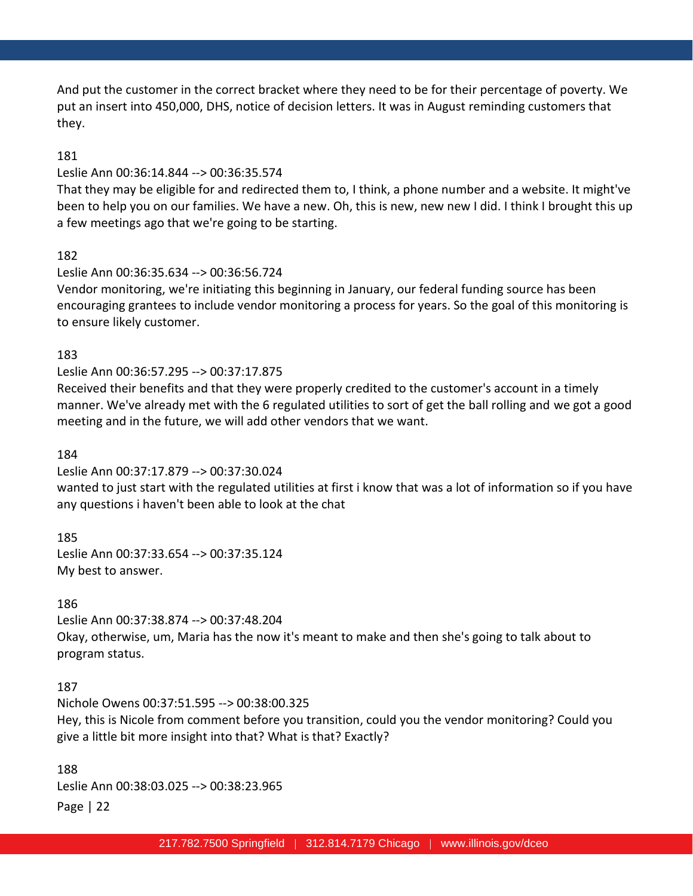And put the customer in the correct bracket where they need to be for their percentage of poverty. We put an insert into 450,000, DHS, notice of decision letters. It was in August reminding customers that they.

### 181

#### Leslie Ann 00:36:14.844 --> 00:36:35.574

That they may be eligible for and redirected them to, I think, a phone number and a website. It might've been to help you on our families. We have a new. Oh, this is new, new new I did. I think I brought this up a few meetings ago that we're going to be starting.

#### 182

#### Leslie Ann 00:36:35.634 --> 00:36:56.724

Vendor monitoring, we're initiating this beginning in January, our federal funding source has been encouraging grantees to include vendor monitoring a process for years. So the goal of this monitoring is to ensure likely customer.

#### 183

#### Leslie Ann 00:36:57.295 --> 00:37:17.875

Received their benefits and that they were properly credited to the customer's account in a timely manner. We've already met with the 6 regulated utilities to sort of get the ball rolling and we got a good meeting and in the future, we will add other vendors that we want.

#### 184

#### Leslie Ann 00:37:17.879 --> 00:37:30.024

wanted to just start with the regulated utilities at first i know that was a lot of information so if you have any questions i haven't been able to look at the chat

#### 185

Leslie Ann 00:37:33.654 --> 00:37:35.124 My best to answer.

#### 186

Leslie Ann 00:37:38.874 --> 00:37:48.204 Okay, otherwise, um, Maria has the now it's meant to make and then she's going to talk about to program status.

#### 187

Nichole Owens 00:37:51.595 --> 00:38:00.325 Hey, this is Nicole from comment before you transition, could you the vendor monitoring? Could you give a little bit more insight into that? What is that? Exactly?

Page | 22 188 Leslie Ann 00:38:03.025 --> 00:38:23.965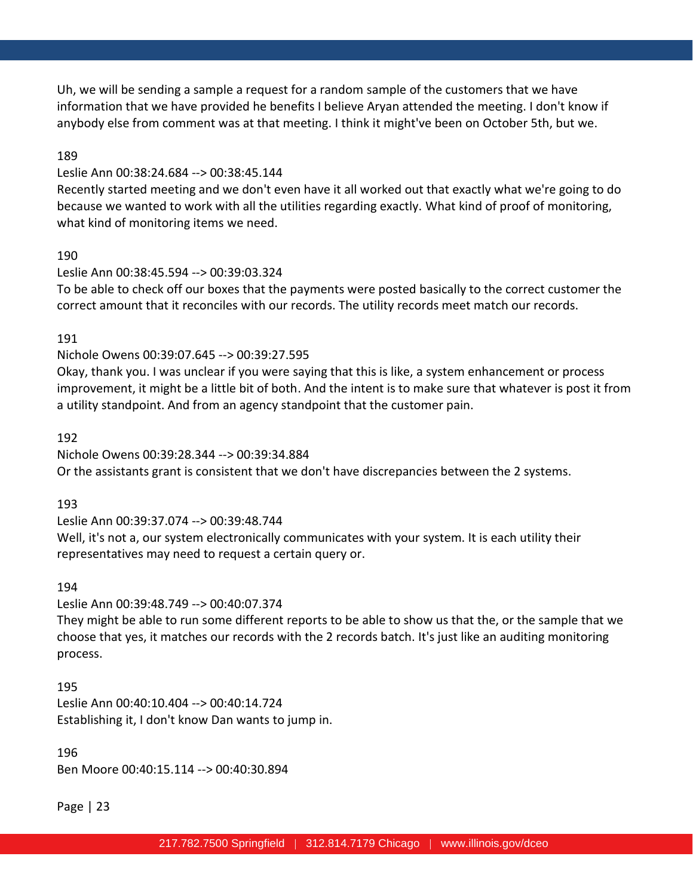Uh, we will be sending a sample a request for a random sample of the customers that we have information that we have provided he benefits I believe Aryan attended the meeting. I don't know if anybody else from comment was at that meeting. I think it might've been on October 5th, but we.

### 189

### Leslie Ann 00:38:24.684 --> 00:38:45.144

Recently started meeting and we don't even have it all worked out that exactly what we're going to do because we wanted to work with all the utilities regarding exactly. What kind of proof of monitoring, what kind of monitoring items we need.

#### 190

### Leslie Ann 00:38:45.594 --> 00:39:03.324

To be able to check off our boxes that the payments were posted basically to the correct customer the correct amount that it reconciles with our records. The utility records meet match our records.

### 191

### Nichole Owens 00:39:07.645 --> 00:39:27.595

Okay, thank you. I was unclear if you were saying that this is like, a system enhancement or process improvement, it might be a little bit of both. And the intent is to make sure that whatever is post it from a utility standpoint. And from an agency standpoint that the customer pain.

#### 192

Nichole Owens 00:39:28.344 --> 00:39:34.884 Or the assistants grant is consistent that we don't have discrepancies between the 2 systems.

# 193

Leslie Ann 00:39:37.074 --> 00:39:48.744 Well, it's not a, our system electronically communicates with your system. It is each utility their representatives may need to request a certain query or.

#### 194

# Leslie Ann 00:39:48.749 --> 00:40:07.374

They might be able to run some different reports to be able to show us that the, or the sample that we choose that yes, it matches our records with the 2 records batch. It's just like an auditing monitoring process.

#### 195

Leslie Ann 00:40:10.404 --> 00:40:14.724 Establishing it, I don't know Dan wants to jump in.

### 196

Ben Moore 00:40:15.114 --> 00:40:30.894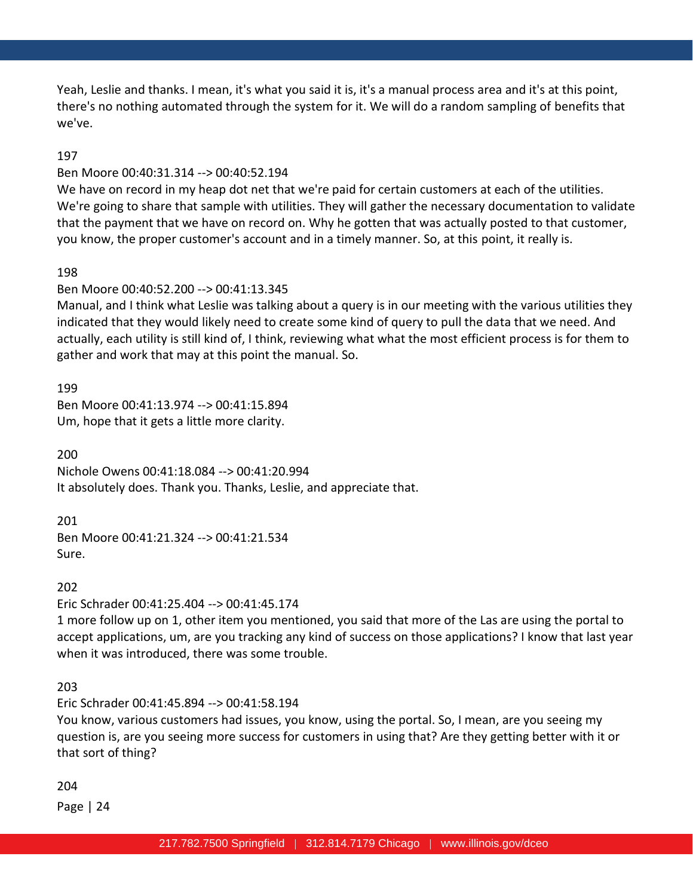Yeah, Leslie and thanks. I mean, it's what you said it is, it's a manual process area and it's at this point, there's no nothing automated through the system for it. We will do a random sampling of benefits that we've.

### 197

#### Ben Moore 00:40:31.314 --> 00:40:52.194

We have on record in my heap dot net that we're paid for certain customers at each of the utilities. We're going to share that sample with utilities. They will gather the necessary documentation to validate that the payment that we have on record on. Why he gotten that was actually posted to that customer, you know, the proper customer's account and in a timely manner. So, at this point, it really is.

#### 198

#### Ben Moore 00:40:52.200 --> 00:41:13.345

Manual, and I think what Leslie was talking about a query is in our meeting with the various utilities they indicated that they would likely need to create some kind of query to pull the data that we need. And actually, each utility is still kind of, I think, reviewing what what the most efficient process is for them to gather and work that may at this point the manual. So.

199 Ben Moore 00:41:13.974 --> 00:41:15.894 Um, hope that it gets a little more clarity.

200 Nichole Owens 00:41:18.084 --> 00:41:20.994 It absolutely does. Thank you. Thanks, Leslie, and appreciate that.

#### 201

Ben Moore 00:41:21.324 --> 00:41:21.534 Sure.

#### 202

Eric Schrader 00:41:25.404 --> 00:41:45.174

1 more follow up on 1, other item you mentioned, you said that more of the Las are using the portal to accept applications, um, are you tracking any kind of success on those applications? I know that last year when it was introduced, there was some trouble.

#### 203

Eric Schrader 00:41:45.894 --> 00:41:58.194 You know, various customers had issues, you know, using the portal. So, I mean, are you seeing my question is, are you seeing more success for customers in using that? Are they getting better with it or that sort of thing?

#### 204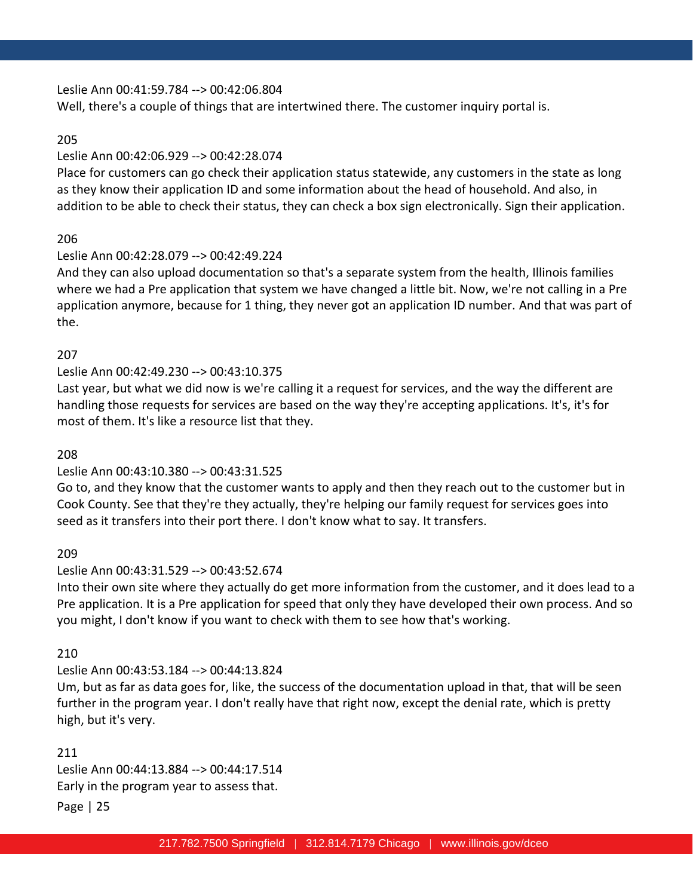Leslie Ann 00:41:59.784 --> 00:42:06.804

Well, there's a couple of things that are intertwined there. The customer inquiry portal is.

### 205

# Leslie Ann 00:42:06.929 --> 00:42:28.074

Place for customers can go check their application status statewide, any customers in the state as long as they know their application ID and some information about the head of household. And also, in addition to be able to check their status, they can check a box sign electronically. Sign their application.

# 206

# Leslie Ann 00:42:28.079 --> 00:42:49.224

And they can also upload documentation so that's a separate system from the health, Illinois families where we had a Pre application that system we have changed a little bit. Now, we're not calling in a Pre application anymore, because for 1 thing, they never got an application ID number. And that was part of the.

# 207

# Leslie Ann 00:42:49.230 --> 00:43:10.375

Last year, but what we did now is we're calling it a request for services, and the way the different are handling those requests for services are based on the way they're accepting applications. It's, it's for most of them. It's like a resource list that they.

### 208

# Leslie Ann 00:43:10.380 --> 00:43:31.525

Go to, and they know that the customer wants to apply and then they reach out to the customer but in Cook County. See that they're they actually, they're helping our family request for services goes into seed as it transfers into their port there. I don't know what to say. It transfers.

# 209

# Leslie Ann 00:43:31.529 --> 00:43:52.674

Into their own site where they actually do get more information from the customer, and it does lead to a Pre application. It is a Pre application for speed that only they have developed their own process. And so you might, I don't know if you want to check with them to see how that's working.

# 210

# Leslie Ann 00:43:53.184 --> 00:44:13.824

Um, but as far as data goes for, like, the success of the documentation upload in that, that will be seen further in the program year. I don't really have that right now, except the denial rate, which is pretty high, but it's very.

211 Leslie Ann 00:44:13.884 --> 00:44:17.514 Early in the program year to assess that.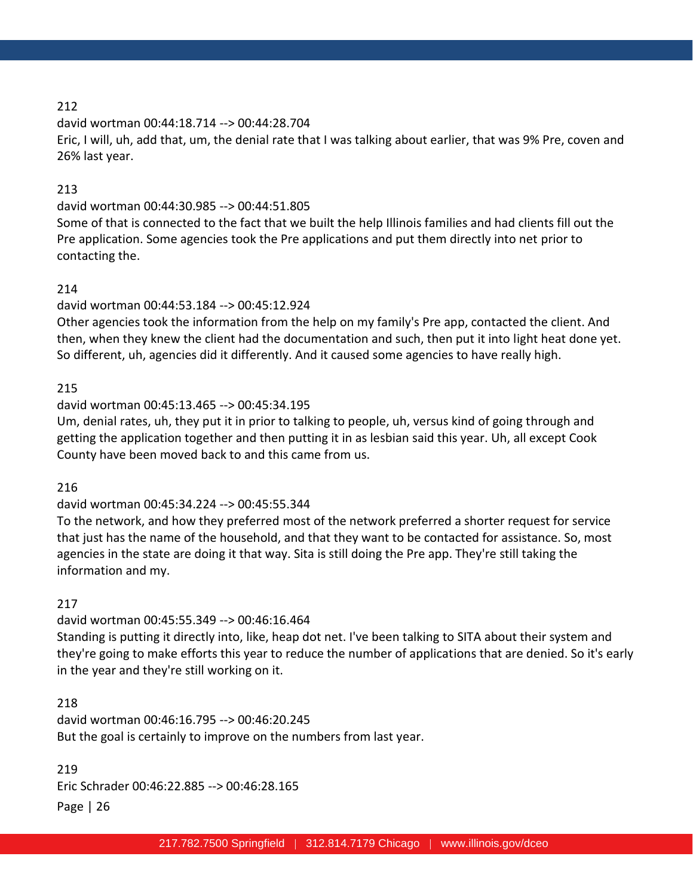david wortman 00:44:18.714 --> 00:44:28.704

Eric, I will, uh, add that, um, the denial rate that I was talking about earlier, that was 9% Pre, coven and 26% last year.

# 213

# david wortman 00:44:30.985 --> 00:44:51.805

Some of that is connected to the fact that we built the help Illinois families and had clients fill out the Pre application. Some agencies took the Pre applications and put them directly into net prior to contacting the.

# 214

# david wortman 00:44:53.184 --> 00:45:12.924

Other agencies took the information from the help on my family's Pre app, contacted the client. And then, when they knew the client had the documentation and such, then put it into light heat done yet. So different, uh, agencies did it differently. And it caused some agencies to have really high.

# 215

# david wortman 00:45:13.465 --> 00:45:34.195

Um, denial rates, uh, they put it in prior to talking to people, uh, versus kind of going through and getting the application together and then putting it in as lesbian said this year. Uh, all except Cook County have been moved back to and this came from us.

# 216

# david wortman 00:45:34.224 --> 00:45:55.344

To the network, and how they preferred most of the network preferred a shorter request for service that just has the name of the household, and that they want to be contacted for assistance. So, most agencies in the state are doing it that way. Sita is still doing the Pre app. They're still taking the information and my.

# 217

# david wortman 00:45:55.349 --> 00:46:16.464 Standing is putting it directly into, like, heap dot net. I've been talking to SITA about their system and they're going to make efforts this year to reduce the number of applications that are denied. So it's early in the year and they're still working on it.

# 218 david wortman 00:46:16.795 --> 00:46:20.245 But the goal is certainly to improve on the numbers from last year.

# Page | 26 219 Eric Schrader 00:46:22.885 --> 00:46:28.165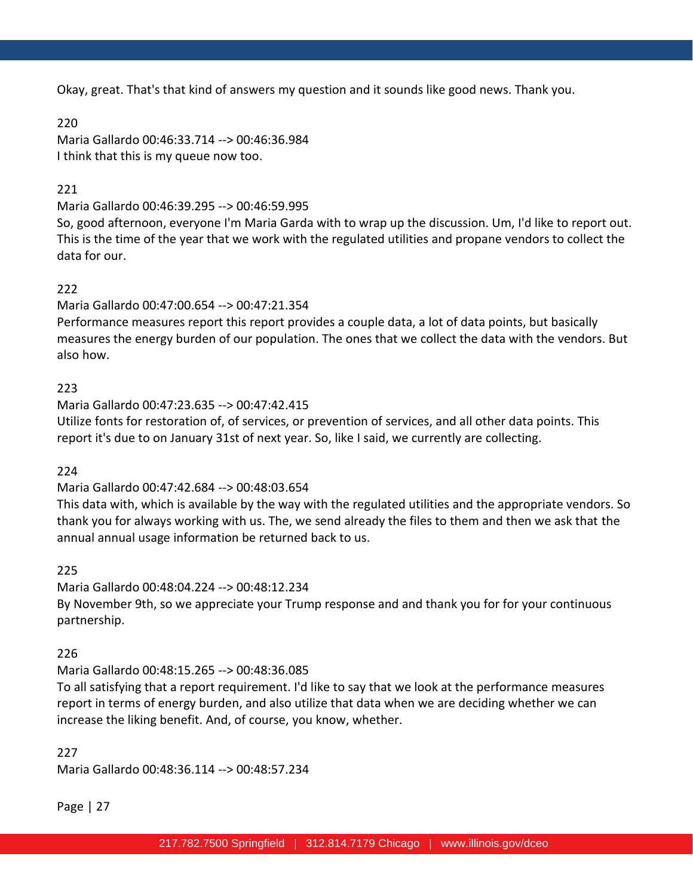Okay, great. That's that kind of answers my question and it sounds like good news. Thank you.

220

Maria Gallardo 00:46:33.714 --> 00:46:36.984 I think that this is my queue now too.

# 221

Maria Gallardo 00:46:39.295 --> 00:46:59.995

So, good afternoon, everyone I'm Maria Garda with to wrap up the discussion. Um, I'd like to report out. This is the time of the year that we work with the regulated utilities and propane vendors to collect the data for our.

# 222

Maria Gallardo 00:47:00.654 --> 00:47:21.354

Performance measures report this report provides a couple data, a lot of data points, but basically measures the energy burden of our population. The ones that we collect the data with the vendors. But also how.

# 223

Maria Gallardo 00:47:23.635 --> 00:47:42.415 Utilize fonts for restoration of, of services, or prevention of services, and all other data points. This report it's due to on January 31st of next year. So, like I said, we currently are collecting.

224

# Maria Gallardo 00:47:42.684 --> 00:48:03.654

This data with, which is available by the way with the regulated utilities and the appropriate vendors. So thank you for always working with us. The, we send already the files to them and then we ask that the annual annual usage information be returned back to us.

225

Maria Gallardo 00:48:04.224 --> 00:48:12.234 By November 9th, so we appreciate your Trump response and and thank you for for your continuous partnership.

# 226

Maria Gallardo 00:48:15.265 --> 00:48:36.085

To all satisfying that a report requirement. I'd like to say that we look at the performance measures report in terms of energy burden, and also utilize that data when we are deciding whether we can increase the liking benefit. And, of course, you know, whether.

### 227

Maria Gallardo 00:48:36.114 --> 00:48:57.234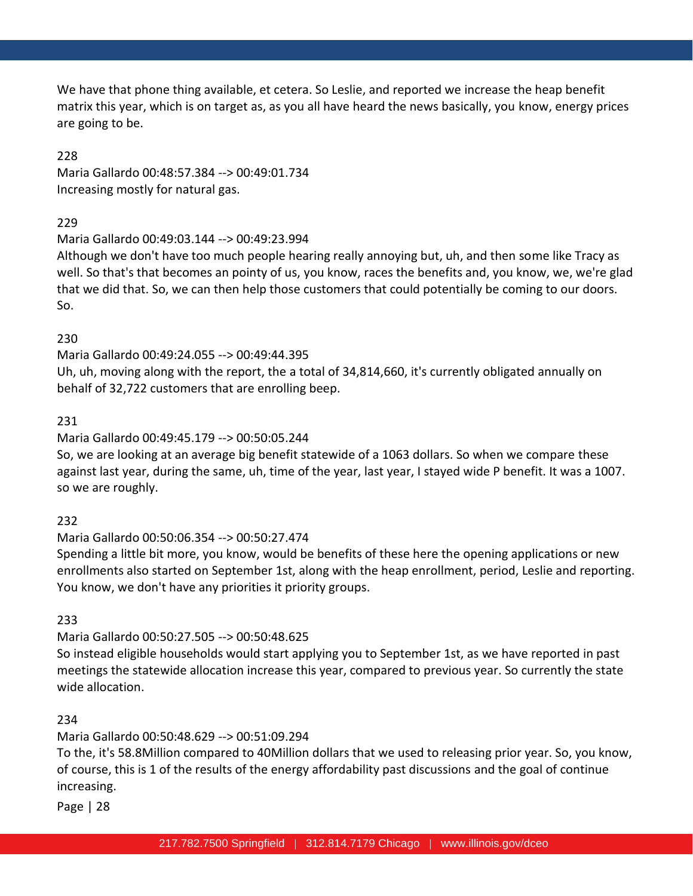We have that phone thing available, et cetera. So Leslie, and reported we increase the heap benefit matrix this year, which is on target as, as you all have heard the news basically, you know, energy prices are going to be.

### 228

Maria Gallardo 00:48:57.384 --> 00:49:01.734 Increasing mostly for natural gas.

### 229

Maria Gallardo 00:49:03.144 --> 00:49:23.994

Although we don't have too much people hearing really annoying but, uh, and then some like Tracy as well. So that's that becomes an pointy of us, you know, races the benefits and, you know, we, we're glad that we did that. So, we can then help those customers that could potentially be coming to our doors. So.

# 230

Maria Gallardo 00:49:24.055 --> 00:49:44.395 Uh, uh, moving along with the report, the a total of 34,814,660, it's currently obligated annually on behalf of 32,722 customers that are enrolling beep.

# 231

Maria Gallardo 00:49:45.179 --> 00:50:05.244

So, we are looking at an average big benefit statewide of a 1063 dollars. So when we compare these against last year, during the same, uh, time of the year, last year, I stayed wide P benefit. It was a 1007. so we are roughly.

# 232

Maria Gallardo 00:50:06.354 --> 00:50:27.474

Spending a little bit more, you know, would be benefits of these here the opening applications or new enrollments also started on September 1st, along with the heap enrollment, period, Leslie and reporting. You know, we don't have any priorities it priority groups.

# 233

Maria Gallardo 00:50:27.505 --> 00:50:48.625

So instead eligible households would start applying you to September 1st, as we have reported in past meetings the statewide allocation increase this year, compared to previous year. So currently the state wide allocation.

# 234

Maria Gallardo 00:50:48.629 --> 00:51:09.294

To the, it's 58.8Million compared to 40Million dollars that we used to releasing prior year. So, you know, of course, this is 1 of the results of the energy affordability past discussions and the goal of continue increasing.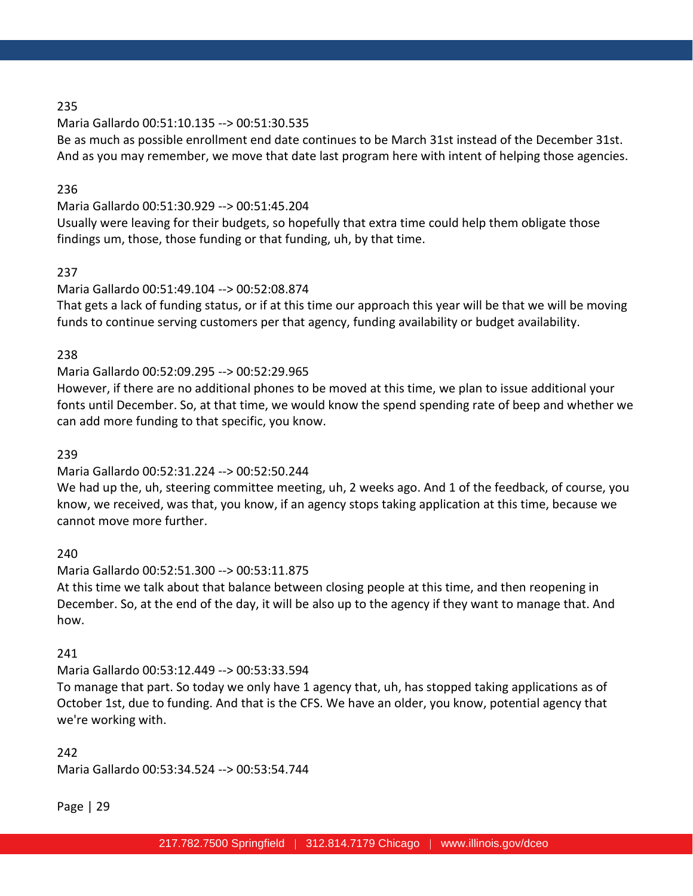Maria Gallardo 00:51:10.135 --> 00:51:30.535

Be as much as possible enrollment end date continues to be March 31st instead of the December 31st. And as you may remember, we move that date last program here with intent of helping those agencies.

### 236

Maria Gallardo 00:51:30.929 --> 00:51:45.204

Usually were leaving for their budgets, so hopefully that extra time could help them obligate those findings um, those, those funding or that funding, uh, by that time.

# 237

# Maria Gallardo 00:51:49.104 --> 00:52:08.874

That gets a lack of funding status, or if at this time our approach this year will be that we will be moving funds to continue serving customers per that agency, funding availability or budget availability.

### 238

# Maria Gallardo 00:52:09.295 --> 00:52:29.965

However, if there are no additional phones to be moved at this time, we plan to issue additional your fonts until December. So, at that time, we would know the spend spending rate of beep and whether we can add more funding to that specific, you know.

### 239

# Maria Gallardo 00:52:31.224 --> 00:52:50.244

We had up the, uh, steering committee meeting, uh, 2 weeks ago. And 1 of the feedback, of course, you know, we received, was that, you know, if an agency stops taking application at this time, because we cannot move more further.

#### 240

#### Maria Gallardo 00:52:51.300 --> 00:53:11.875

At this time we talk about that balance between closing people at this time, and then reopening in December. So, at the end of the day, it will be also up to the agency if they want to manage that. And how.

#### 241

# Maria Gallardo 00:53:12.449 --> 00:53:33.594

To manage that part. So today we only have 1 agency that, uh, has stopped taking applications as of October 1st, due to funding. And that is the CFS. We have an older, you know, potential agency that we're working with.

### 242

Maria Gallardo 00:53:34.524 --> 00:53:54.744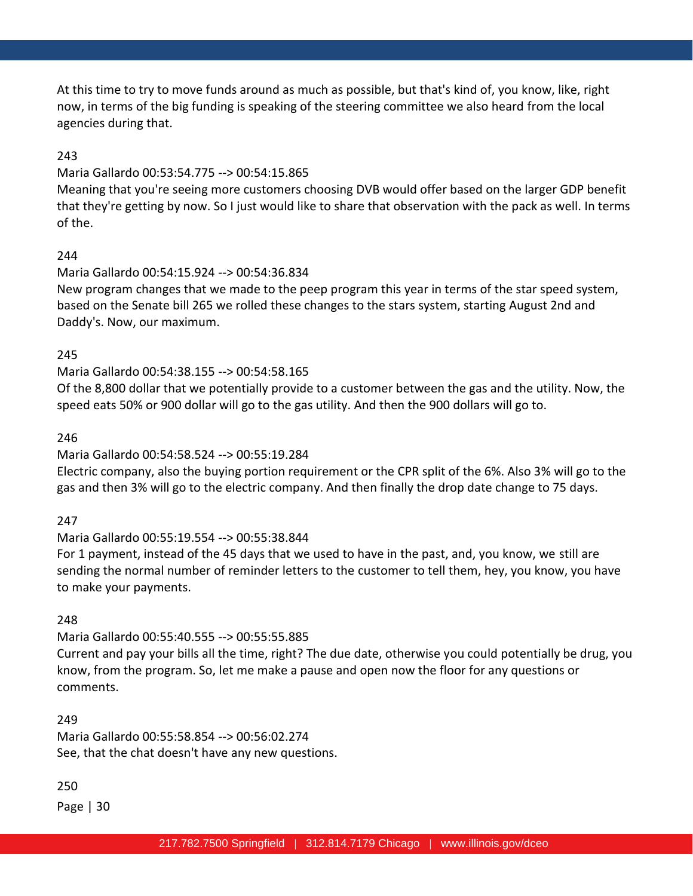At this time to try to move funds around as much as possible, but that's kind of, you know, like, right now, in terms of the big funding is speaking of the steering committee we also heard from the local agencies during that.

# 243

### Maria Gallardo 00:53:54.775 --> 00:54:15.865

Meaning that you're seeing more customers choosing DVB would offer based on the larger GDP benefit that they're getting by now. So I just would like to share that observation with the pack as well. In terms of the.

# 244

### Maria Gallardo 00:54:15.924 --> 00:54:36.834

New program changes that we made to the peep program this year in terms of the star speed system, based on the Senate bill 265 we rolled these changes to the stars system, starting August 2nd and Daddy's. Now, our maximum.

### 245

# Maria Gallardo 00:54:38.155 --> 00:54:58.165

Of the 8,800 dollar that we potentially provide to a customer between the gas and the utility. Now, the speed eats 50% or 900 dollar will go to the gas utility. And then the 900 dollars will go to.

### 246

# Maria Gallardo 00:54:58.524 --> 00:55:19.284

Electric company, also the buying portion requirement or the CPR split of the 6%. Also 3% will go to the gas and then 3% will go to the electric company. And then finally the drop date change to 75 days.

# 247

# Maria Gallardo 00:55:19.554 --> 00:55:38.844

For 1 payment, instead of the 45 days that we used to have in the past, and, you know, we still are sending the normal number of reminder letters to the customer to tell them, hey, you know, you have to make your payments.

# 248

# Maria Gallardo 00:55:40.555 --> 00:55:55.885

Current and pay your bills all the time, right? The due date, otherwise you could potentially be drug, you know, from the program. So, let me make a pause and open now the floor for any questions or comments.

# 249

Maria Gallardo 00:55:58.854 --> 00:56:02.274 See, that the chat doesn't have any new questions.

# 250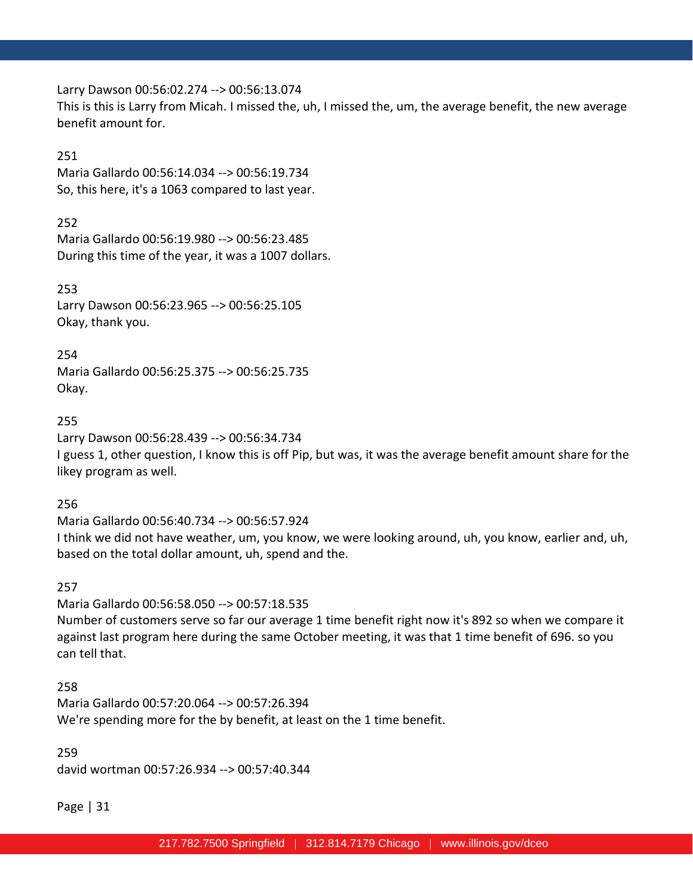Larry Dawson 00:56:02.274 --> 00:56:13.074 This is this is Larry from Micah. I missed the, uh, I missed the, um, the average benefit, the new average benefit amount for.

#### 251

Maria Gallardo 00:56:14.034 --> 00:56:19.734 So, this here, it's a 1063 compared to last year.

### 252

Maria Gallardo 00:56:19.980 --> 00:56:23.485 During this time of the year, it was a 1007 dollars.

#### 253

Larry Dawson 00:56:23.965 --> 00:56:25.105 Okay, thank you.

### 254

Maria Gallardo 00:56:25.375 --> 00:56:25.735 Okay.

#### 255

Larry Dawson 00:56:28.439 --> 00:56:34.734

I guess 1, other question, I know this is off Pip, but was, it was the average benefit amount share for the likey program as well.

#### 256

Maria Gallardo 00:56:40.734 --> 00:56:57.924 I think we did not have weather, um, you know, we were looking around, uh, you know, earlier and, uh, based on the total dollar amount, uh, spend and the.

#### 257

Maria Gallardo 00:56:58.050 --> 00:57:18.535 Number of customers serve so far our average 1 time benefit right now it's 892 so when we compare it against last program here during the same October meeting, it was that 1 time benefit of 696. so you can tell that.

#### 258

Maria Gallardo 00:57:20.064 --> 00:57:26.394 We're spending more for the by benefit, at least on the 1 time benefit.

### 259

david wortman 00:57:26.934 --> 00:57:40.344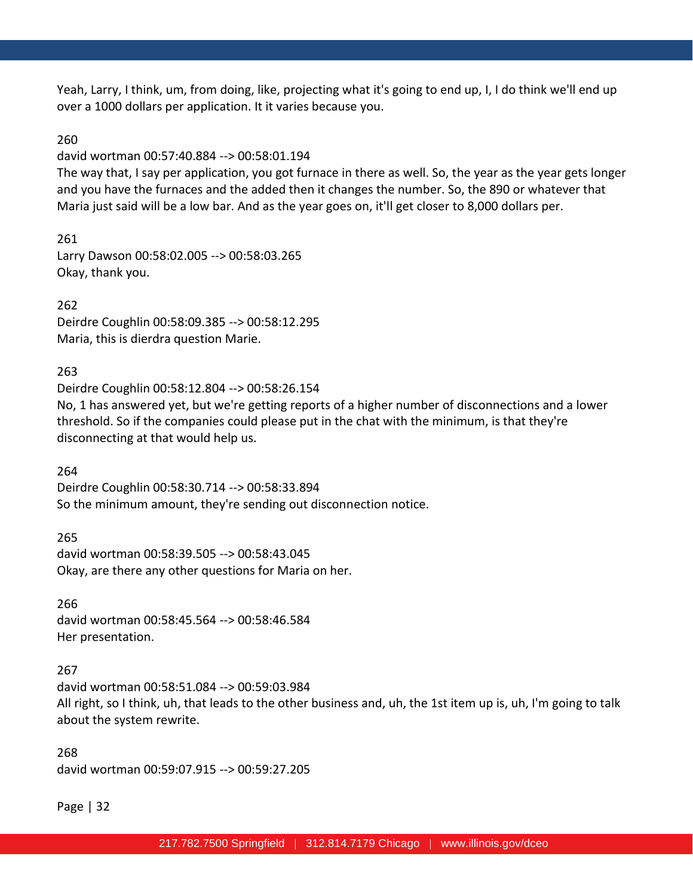Yeah, Larry, I think, um, from doing, like, projecting what it's going to end up, I, I do think we'll end up over a 1000 dollars per application. It it varies because you.

#### 260

david wortman 00:57:40.884 --> 00:58:01.194

The way that, I say per application, you got furnace in there as well. So, the year as the year gets longer and you have the furnaces and the added then it changes the number. So, the 890 or whatever that Maria just said will be a low bar. And as the year goes on, it'll get closer to 8,000 dollars per.

261

Larry Dawson 00:58:02.005 --> 00:58:03.265 Okay, thank you.

### 262

Deirdre Coughlin 00:58:09.385 --> 00:58:12.295 Maria, this is dierdra question Marie.

### 263

Deirdre Coughlin 00:58:12.804 --> 00:58:26.154 No, 1 has answered yet, but we're getting reports of a higher number of disconnections and a lower threshold. So if the companies could please put in the chat with the minimum, is that they're disconnecting at that would help us.

#### 264

Deirdre Coughlin 00:58:30.714 --> 00:58:33.894 So the minimum amount, they're sending out disconnection notice.

265 david wortman 00:58:39.505 --> 00:58:43.045 Okay, are there any other questions for Maria on her.

#### 266

david wortman 00:58:45.564 --> 00:58:46.584 Her presentation.

#### 267

david wortman 00:58:51.084 --> 00:59:03.984 All right, so I think, uh, that leads to the other business and, uh, the 1st item up is, uh, I'm going to talk about the system rewrite.

268 david wortman 00:59:07.915 --> 00:59:27.205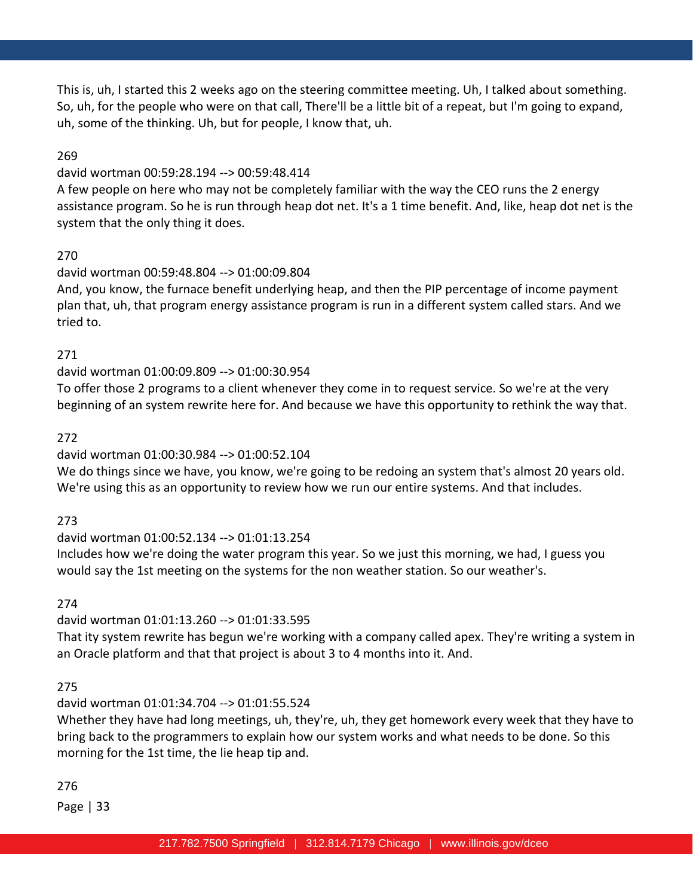This is, uh, I started this 2 weeks ago on the steering committee meeting. Uh, I talked about something. So, uh, for the people who were on that call, There'll be a little bit of a repeat, but I'm going to expand, uh, some of the thinking. Uh, but for people, I know that, uh.

### 269

#### david wortman 00:59:28.194 --> 00:59:48.414

A few people on here who may not be completely familiar with the way the CEO runs the 2 energy assistance program. So he is run through heap dot net. It's a 1 time benefit. And, like, heap dot net is the system that the only thing it does.

#### 270

### david wortman 00:59:48.804 --> 01:00:09.804

And, you know, the furnace benefit underlying heap, and then the PIP percentage of income payment plan that, uh, that program energy assistance program is run in a different system called stars. And we tried to.

### 271

### david wortman 01:00:09.809 --> 01:00:30.954

To offer those 2 programs to a client whenever they come in to request service. So we're at the very beginning of an system rewrite here for. And because we have this opportunity to rethink the way that.

### 272

# david wortman 01:00:30.984 --> 01:00:52.104

We do things since we have, you know, we're going to be redoing an system that's almost 20 years old. We're using this as an opportunity to review how we run our entire systems. And that includes.

# 273

### david wortman 01:00:52.134 --> 01:01:13.254 Includes how we're doing the water program this year. So we just this morning, we had, I guess you would say the 1st meeting on the systems for the non weather station. So our weather's.

274

# david wortman 01:01:13.260 --> 01:01:33.595

That ity system rewrite has begun we're working with a company called apex. They're writing a system in an Oracle platform and that that project is about 3 to 4 months into it. And.

# 275

# david wortman 01:01:34.704 --> 01:01:55.524

Whether they have had long meetings, uh, they're, uh, they get homework every week that they have to bring back to the programmers to explain how our system works and what needs to be done. So this morning for the 1st time, the lie heap tip and.

# 276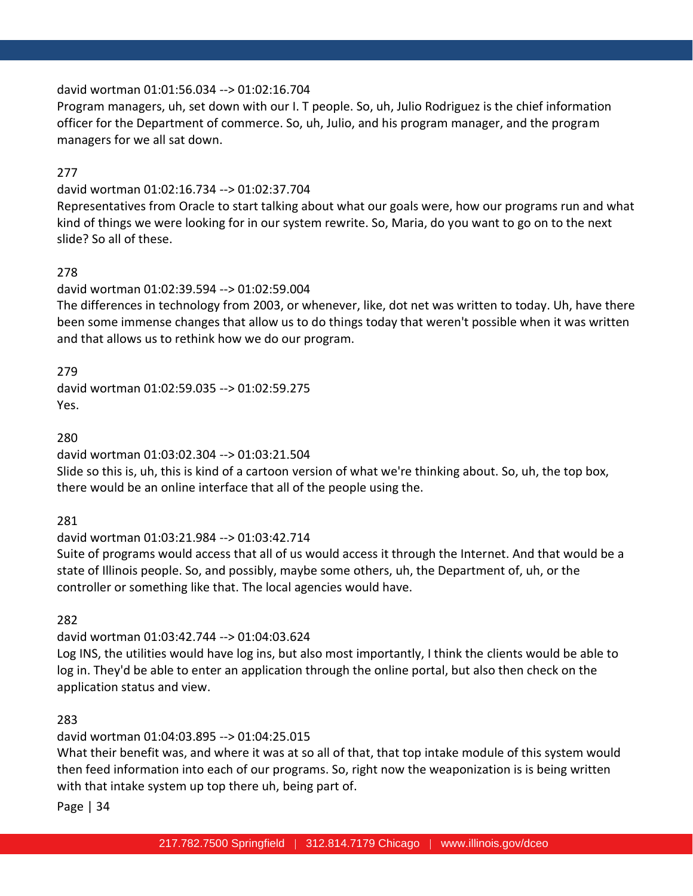### david wortman 01:01:56.034 --> 01:02:16.704

Program managers, uh, set down with our I. T people. So, uh, Julio Rodriguez is the chief information officer for the Department of commerce. So, uh, Julio, and his program manager, and the program managers for we all sat down.

### 277

### david wortman 01:02:16.734 --> 01:02:37.704

Representatives from Oracle to start talking about what our goals were, how our programs run and what kind of things we were looking for in our system rewrite. So, Maria, do you want to go on to the next slide? So all of these.

# 278

# david wortman 01:02:39.594 --> 01:02:59.004

The differences in technology from 2003, or whenever, like, dot net was written to today. Uh, have there been some immense changes that allow us to do things today that weren't possible when it was written and that allows us to rethink how we do our program.

279

david wortman 01:02:59.035 --> 01:02:59.275 Yes.

280

david wortman 01:03:02.304 --> 01:03:21.504

Slide so this is, uh, this is kind of a cartoon version of what we're thinking about. So, uh, the top box, there would be an online interface that all of the people using the.

281

# david wortman 01:03:21.984 --> 01:03:42.714

Suite of programs would access that all of us would access it through the Internet. And that would be a state of Illinois people. So, and possibly, maybe some others, uh, the Department of, uh, or the controller or something like that. The local agencies would have.

282

# david wortman 01:03:42.744 --> 01:04:03.624

Log INS, the utilities would have log ins, but also most importantly, I think the clients would be able to log in. They'd be able to enter an application through the online portal, but also then check on the application status and view.

# 283

# david wortman 01:04:03.895 --> 01:04:25.015

What their benefit was, and where it was at so all of that, that top intake module of this system would then feed information into each of our programs. So, right now the weaponization is is being written with that intake system up top there uh, being part of.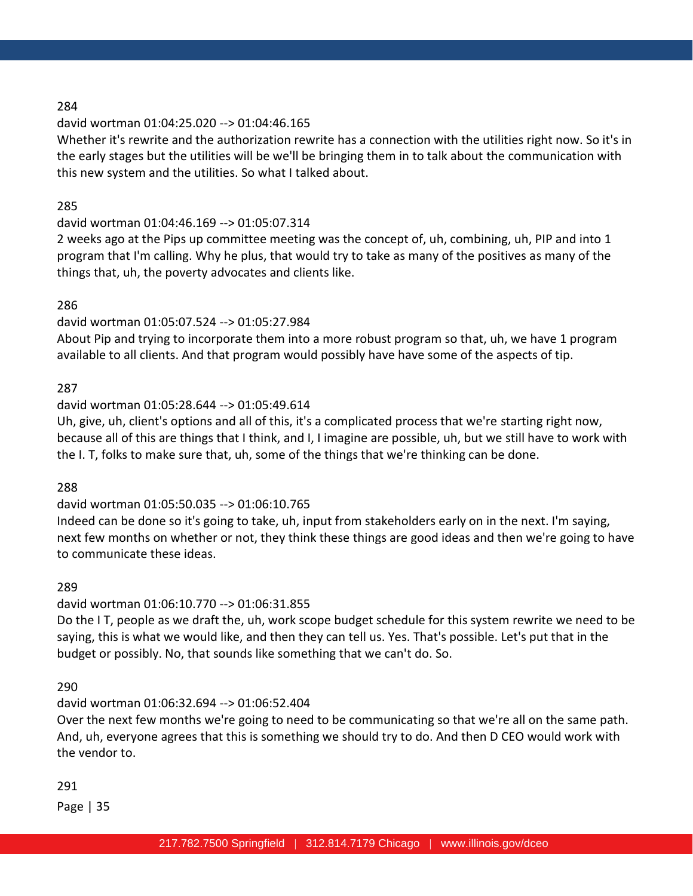### david wortman 01:04:25.020 --> 01:04:46.165

Whether it's rewrite and the authorization rewrite has a connection with the utilities right now. So it's in the early stages but the utilities will be we'll be bringing them in to talk about the communication with this new system and the utilities. So what I talked about.

### 285

### david wortman 01:04:46.169 --> 01:05:07.314

2 weeks ago at the Pips up committee meeting was the concept of, uh, combining, uh, PIP and into 1 program that I'm calling. Why he plus, that would try to take as many of the positives as many of the things that, uh, the poverty advocates and clients like.

### 286

### david wortman 01:05:07.524 --> 01:05:27.984

About Pip and trying to incorporate them into a more robust program so that, uh, we have 1 program available to all clients. And that program would possibly have have some of the aspects of tip.

### 287

### david wortman 01:05:28.644 --> 01:05:49.614

Uh, give, uh, client's options and all of this, it's a complicated process that we're starting right now, because all of this are things that I think, and I, I imagine are possible, uh, but we still have to work with the I. T, folks to make sure that, uh, some of the things that we're thinking can be done.

### 288

# david wortman 01:05:50.035 --> 01:06:10.765

Indeed can be done so it's going to take, uh, input from stakeholders early on in the next. I'm saying, next few months on whether or not, they think these things are good ideas and then we're going to have to communicate these ideas.

#### 289

# david wortman 01:06:10.770 --> 01:06:31.855

Do the I T, people as we draft the, uh, work scope budget schedule for this system rewrite we need to be saying, this is what we would like, and then they can tell us. Yes. That's possible. Let's put that in the budget or possibly. No, that sounds like something that we can't do. So.

#### 290

# david wortman 01:06:32.694 --> 01:06:52.404

Over the next few months we're going to need to be communicating so that we're all on the same path. And, uh, everyone agrees that this is something we should try to do. And then D CEO would work with the vendor to.

#### 291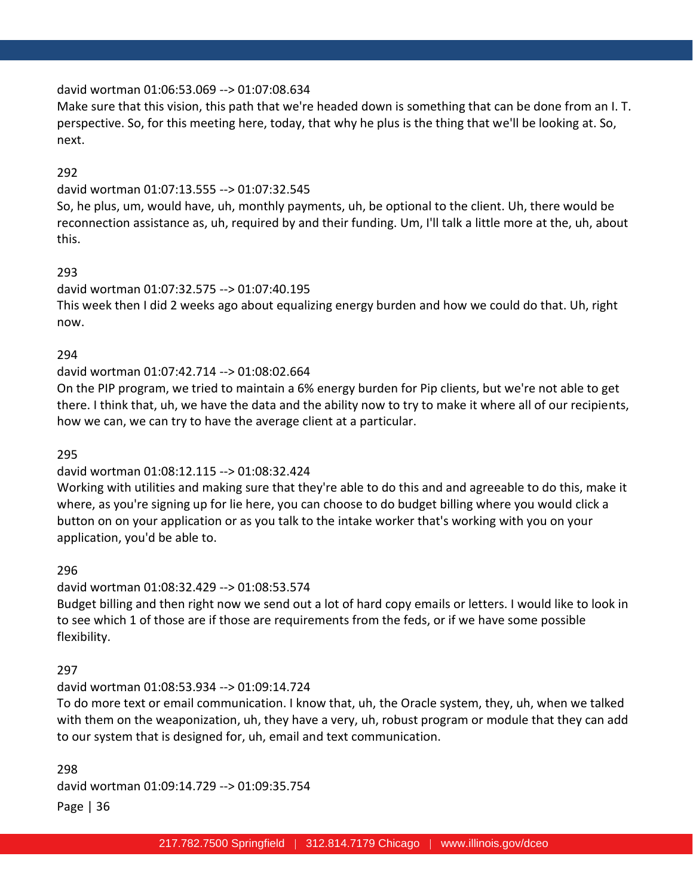#### david wortman 01:06:53.069 --> 01:07:08.634

Make sure that this vision, this path that we're headed down is something that can be done from an I. T. perspective. So, for this meeting here, today, that why he plus is the thing that we'll be looking at. So, next.

### 292

#### david wortman 01:07:13.555 --> 01:07:32.545

So, he plus, um, would have, uh, monthly payments, uh, be optional to the client. Uh, there would be reconnection assistance as, uh, required by and their funding. Um, I'll talk a little more at the, uh, about this.

#### 293

# david wortman 01:07:32.575 --> 01:07:40.195 This week then I did 2 weeks ago about equalizing energy burden and how we could do that. Uh, right now.

#### 294

#### david wortman 01:07:42.714 --> 01:08:02.664

On the PIP program, we tried to maintain a 6% energy burden for Pip clients, but we're not able to get there. I think that, uh, we have the data and the ability now to try to make it where all of our recipients, how we can, we can try to have the average client at a particular.

#### 295

#### david wortman 01:08:12.115 --> 01:08:32.424

Working with utilities and making sure that they're able to do this and and agreeable to do this, make it where, as you're signing up for lie here, you can choose to do budget billing where you would click a button on on your application or as you talk to the intake worker that's working with you on your application, you'd be able to.

#### 296

#### david wortman 01:08:32.429 --> 01:08:53.574

Budget billing and then right now we send out a lot of hard copy emails or letters. I would like to look in to see which 1 of those are if those are requirements from the feds, or if we have some possible flexibility.

#### 297

#### david wortman 01:08:53.934 --> 01:09:14.724

To do more text or email communication. I know that, uh, the Oracle system, they, uh, when we talked with them on the weaponization, uh, they have a very, uh, robust program or module that they can add to our system that is designed for, uh, email and text communication.

Page | 36 298 david wortman 01:09:14.729 --> 01:09:35.754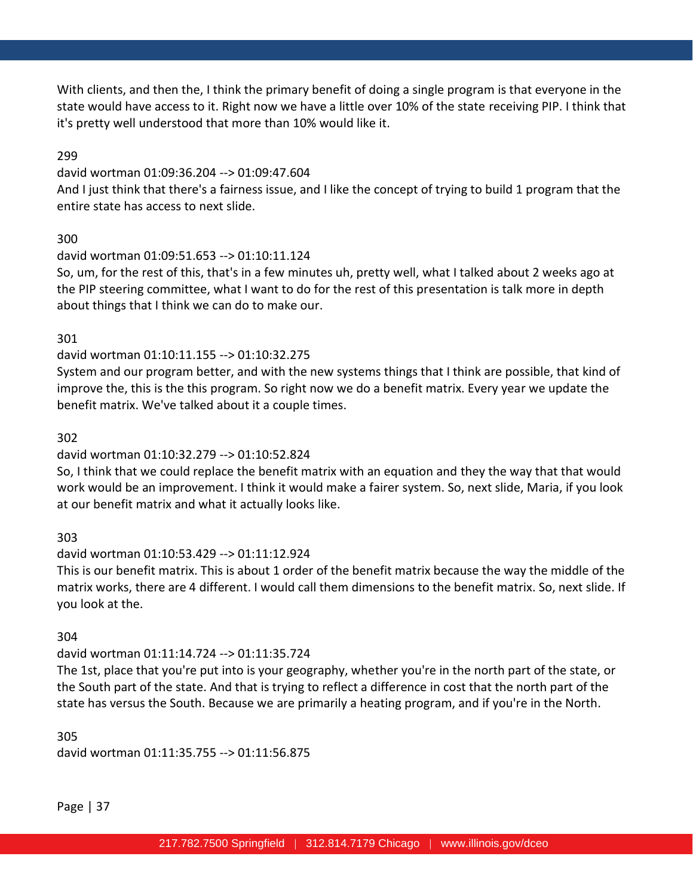With clients, and then the, I think the primary benefit of doing a single program is that everyone in the state would have access to it. Right now we have a little over 10% of the state receiving PIP. I think that it's pretty well understood that more than 10% would like it.

### 299

#### david wortman 01:09:36.204 --> 01:09:47.604

And I just think that there's a fairness issue, and I like the concept of trying to build 1 program that the entire state has access to next slide.

# 300

### david wortman 01:09:51.653 --> 01:10:11.124

So, um, for the rest of this, that's in a few minutes uh, pretty well, what I talked about 2 weeks ago at the PIP steering committee, what I want to do for the rest of this presentation is talk more in depth about things that I think we can do to make our.

# 301

# david wortman 01:10:11.155 --> 01:10:32.275

System and our program better, and with the new systems things that I think are possible, that kind of improve the, this is the this program. So right now we do a benefit matrix. Every year we update the benefit matrix. We've talked about it a couple times.

### 302

# david wortman 01:10:32.279 --> 01:10:52.824

So, I think that we could replace the benefit matrix with an equation and they the way that that would work would be an improvement. I think it would make a fairer system. So, next slide, Maria, if you look at our benefit matrix and what it actually looks like.

# 303

# david wortman 01:10:53.429 --> 01:11:12.924

This is our benefit matrix. This is about 1 order of the benefit matrix because the way the middle of the matrix works, there are 4 different. I would call them dimensions to the benefit matrix. So, next slide. If you look at the.

# 304

# david wortman 01:11:14.724 --> 01:11:35.724

The 1st, place that you're put into is your geography, whether you're in the north part of the state, or the South part of the state. And that is trying to reflect a difference in cost that the north part of the state has versus the South. Because we are primarily a heating program, and if you're in the North.

305 david wortman 01:11:35.755 --> 01:11:56.875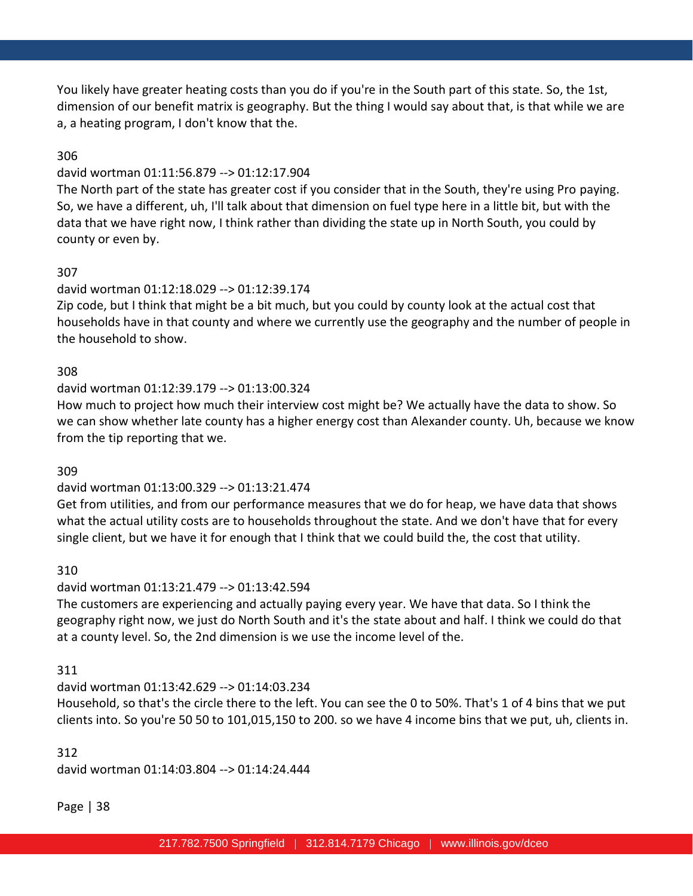You likely have greater heating costs than you do if you're in the South part of this state. So, the 1st, dimension of our benefit matrix is geography. But the thing I would say about that, is that while we are a, a heating program, I don't know that the.

### 306

#### david wortman 01:11:56.879 --> 01:12:17.904

The North part of the state has greater cost if you consider that in the South, they're using Pro paying. So, we have a different, uh, I'll talk about that dimension on fuel type here in a little bit, but with the data that we have right now, I think rather than dividing the state up in North South, you could by county or even by.

### 307

### david wortman 01:12:18.029 --> 01:12:39.174

Zip code, but I think that might be a bit much, but you could by county look at the actual cost that households have in that county and where we currently use the geography and the number of people in the household to show.

#### 308

#### david wortman 01:12:39.179 --> 01:13:00.324

How much to project how much their interview cost might be? We actually have the data to show. So we can show whether late county has a higher energy cost than Alexander county. Uh, because we know from the tip reporting that we.

#### 309

### david wortman 01:13:00.329 --> 01:13:21.474

Get from utilities, and from our performance measures that we do for heap, we have data that shows what the actual utility costs are to households throughout the state. And we don't have that for every single client, but we have it for enough that I think that we could build the, the cost that utility.

#### 310

#### david wortman 01:13:21.479 --> 01:13:42.594

The customers are experiencing and actually paying every year. We have that data. So I think the geography right now, we just do North South and it's the state about and half. I think we could do that at a county level. So, the 2nd dimension is we use the income level of the.

#### 311

### david wortman 01:13:42.629 --> 01:14:03.234

Household, so that's the circle there to the left. You can see the 0 to 50%. That's 1 of 4 bins that we put clients into. So you're 50 50 to 101,015,150 to 200. so we have 4 income bins that we put, uh, clients in.

#### 312

david wortman 01:14:03.804 --> 01:14:24.444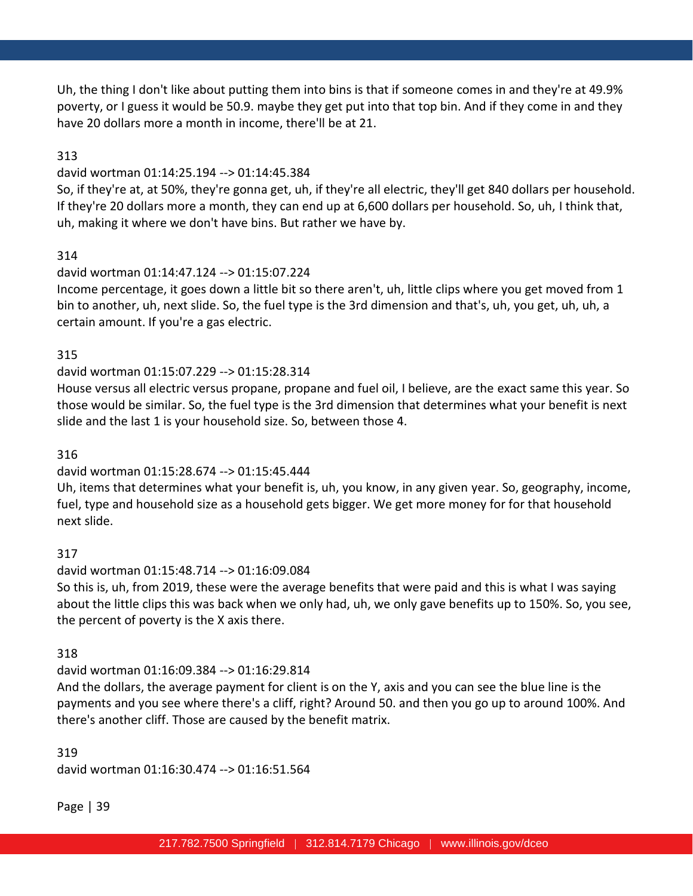Uh, the thing I don't like about putting them into bins is that if someone comes in and they're at 49.9% poverty, or I guess it would be 50.9. maybe they get put into that top bin. And if they come in and they have 20 dollars more a month in income, there'll be at 21.

### 313

### david wortman 01:14:25.194 --> 01:14:45.384

So, if they're at, at 50%, they're gonna get, uh, if they're all electric, they'll get 840 dollars per household. If they're 20 dollars more a month, they can end up at 6,600 dollars per household. So, uh, I think that, uh, making it where we don't have bins. But rather we have by.

### 314

### david wortman 01:14:47.124 --> 01:15:07.224

Income percentage, it goes down a little bit so there aren't, uh, little clips where you get moved from 1 bin to another, uh, next slide. So, the fuel type is the 3rd dimension and that's, uh, you get, uh, uh, a certain amount. If you're a gas electric.

### 315

# david wortman 01:15:07.229 --> 01:15:28.314

House versus all electric versus propane, propane and fuel oil, I believe, are the exact same this year. So those would be similar. So, the fuel type is the 3rd dimension that determines what your benefit is next slide and the last 1 is your household size. So, between those 4.

### 316

# david wortman 01:15:28.674 --> 01:15:45.444

Uh, items that determines what your benefit is, uh, you know, in any given year. So, geography, income, fuel, type and household size as a household gets bigger. We get more money for for that household next slide.

# 317

# david wortman 01:15:48.714 --> 01:16:09.084

So this is, uh, from 2019, these were the average benefits that were paid and this is what I was saying about the little clips this was back when we only had, uh, we only gave benefits up to 150%. So, you see, the percent of poverty is the X axis there.

### 318

# david wortman 01:16:09.384 --> 01:16:29.814

And the dollars, the average payment for client is on the Y, axis and you can see the blue line is the payments and you see where there's a cliff, right? Around 50. and then you go up to around 100%. And there's another cliff. Those are caused by the benefit matrix.

# 319 david wortman 01:16:30.474 --> 01:16:51.564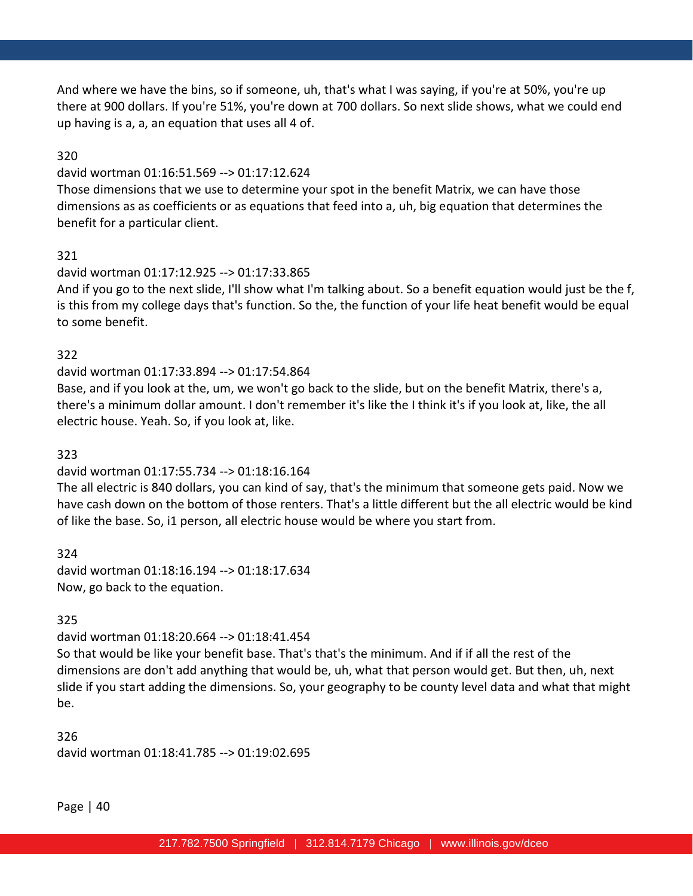And where we have the bins, so if someone, uh, that's what I was saying, if you're at 50%, you're up there at 900 dollars. If you're 51%, you're down at 700 dollars. So next slide shows, what we could end up having is a, a, an equation that uses all 4 of.

### 320

#### david wortman 01:16:51.569 --> 01:17:12.624

Those dimensions that we use to determine your spot in the benefit Matrix, we can have those dimensions as as coefficients or as equations that feed into a, uh, big equation that determines the benefit for a particular client.

### 321

### david wortman 01:17:12.925 --> 01:17:33.865

And if you go to the next slide, I'll show what I'm talking about. So a benefit equation would just be the f, is this from my college days that's function. So the, the function of your life heat benefit would be equal to some benefit.

### 322

### david wortman 01:17:33.894 --> 01:17:54.864

Base, and if you look at the, um, we won't go back to the slide, but on the benefit Matrix, there's a, there's a minimum dollar amount. I don't remember it's like the I think it's if you look at, like, the all electric house. Yeah. So, if you look at, like.

### 323

# david wortman 01:17:55.734 --> 01:18:16.164

The all electric is 840 dollars, you can kind of say, that's the minimum that someone gets paid. Now we have cash down on the bottom of those renters. That's a little different but the all electric would be kind of like the base. So, i1 person, all electric house would be where you start from.

324 david wortman 01:18:16.194 --> 01:18:17.634 Now, go back to the equation.

# 325

# david wortman 01:18:20.664 --> 01:18:41.454

So that would be like your benefit base. That's that's the minimum. And if if all the rest of the dimensions are don't add anything that would be, uh, what that person would get. But then, uh, next slide if you start adding the dimensions. So, your geography to be county level data and what that might be.

326 david wortman 01:18:41.785 --> 01:19:02.695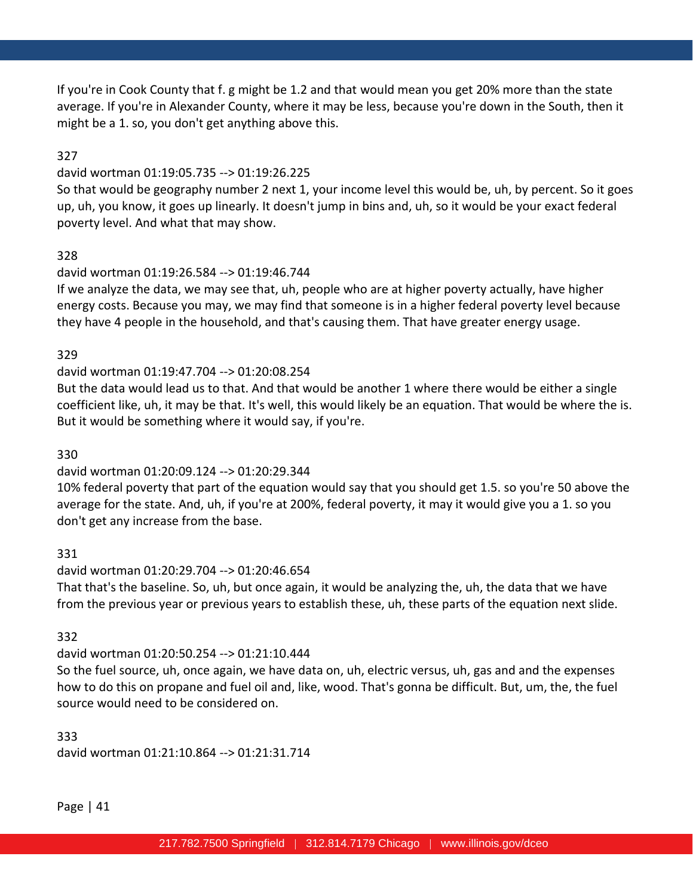If you're in Cook County that f. g might be 1.2 and that would mean you get 20% more than the state average. If you're in Alexander County, where it may be less, because you're down in the South, then it might be a 1. so, you don't get anything above this.

### 327

### david wortman 01:19:05.735 --> 01:19:26.225

So that would be geography number 2 next 1, your income level this would be, uh, by percent. So it goes up, uh, you know, it goes up linearly. It doesn't jump in bins and, uh, so it would be your exact federal poverty level. And what that may show.

# 328

### david wortman 01:19:26.584 --> 01:19:46.744

If we analyze the data, we may see that, uh, people who are at higher poverty actually, have higher energy costs. Because you may, we may find that someone is in a higher federal poverty level because they have 4 people in the household, and that's causing them. That have greater energy usage.

### 329

# david wortman 01:19:47.704 --> 01:20:08.254

But the data would lead us to that. And that would be another 1 where there would be either a single coefficient like, uh, it may be that. It's well, this would likely be an equation. That would be where the is. But it would be something where it would say, if you're.

### 330

# david wortman 01:20:09.124 --> 01:20:29.344

10% federal poverty that part of the equation would say that you should get 1.5. so you're 50 above the average for the state. And, uh, if you're at 200%, federal poverty, it may it would give you a 1. so you don't get any increase from the base.

# 331

# david wortman 01:20:29.704 --> 01:20:46.654

That that's the baseline. So, uh, but once again, it would be analyzing the, uh, the data that we have from the previous year or previous years to establish these, uh, these parts of the equation next slide.

# 332

# david wortman 01:20:50.254 --> 01:21:10.444

So the fuel source, uh, once again, we have data on, uh, electric versus, uh, gas and and the expenses how to do this on propane and fuel oil and, like, wood. That's gonna be difficult. But, um, the, the fuel source would need to be considered on.

333 david wortman 01:21:10.864 --> 01:21:31.714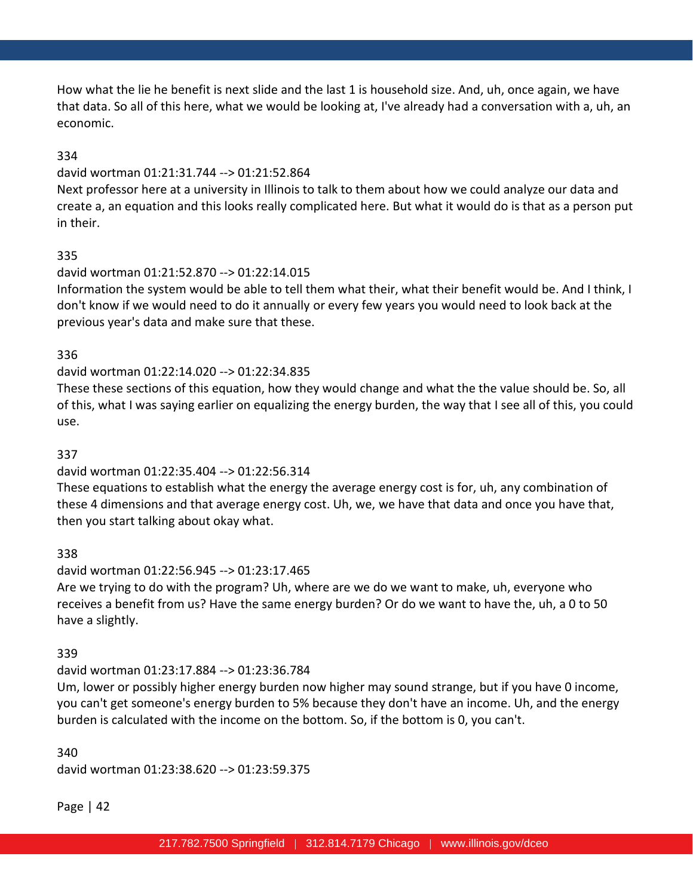How what the lie he benefit is next slide and the last 1 is household size. And, uh, once again, we have that data. So all of this here, what we would be looking at, I've already had a conversation with a, uh, an economic.

### 334

#### david wortman 01:21:31.744 --> 01:21:52.864

Next professor here at a university in Illinois to talk to them about how we could analyze our data and create a, an equation and this looks really complicated here. But what it would do is that as a person put in their.

### 335

### david wortman 01:21:52.870 --> 01:22:14.015

Information the system would be able to tell them what their, what their benefit would be. And I think, I don't know if we would need to do it annually or every few years you would need to look back at the previous year's data and make sure that these.

#### 336

### david wortman 01:22:14.020 --> 01:22:34.835

These these sections of this equation, how they would change and what the the value should be. So, all of this, what I was saying earlier on equalizing the energy burden, the way that I see all of this, you could use.

#### 337

### david wortman 01:22:35.404 --> 01:22:56.314

These equations to establish what the energy the average energy cost is for, uh, any combination of these 4 dimensions and that average energy cost. Uh, we, we have that data and once you have that, then you start talking about okay what.

### 338

### david wortman 01:22:56.945 --> 01:23:17.465 Are we trying to do with the program? Uh, where are we do we want to make, uh, everyone who receives a benefit from us? Have the same energy burden? Or do we want to have the, uh, a 0 to 50

have a slightly.

# 339

# david wortman 01:23:17.884 --> 01:23:36.784

Um, lower or possibly higher energy burden now higher may sound strange, but if you have 0 income, you can't get someone's energy burden to 5% because they don't have an income. Uh, and the energy burden is calculated with the income on the bottom. So, if the bottom is 0, you can't.

# 340 david wortman 01:23:38.620 --> 01:23:59.375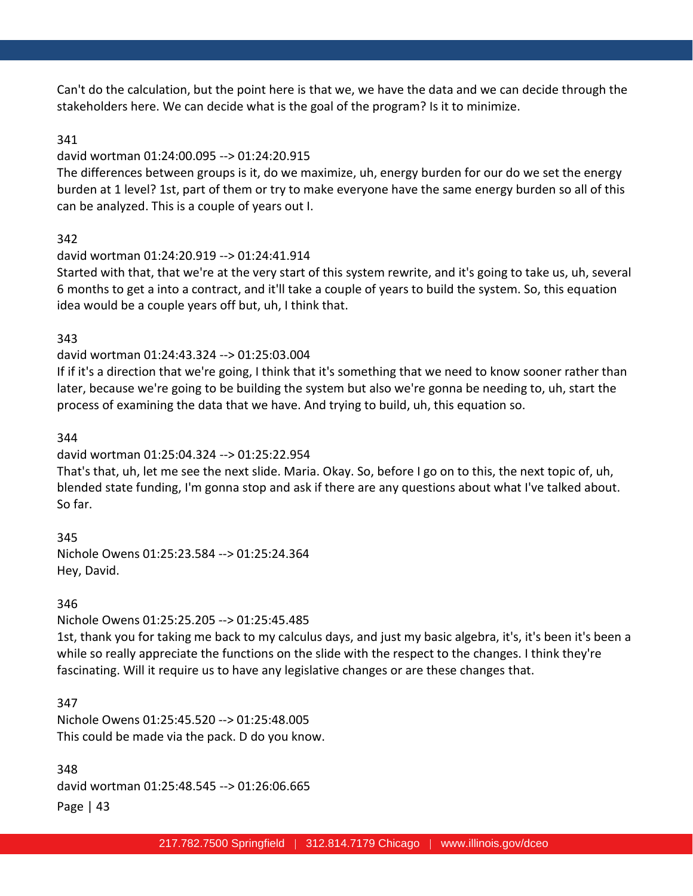Can't do the calculation, but the point here is that we, we have the data and we can decide through the stakeholders here. We can decide what is the goal of the program? Is it to minimize.

#### 341

### david wortman 01:24:00.095 --> 01:24:20.915

The differences between groups is it, do we maximize, uh, energy burden for our do we set the energy burden at 1 level? 1st, part of them or try to make everyone have the same energy burden so all of this can be analyzed. This is a couple of years out I.

### 342

### david wortman 01:24:20.919 --> 01:24:41.914

Started with that, that we're at the very start of this system rewrite, and it's going to take us, uh, several 6 months to get a into a contract, and it'll take a couple of years to build the system. So, this equation idea would be a couple years off but, uh, I think that.

### 343

### david wortman 01:24:43.324 --> 01:25:03.004

If if it's a direction that we're going, I think that it's something that we need to know sooner rather than later, because we're going to be building the system but also we're gonna be needing to, uh, start the process of examining the data that we have. And trying to build, uh, this equation so.

#### 344

### david wortman 01:25:04.324 --> 01:25:22.954

That's that, uh, let me see the next slide. Maria. Okay. So, before I go on to this, the next topic of, uh, blended state funding, I'm gonna stop and ask if there are any questions about what I've talked about. So far.

345 Nichole Owens 01:25:23.584 --> 01:25:24.364 Hey, David.

### 346

Nichole Owens 01:25:25.205 --> 01:25:45.485

1st, thank you for taking me back to my calculus days, and just my basic algebra, it's, it's been it's been a while so really appreciate the functions on the slide with the respect to the changes. I think they're fascinating. Will it require us to have any legislative changes or are these changes that.

### 347

Nichole Owens 01:25:45.520 --> 01:25:48.005 This could be made via the pack. D do you know.

Page | 43 348 david wortman 01:25:48.545 --> 01:26:06.665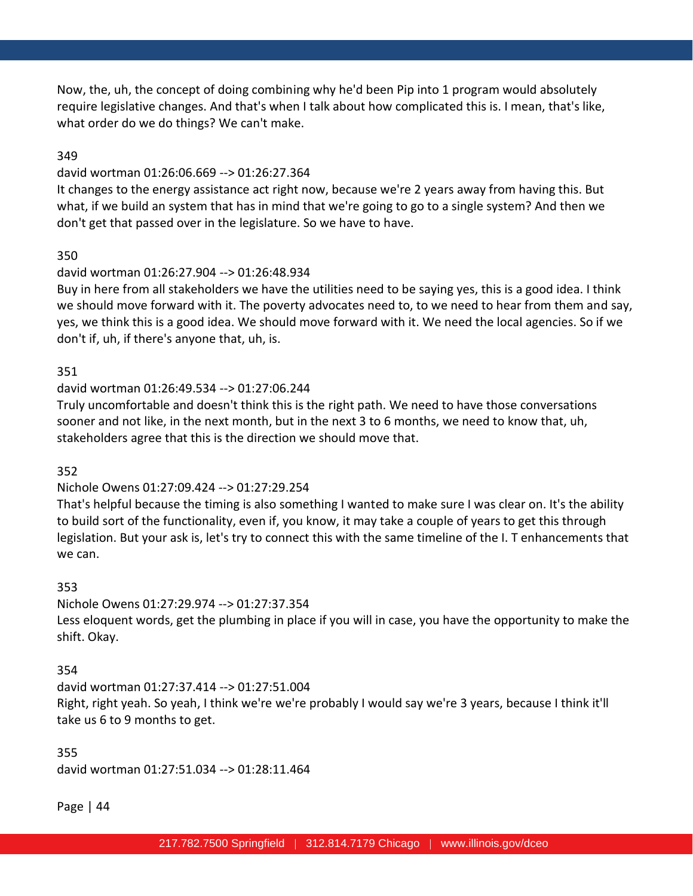Now, the, uh, the concept of doing combining why he'd been Pip into 1 program would absolutely require legislative changes. And that's when I talk about how complicated this is. I mean, that's like, what order do we do things? We can't make.

#### 349

#### david wortman 01:26:06.669 --> 01:26:27.364

It changes to the energy assistance act right now, because we're 2 years away from having this. But what, if we build an system that has in mind that we're going to go to a single system? And then we don't get that passed over in the legislature. So we have to have.

#### 350

#### david wortman 01:26:27.904 --> 01:26:48.934

Buy in here from all stakeholders we have the utilities need to be saying yes, this is a good idea. I think we should move forward with it. The poverty advocates need to, to we need to hear from them and say, yes, we think this is a good idea. We should move forward with it. We need the local agencies. So if we don't if, uh, if there's anyone that, uh, is.

#### 351

#### david wortman 01:26:49.534 --> 01:27:06.244

Truly uncomfortable and doesn't think this is the right path. We need to have those conversations sooner and not like, in the next month, but in the next 3 to 6 months, we need to know that, uh, stakeholders agree that this is the direction we should move that.

#### 352

#### Nichole Owens 01:27:09.424 --> 01:27:29.254

That's helpful because the timing is also something I wanted to make sure I was clear on. It's the ability to build sort of the functionality, even if, you know, it may take a couple of years to get this through legislation. But your ask is, let's try to connect this with the same timeline of the I. T enhancements that we can.

#### 353

Nichole Owens 01:27:29.974 --> 01:27:37.354 Less eloquent words, get the plumbing in place if you will in case, you have the opportunity to make the shift. Okay.

#### 354

david wortman 01:27:37.414 --> 01:27:51.004 Right, right yeah. So yeah, I think we're we're probably I would say we're 3 years, because I think it'll take us 6 to 9 months to get.

# 355 david wortman 01:27:51.034 --> 01:28:11.464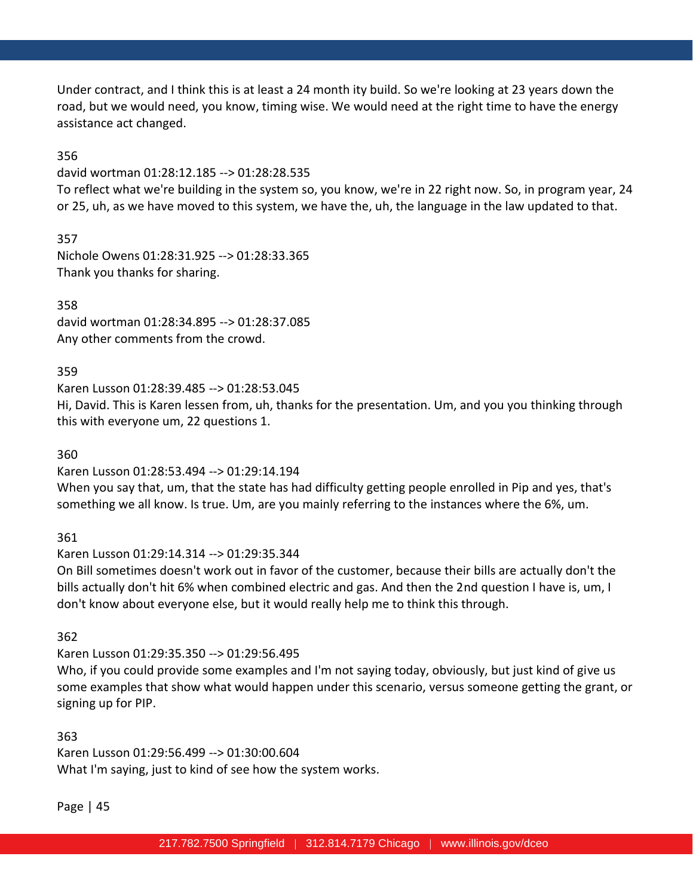Under contract, and I think this is at least a 24 month ity build. So we're looking at 23 years down the road, but we would need, you know, timing wise. We would need at the right time to have the energy assistance act changed.

356

#### david wortman 01:28:12.185 --> 01:28:28.535

To reflect what we're building in the system so, you know, we're in 22 right now. So, in program year, 24 or 25, uh, as we have moved to this system, we have the, uh, the language in the law updated to that.

357 Nichole Owens 01:28:31.925 --> 01:28:33.365 Thank you thanks for sharing.

358 david wortman 01:28:34.895 --> 01:28:37.085 Any other comments from the crowd.

### 359

Karen Lusson 01:28:39.485 --> 01:28:53.045 Hi, David. This is Karen lessen from, uh, thanks for the presentation. Um, and you you thinking through this with everyone um, 22 questions 1.

360

Karen Lusson 01:28:53.494 --> 01:29:14.194

When you say that, um, that the state has had difficulty getting people enrolled in Pip and yes, that's something we all know. Is true. Um, are you mainly referring to the instances where the 6%, um.

361

Karen Lusson 01:29:14.314 --> 01:29:35.344

On Bill sometimes doesn't work out in favor of the customer, because their bills are actually don't the bills actually don't hit 6% when combined electric and gas. And then the 2nd question I have is, um, I don't know about everyone else, but it would really help me to think this through.

362

Karen Lusson 01:29:35.350 --> 01:29:56.495

Who, if you could provide some examples and I'm not saying today, obviously, but just kind of give us some examples that show what would happen under this scenario, versus someone getting the grant, or signing up for PIP.

363

Karen Lusson 01:29:56.499 --> 01:30:00.604 What I'm saying, just to kind of see how the system works.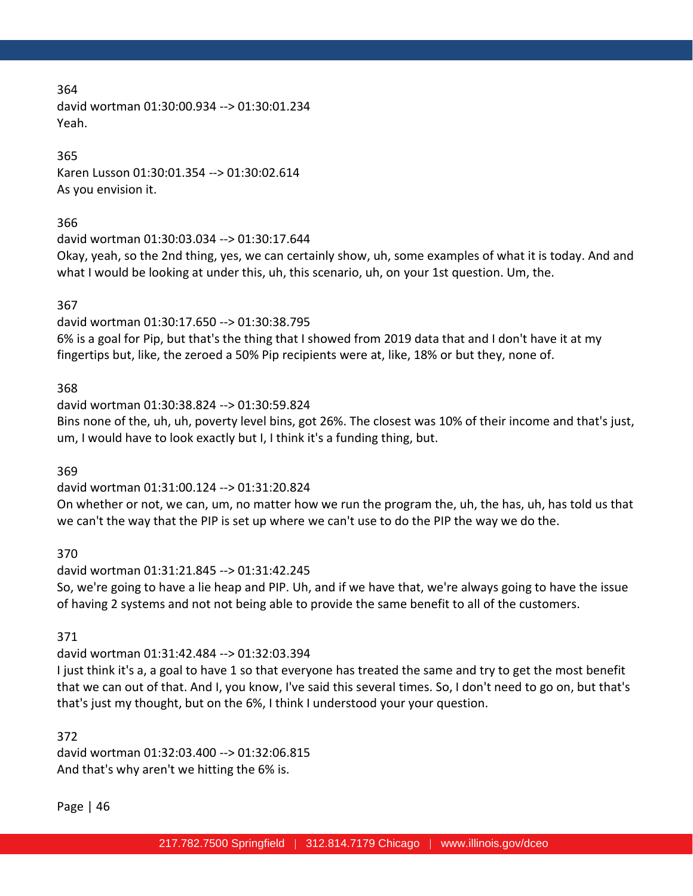david wortman 01:30:00.934 --> 01:30:01.234 Yeah.

### 365

Karen Lusson 01:30:01.354 --> 01:30:02.614 As you envision it.

#### 366

david wortman 01:30:03.034 --> 01:30:17.644

Okay, yeah, so the 2nd thing, yes, we can certainly show, uh, some examples of what it is today. And and what I would be looking at under this, uh, this scenario, uh, on your 1st question. Um, the.

### 367

david wortman 01:30:17.650 --> 01:30:38.795 6% is a goal for Pip, but that's the thing that I showed from 2019 data that and I don't have it at my fingertips but, like, the zeroed a 50% Pip recipients were at, like, 18% or but they, none of.

### 368

david wortman 01:30:38.824 --> 01:30:59.824 Bins none of the, uh, uh, poverty level bins, got 26%. The closest was 10% of their income and that's just, um, I would have to look exactly but I, I think it's a funding thing, but.

369

### david wortman 01:31:00.124 --> 01:31:20.824

On whether or not, we can, um, no matter how we run the program the, uh, the has, uh, has told us that we can't the way that the PIP is set up where we can't use to do the PIP the way we do the.

370

# david wortman 01:31:21.845 --> 01:31:42.245

So, we're going to have a lie heap and PIP. Uh, and if we have that, we're always going to have the issue of having 2 systems and not not being able to provide the same benefit to all of the customers.

371

# david wortman 01:31:42.484 --> 01:32:03.394

I just think it's a, a goal to have 1 so that everyone has treated the same and try to get the most benefit that we can out of that. And I, you know, I've said this several times. So, I don't need to go on, but that's that's just my thought, but on the 6%, I think I understood your your question.

372

david wortman 01:32:03.400 --> 01:32:06.815 And that's why aren't we hitting the 6% is.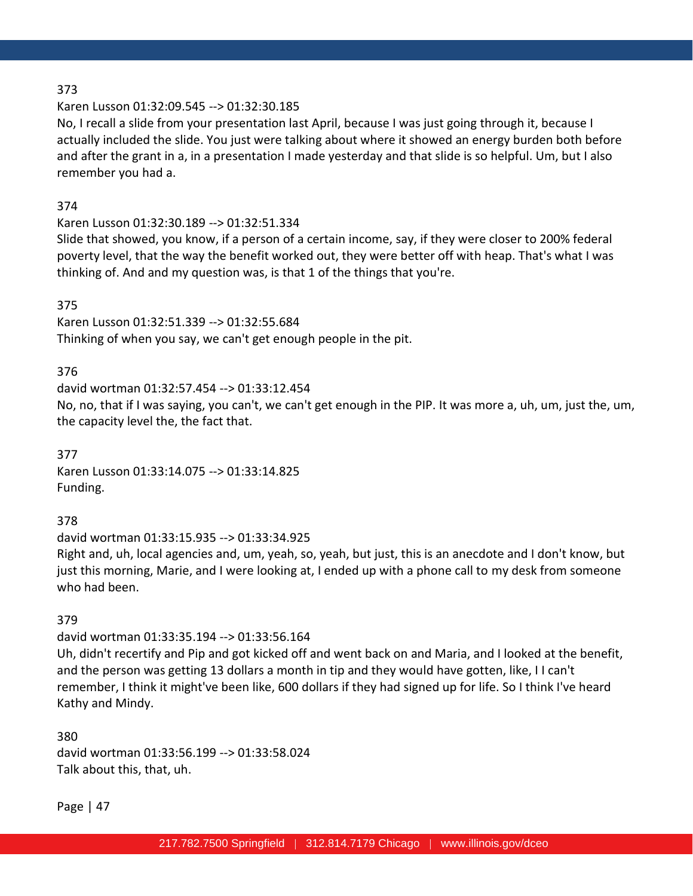### Karen Lusson 01:32:09.545 --> 01:32:30.185

No, I recall a slide from your presentation last April, because I was just going through it, because I actually included the slide. You just were talking about where it showed an energy burden both before and after the grant in a, in a presentation I made yesterday and that slide is so helpful. Um, but I also remember you had a.

### 374

## Karen Lusson 01:32:30.189 --> 01:32:51.334

Slide that showed, you know, if a person of a certain income, say, if they were closer to 200% federal poverty level, that the way the benefit worked out, they were better off with heap. That's what I was thinking of. And and my question was, is that 1 of the things that you're.

### 375

Karen Lusson 01:32:51.339 --> 01:32:55.684 Thinking of when you say, we can't get enough people in the pit.

### 376

david wortman 01:32:57.454 --> 01:33:12.454 No, no, that if I was saying, you can't, we can't get enough in the PIP. It was more a, uh, um, just the, um, the capacity level the, the fact that.

377 Karen Lusson 01:33:14.075 --> 01:33:14.825 Funding.

# 378

david wortman 01:33:15.935 --> 01:33:34.925 Right and, uh, local agencies and, um, yeah, so, yeah, but just, this is an anecdote and I don't know, but just this morning, Marie, and I were looking at, I ended up with a phone call to my desk from someone who had been.

### 379

### david wortman 01:33:35.194 --> 01:33:56.164

Uh, didn't recertify and Pip and got kicked off and went back on and Maria, and I looked at the benefit, and the person was getting 13 dollars a month in tip and they would have gotten, like, I I can't remember, I think it might've been like, 600 dollars if they had signed up for life. So I think I've heard Kathy and Mindy.

380 david wortman 01:33:56.199 --> 01:33:58.024 Talk about this, that, uh.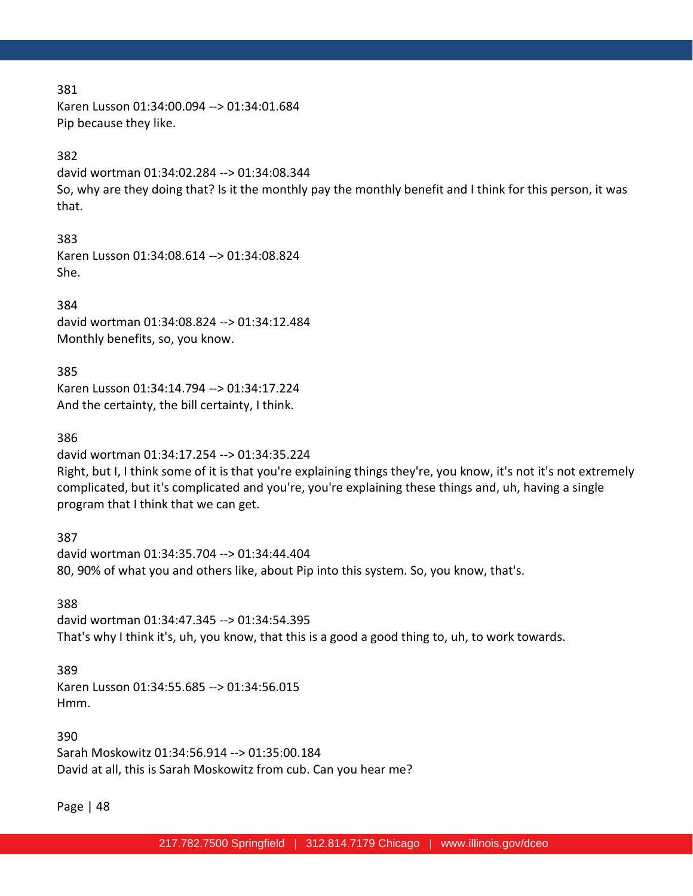Karen Lusson 01:34:00.094 --> 01:34:01.684 Pip because they like.

### 382

david wortman 01:34:02.284 --> 01:34:08.344 So, why are they doing that? Is it the monthly pay the monthly benefit and I think for this person, it was that.

#### 383

Karen Lusson 01:34:08.614 --> 01:34:08.824 She.

384 david wortman 01:34:08.824 --> 01:34:12.484 Monthly benefits, so, you know.

385 Karen Lusson 01:34:14.794 --> 01:34:17.224 And the certainty, the bill certainty, I think.

#### 386

david wortman 01:34:17.254 --> 01:34:35.224 Right, but I, I think some of it is that you're explaining things they're, you know, it's not it's not extremely complicated, but it's complicated and you're, you're explaining these things and, uh, having a single program that I think that we can get.

387 david wortman 01:34:35.704 --> 01:34:44.404 80, 90% of what you and others like, about Pip into this system. So, you know, that's.

388 david wortman 01:34:47.345 --> 01:34:54.395 That's why I think it's, uh, you know, that this is a good a good thing to, uh, to work towards.

#### 389

Karen Lusson 01:34:55.685 --> 01:34:56.015 Hmm.

390 Sarah Moskowitz 01:34:56.914 --> 01:35:00.184 David at all, this is Sarah Moskowitz from cub. Can you hear me?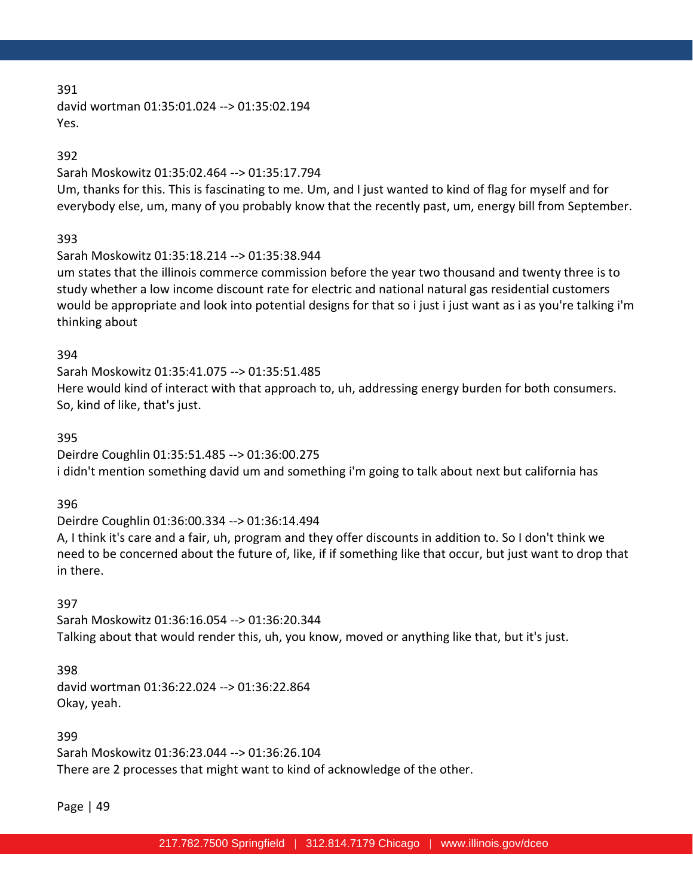david wortman 01:35:01.024 --> 01:35:02.194 Yes.

### 392

### Sarah Moskowitz 01:35:02.464 --> 01:35:17.794

Um, thanks for this. This is fascinating to me. Um, and I just wanted to kind of flag for myself and for everybody else, um, many of you probably know that the recently past, um, energy bill from September.

# 393

# Sarah Moskowitz 01:35:18.214 --> 01:35:38.944

um states that the illinois commerce commission before the year two thousand and twenty three is to study whether a low income discount rate for electric and national natural gas residential customers would be appropriate and look into potential designs for that so i just i just want as i as you're talking i'm thinking about

### 394

Sarah Moskowitz 01:35:41.075 --> 01:35:51.485 Here would kind of interact with that approach to, uh, addressing energy burden for both consumers. So, kind of like, that's just.

### 395

Deirdre Coughlin 01:35:51.485 --> 01:36:00.275 i didn't mention something david um and something i'm going to talk about next but california has

# 396

Deirdre Coughlin 01:36:00.334 --> 01:36:14.494

A, I think it's care and a fair, uh, program and they offer discounts in addition to. So I don't think we need to be concerned about the future of, like, if if something like that occur, but just want to drop that in there.

# 397

Sarah Moskowitz 01:36:16.054 --> 01:36:20.344 Talking about that would render this, uh, you know, moved or anything like that, but it's just.

### 398

david wortman 01:36:22.024 --> 01:36:22.864 Okay, yeah.

399 Sarah Moskowitz 01:36:23.044 --> 01:36:26.104 There are 2 processes that might want to kind of acknowledge of the other.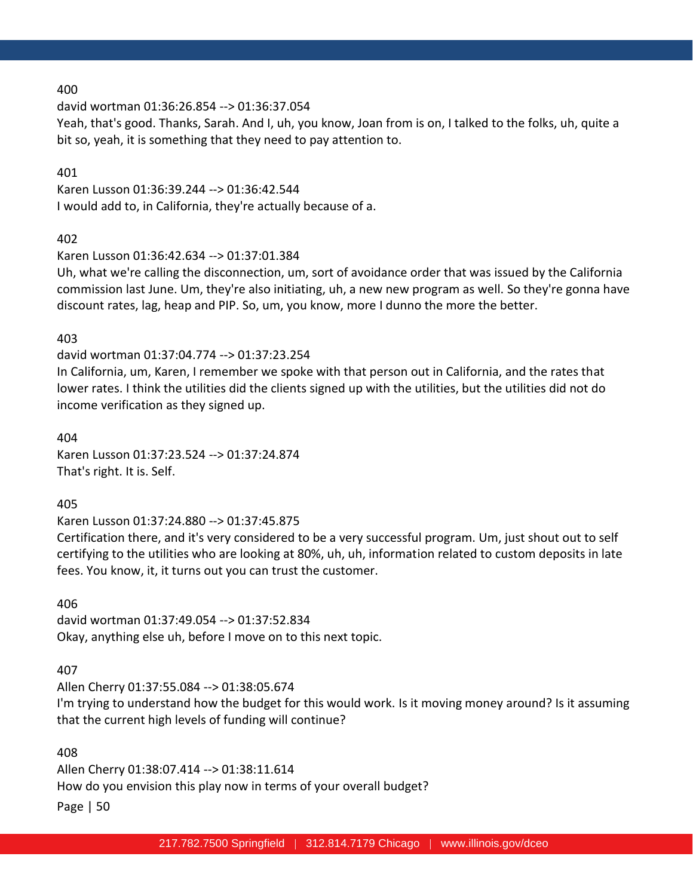david wortman 01:36:26.854 --> 01:36:37.054

Yeah, that's good. Thanks, Sarah. And I, uh, you know, Joan from is on, I talked to the folks, uh, quite a bit so, yeah, it is something that they need to pay attention to.

#### 401

Karen Lusson 01:36:39.244 --> 01:36:42.544 I would add to, in California, they're actually because of a.

### 402

Karen Lusson 01:36:42.634 --> 01:37:01.384

Uh, what we're calling the disconnection, um, sort of avoidance order that was issued by the California commission last June. Um, they're also initiating, uh, a new new program as well. So they're gonna have discount rates, lag, heap and PIP. So, um, you know, more I dunno the more the better.

### 403

david wortman 01:37:04.774 --> 01:37:23.254 In California, um, Karen, I remember we spoke with that person out in California, and the rates that lower rates. I think the utilities did the clients signed up with the utilities, but the utilities did not do income verification as they signed up.

404 Karen Lusson 01:37:23.524 --> 01:37:24.874 That's right. It is. Self.

# 405

Karen Lusson 01:37:24.880 --> 01:37:45.875

Certification there, and it's very considered to be a very successful program. Um, just shout out to self certifying to the utilities who are looking at 80%, uh, uh, information related to custom deposits in late fees. You know, it, it turns out you can trust the customer.

### 406

david wortman 01:37:49.054 --> 01:37:52.834 Okay, anything else uh, before I move on to this next topic.

# 407

Allen Cherry 01:37:55.084 --> 01:38:05.674 I'm trying to understand how the budget for this would work. Is it moving money around? Is it assuming that the current high levels of funding will continue?

### 408

Page | 50 Allen Cherry 01:38:07.414 --> 01:38:11.614 How do you envision this play now in terms of your overall budget?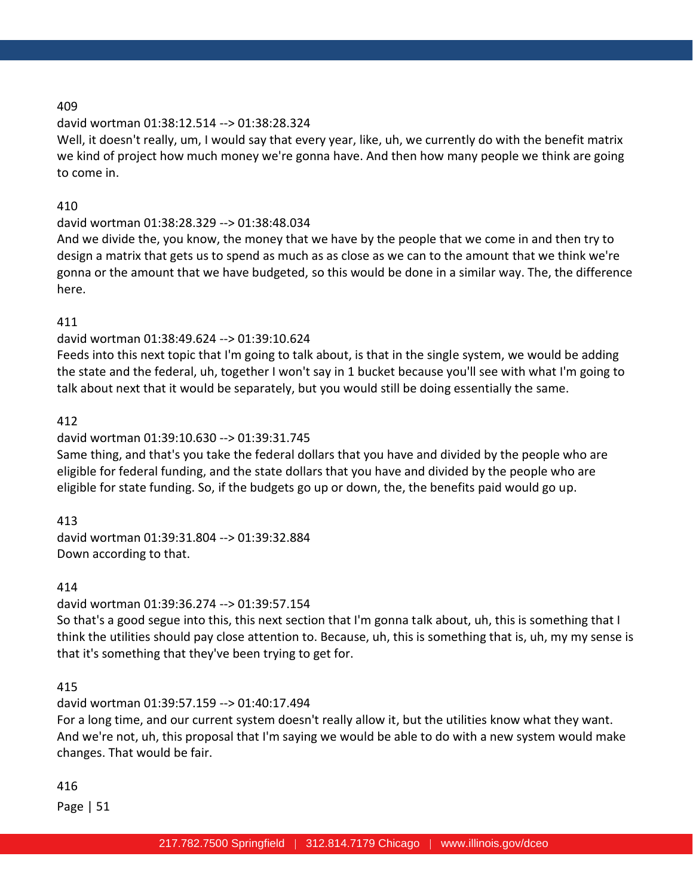## david wortman 01:38:12.514 --> 01:38:28.324

Well, it doesn't really, um, I would say that every year, like, uh, we currently do with the benefit matrix we kind of project how much money we're gonna have. And then how many people we think are going to come in.

### 410

# david wortman 01:38:28.329 --> 01:38:48.034

And we divide the, you know, the money that we have by the people that we come in and then try to design a matrix that gets us to spend as much as as close as we can to the amount that we think we're gonna or the amount that we have budgeted, so this would be done in a similar way. The, the difference here.

### 411

### david wortman 01:38:49.624 --> 01:39:10.624

Feeds into this next topic that I'm going to talk about, is that in the single system, we would be adding the state and the federal, uh, together I won't say in 1 bucket because you'll see with what I'm going to talk about next that it would be separately, but you would still be doing essentially the same.

### 412

# david wortman 01:39:10.630 --> 01:39:31.745

Same thing, and that's you take the federal dollars that you have and divided by the people who are eligible for federal funding, and the state dollars that you have and divided by the people who are eligible for state funding. So, if the budgets go up or down, the, the benefits paid would go up.

### 413

david wortman 01:39:31.804 --> 01:39:32.884 Down according to that.

### 414

### david wortman 01:39:36.274 --> 01:39:57.154

So that's a good segue into this, this next section that I'm gonna talk about, uh, this is something that I think the utilities should pay close attention to. Because, uh, this is something that is, uh, my my sense is that it's something that they've been trying to get for.

# 415

# david wortman 01:39:57.159 --> 01:40:17.494

For a long time, and our current system doesn't really allow it, but the utilities know what they want. And we're not, uh, this proposal that I'm saying we would be able to do with a new system would make changes. That would be fair.

### 416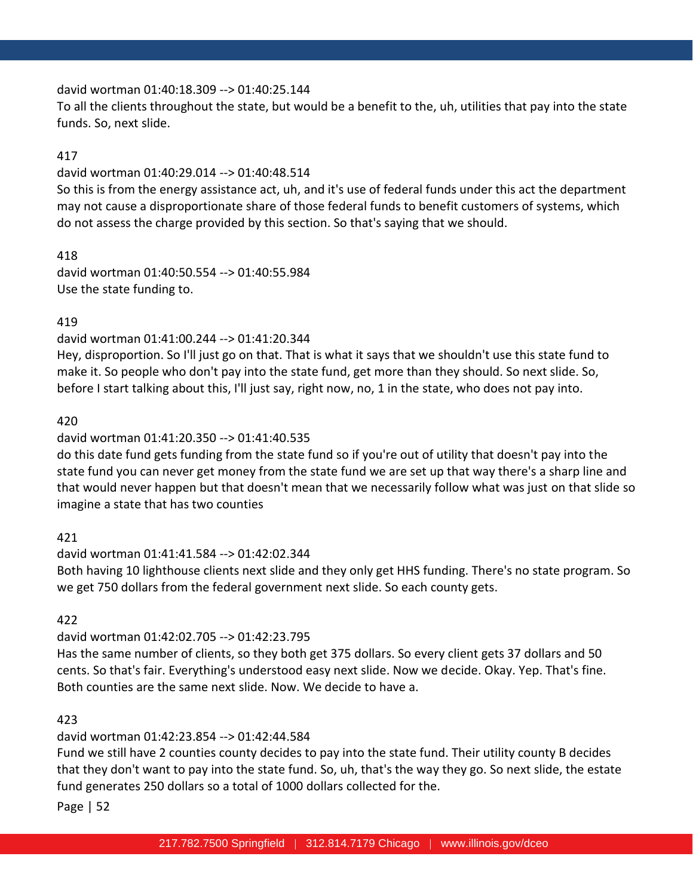### david wortman 01:40:18.309 --> 01:40:25.144

To all the clients throughout the state, but would be a benefit to the, uh, utilities that pay into the state funds. So, next slide.

## 417

### david wortman 01:40:29.014 --> 01:40:48.514

So this is from the energy assistance act, uh, and it's use of federal funds under this act the department may not cause a disproportionate share of those federal funds to benefit customers of systems, which do not assess the charge provided by this section. So that's saying that we should.

418 david wortman 01:40:50.554 --> 01:40:55.984 Use the state funding to.

# 419

## david wortman 01:41:00.244 --> 01:41:20.344

Hey, disproportion. So I'll just go on that. That is what it says that we shouldn't use this state fund to make it. So people who don't pay into the state fund, get more than they should. So next slide. So, before I start talking about this, I'll just say, right now, no, 1 in the state, who does not pay into.

### 420

# david wortman 01:41:20.350 --> 01:41:40.535

do this date fund gets funding from the state fund so if you're out of utility that doesn't pay into the state fund you can never get money from the state fund we are set up that way there's a sharp line and that would never happen but that doesn't mean that we necessarily follow what was just on that slide so imagine a state that has two counties

# 421

# david wortman 01:41:41.584 --> 01:42:02.344 Both having 10 lighthouse clients next slide and they only get HHS funding. There's no state program. So we get 750 dollars from the federal government next slide. So each county gets.

# 422

# david wortman 01:42:02.705 --> 01:42:23.795

Has the same number of clients, so they both get 375 dollars. So every client gets 37 dollars and 50 cents. So that's fair. Everything's understood easy next slide. Now we decide. Okay. Yep. That's fine. Both counties are the same next slide. Now. We decide to have a.

# 423

# david wortman 01:42:23.854 --> 01:42:44.584

Fund we still have 2 counties county decides to pay into the state fund. Their utility county B decides that they don't want to pay into the state fund. So, uh, that's the way they go. So next slide, the estate fund generates 250 dollars so a total of 1000 dollars collected for the.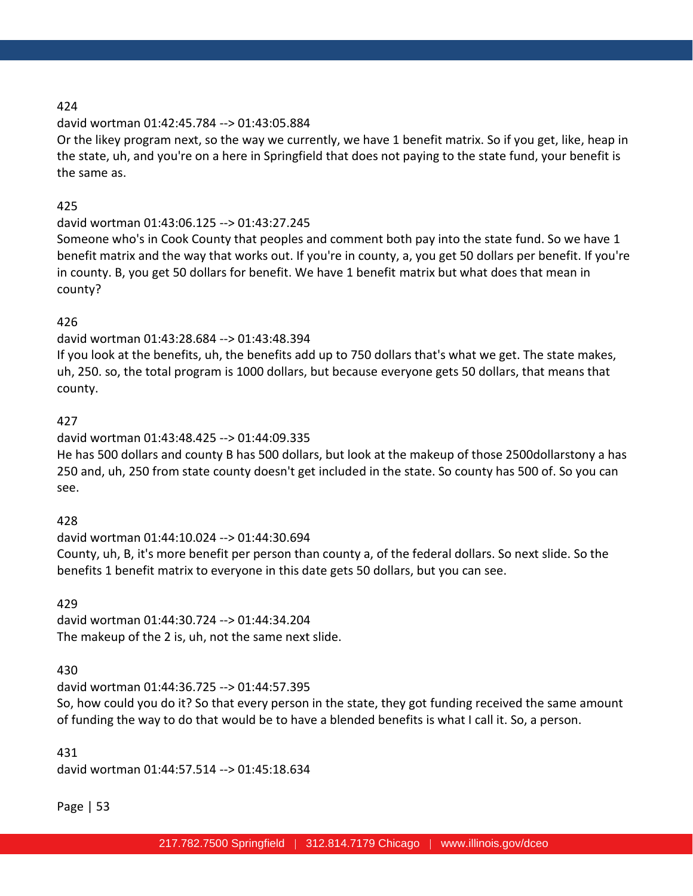### david wortman 01:42:45.784 --> 01:43:05.884

Or the likey program next, so the way we currently, we have 1 benefit matrix. So if you get, like, heap in the state, uh, and you're on a here in Springfield that does not paying to the state fund, your benefit is the same as.

### 425

# david wortman 01:43:06.125 --> 01:43:27.245

Someone who's in Cook County that peoples and comment both pay into the state fund. So we have 1 benefit matrix and the way that works out. If you're in county, a, you get 50 dollars per benefit. If you're in county. B, you get 50 dollars for benefit. We have 1 benefit matrix but what does that mean in county?

### 426

### david wortman 01:43:28.684 --> 01:43:48.394

If you look at the benefits, uh, the benefits add up to 750 dollars that's what we get. The state makes, uh, 250. so, the total program is 1000 dollars, but because everyone gets 50 dollars, that means that county.

### 427

# david wortman 01:43:48.425 --> 01:44:09.335

He has 500 dollars and county B has 500 dollars, but look at the makeup of those 2500dollarstony a has 250 and, uh, 250 from state county doesn't get included in the state. So county has 500 of. So you can see.

# 428

# david wortman 01:44:10.024 --> 01:44:30.694 County, uh, B, it's more benefit per person than county a, of the federal dollars. So next slide. So the benefits 1 benefit matrix to everyone in this date gets 50 dollars, but you can see.

# 429

david wortman 01:44:30.724 --> 01:44:34.204 The makeup of the 2 is, uh, not the same next slide.

# 430

# david wortman 01:44:36.725 --> 01:44:57.395 So, how could you do it? So that every person in the state, they got funding received the same amount of funding the way to do that would be to have a blended benefits is what I call it. So, a person.

# 431

david wortman 01:44:57.514 --> 01:45:18.634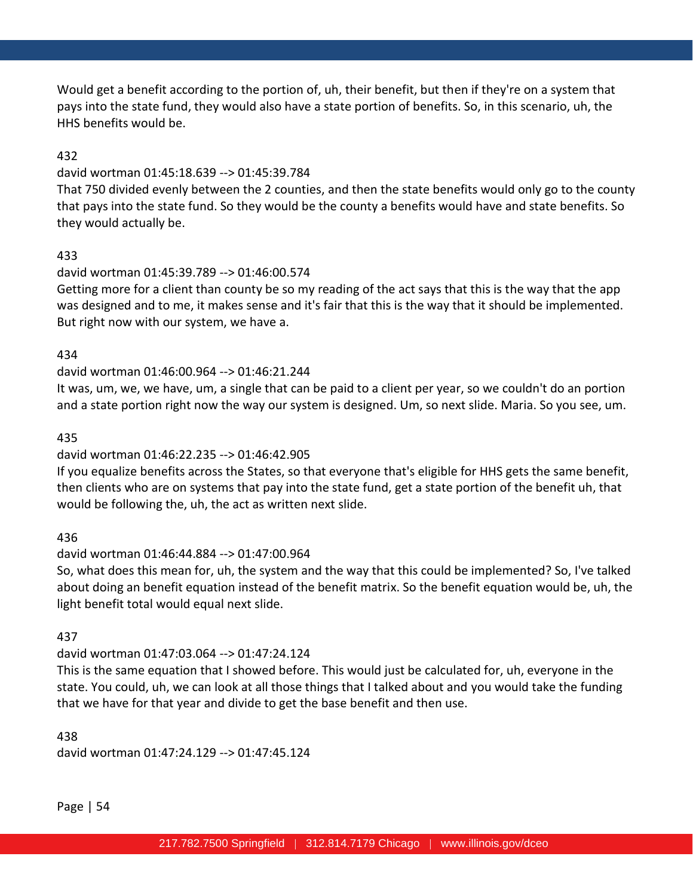Would get a benefit according to the portion of, uh, their benefit, but then if they're on a system that pays into the state fund, they would also have a state portion of benefits. So, in this scenario, uh, the HHS benefits would be.

### 432

#### david wortman 01:45:18.639 --> 01:45:39.784

That 750 divided evenly between the 2 counties, and then the state benefits would only go to the county that pays into the state fund. So they would be the county a benefits would have and state benefits. So they would actually be.

### 433

### david wortman 01:45:39.789 --> 01:46:00.574

Getting more for a client than county be so my reading of the act says that this is the way that the app was designed and to me, it makes sense and it's fair that this is the way that it should be implemented. But right now with our system, we have a.

### 434

### david wortman 01:46:00.964 --> 01:46:21.244

It was, um, we, we have, um, a single that can be paid to a client per year, so we couldn't do an portion and a state portion right now the way our system is designed. Um, so next slide. Maria. So you see, um.

### 435

# david wortman 01:46:22.235 --> 01:46:42.905

If you equalize benefits across the States, so that everyone that's eligible for HHS gets the same benefit, then clients who are on systems that pay into the state fund, get a state portion of the benefit uh, that would be following the, uh, the act as written next slide.

# 436

# david wortman 01:46:44.884 --> 01:47:00.964

So, what does this mean for, uh, the system and the way that this could be implemented? So, I've talked about doing an benefit equation instead of the benefit matrix. So the benefit equation would be, uh, the light benefit total would equal next slide.

### 437

# david wortman 01:47:03.064 --> 01:47:24.124

This is the same equation that I showed before. This would just be calculated for, uh, everyone in the state. You could, uh, we can look at all those things that I talked about and you would take the funding that we have for that year and divide to get the base benefit and then use.

### 438

david wortman 01:47:24.129 --> 01:47:45.124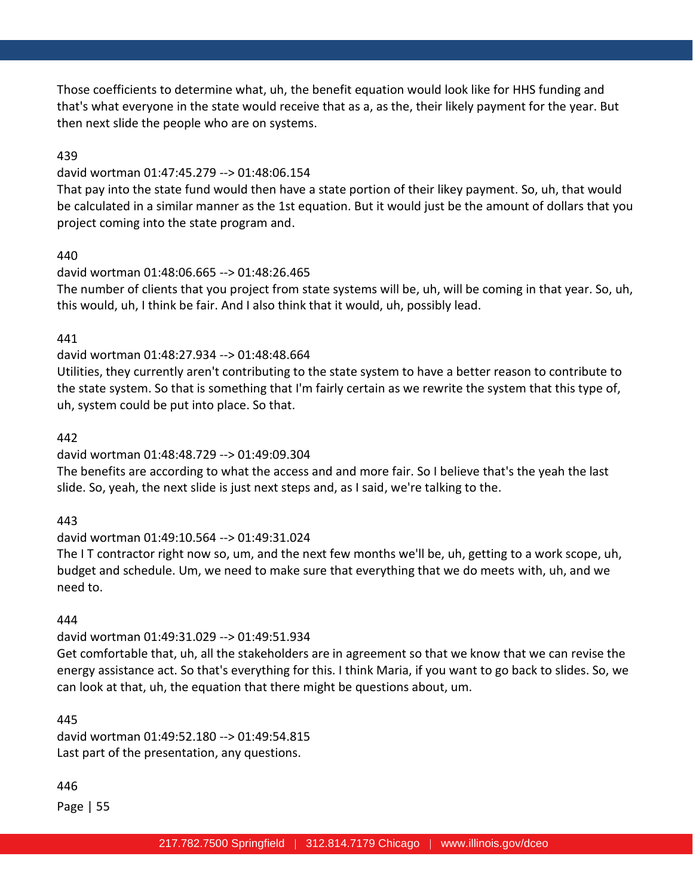Those coefficients to determine what, uh, the benefit equation would look like for HHS funding and that's what everyone in the state would receive that as a, as the, their likely payment for the year. But then next slide the people who are on systems.

### 439

#### david wortman 01:47:45.279 --> 01:48:06.154

That pay into the state fund would then have a state portion of their likey payment. So, uh, that would be calculated in a similar manner as the 1st equation. But it would just be the amount of dollars that you project coming into the state program and.

### 440

### david wortman 01:48:06.665 --> 01:48:26.465

The number of clients that you project from state systems will be, uh, will be coming in that year. So, uh, this would, uh, I think be fair. And I also think that it would, uh, possibly lead.

### 441

### david wortman 01:48:27.934 --> 01:48:48.664

Utilities, they currently aren't contributing to the state system to have a better reason to contribute to the state system. So that is something that I'm fairly certain as we rewrite the system that this type of, uh, system could be put into place. So that.

#### 442

### david wortman 01:48:48.729 --> 01:49:09.304

The benefits are according to what the access and and more fair. So I believe that's the yeah the last slide. So, yeah, the next slide is just next steps and, as I said, we're talking to the.

### 443

# david wortman 01:49:10.564 --> 01:49:31.024

The I T contractor right now so, um, and the next few months we'll be, uh, getting to a work scope, uh, budget and schedule. Um, we need to make sure that everything that we do meets with, uh, and we need to.

### 444

### david wortman 01:49:31.029 --> 01:49:51.934

Get comfortable that, uh, all the stakeholders are in agreement so that we know that we can revise the energy assistance act. So that's everything for this. I think Maria, if you want to go back to slides. So, we can look at that, uh, the equation that there might be questions about, um.

### 445

david wortman 01:49:52.180 --> 01:49:54.815 Last part of the presentation, any questions.

### 446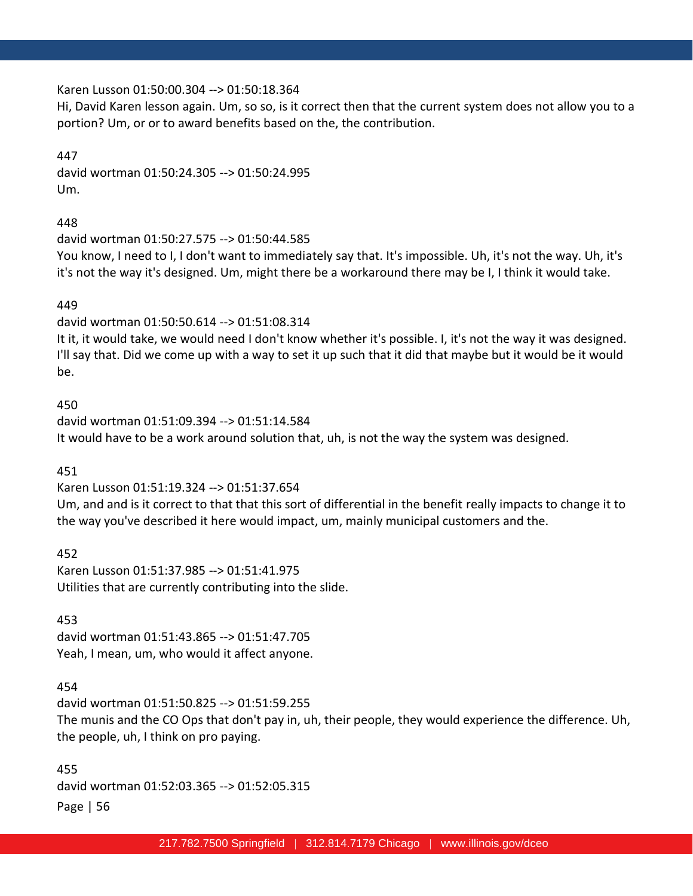#### Karen Lusson 01:50:00.304 --> 01:50:18.364

Hi, David Karen lesson again. Um, so so, is it correct then that the current system does not allow you to a portion? Um, or or to award benefits based on the, the contribution.

#### 447

david wortman 01:50:24.305 --> 01:50:24.995 Um.

448

david wortman 01:50:27.575 --> 01:50:44.585 You know, I need to I, I don't want to immediately say that. It's impossible. Uh, it's not the way. Uh, it's it's not the way it's designed. Um, might there be a workaround there may be I, I think it would take.

#### 449

david wortman 01:50:50.614 --> 01:51:08.314 It it, it would take, we would need I don't know whether it's possible. I, it's not the way it was designed. I'll say that. Did we come up with a way to set it up such that it did that maybe but it would be it would be.

450

david wortman 01:51:09.394 --> 01:51:14.584 It would have to be a work around solution that, uh, is not the way the system was designed.

451

Karen Lusson 01:51:19.324 --> 01:51:37.654 Um, and and is it correct to that that this sort of differential in the benefit really impacts to change it to the way you've described it here would impact, um, mainly municipal customers and the.

452 Karen Lusson 01:51:37.985 --> 01:51:41.975 Utilities that are currently contributing into the slide.

453 david wortman 01:51:43.865 --> 01:51:47.705 Yeah, I mean, um, who would it affect anyone.

### 454

david wortman 01:51:50.825 --> 01:51:59.255 The munis and the CO Ops that don't pay in, uh, their people, they would experience the difference. Uh, the people, uh, I think on pro paying.

Page | 56 455 david wortman 01:52:03.365 --> 01:52:05.315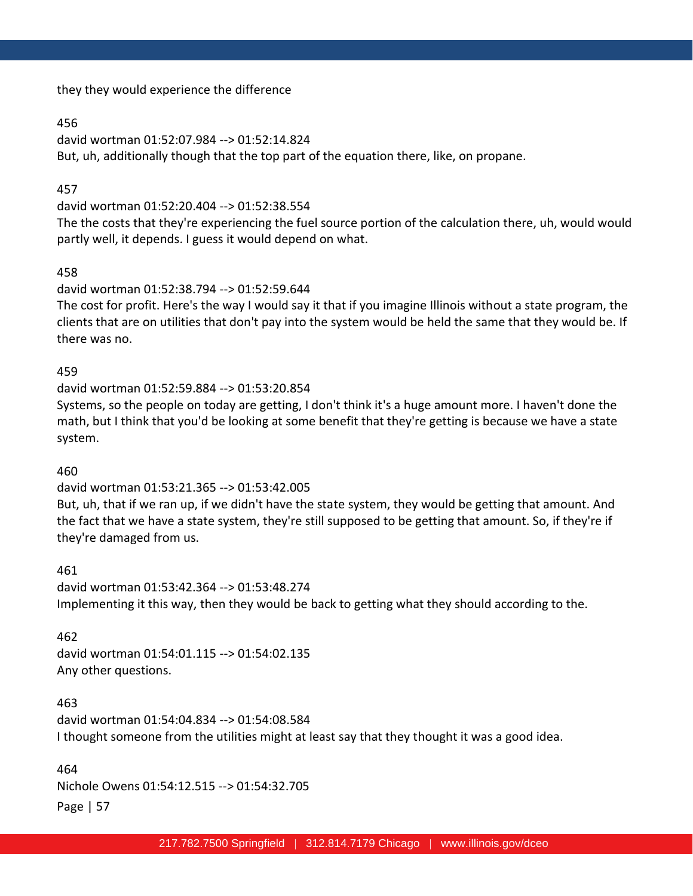they they would experience the difference

### 456

david wortman 01:52:07.984 --> 01:52:14.824 But, uh, additionally though that the top part of the equation there, like, on propane.

### 457

david wortman 01:52:20.404 --> 01:52:38.554

The the costs that they're experiencing the fuel source portion of the calculation there, uh, would would partly well, it depends. I guess it would depend on what.

### 458

david wortman 01:52:38.794 --> 01:52:59.644

The cost for profit. Here's the way I would say it that if you imagine Illinois without a state program, the clients that are on utilities that don't pay into the system would be held the same that they would be. If there was no.

### 459

david wortman 01:52:59.884 --> 01:53:20.854 Systems, so the people on today are getting, I don't think it's a huge amount more. I haven't done the math, but I think that you'd be looking at some benefit that they're getting is because we have a state system.

### 460

### david wortman 01:53:21.365 --> 01:53:42.005

But, uh, that if we ran up, if we didn't have the state system, they would be getting that amount. And the fact that we have a state system, they're still supposed to be getting that amount. So, if they're if they're damaged from us.

461 david wortman 01:53:42.364 --> 01:53:48.274 Implementing it this way, then they would be back to getting what they should according to the.

#### 462

david wortman 01:54:01.115 --> 01:54:02.135 Any other questions.

#### 463

david wortman 01:54:04.834 --> 01:54:08.584 I thought someone from the utilities might at least say that they thought it was a good idea.

# 464

Nichole Owens 01:54:12.515 --> 01:54:32.705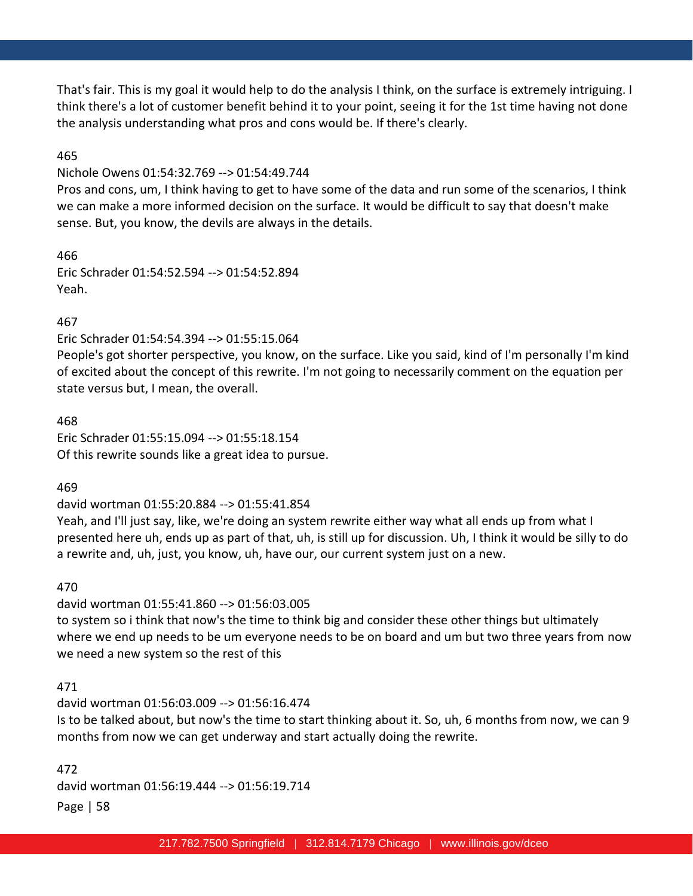That's fair. This is my goal it would help to do the analysis I think, on the surface is extremely intriguing. I think there's a lot of customer benefit behind it to your point, seeing it for the 1st time having not done the analysis understanding what pros and cons would be. If there's clearly.

### 465

Nichole Owens 01:54:32.769 --> 01:54:49.744

Pros and cons, um, I think having to get to have some of the data and run some of the scenarios, I think we can make a more informed decision on the surface. It would be difficult to say that doesn't make sense. But, you know, the devils are always in the details.

466 Eric Schrader 01:54:52.594 --> 01:54:52.894 Yeah.

### 467

Eric Schrader 01:54:54.394 --> 01:55:15.064

People's got shorter perspective, you know, on the surface. Like you said, kind of I'm personally I'm kind of excited about the concept of this rewrite. I'm not going to necessarily comment on the equation per state versus but, I mean, the overall.

468 Eric Schrader 01:55:15.094 --> 01:55:18.154

Of this rewrite sounds like a great idea to pursue.

469

david wortman 01:55:20.884 --> 01:55:41.854

Yeah, and I'll just say, like, we're doing an system rewrite either way what all ends up from what I presented here uh, ends up as part of that, uh, is still up for discussion. Uh, I think it would be silly to do a rewrite and, uh, just, you know, uh, have our, our current system just on a new.

470

david wortman 01:55:41.860 --> 01:56:03.005 to system so i think that now's the time to think big and consider these other things but ultimately where we end up needs to be um everyone needs to be on board and um but two three years from now we need a new system so the rest of this

### 471

david wortman 01:56:03.009 --> 01:56:16.474 Is to be talked about, but now's the time to start thinking about it. So, uh, 6 months from now, we can 9 months from now we can get underway and start actually doing the rewrite.

Page | 58 472 david wortman 01:56:19.444 --> 01:56:19.714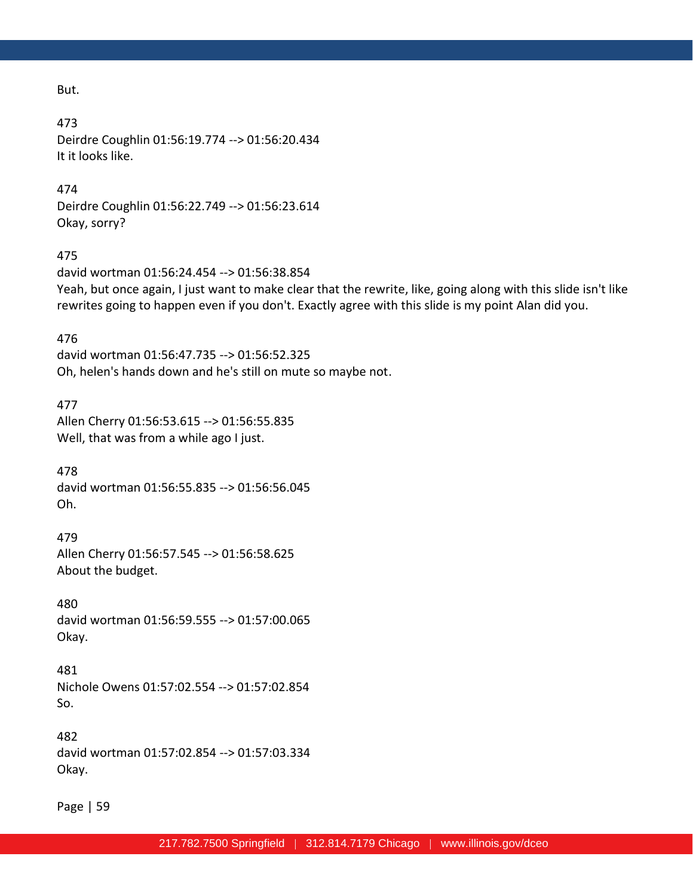But.

#### 473

Deirdre Coughlin 01:56:19.774 --> 01:56:20.434 It it looks like.

### 474

Deirdre Coughlin 01:56:22.749 --> 01:56:23.614 Okay, sorry?

### 475

david wortman 01:56:24.454 --> 01:56:38.854 Yeah, but once again, I just want to make clear that the rewrite, like, going along with this slide isn't like rewrites going to happen even if you don't. Exactly agree with this slide is my point Alan did you.

### 476

david wortman 01:56:47.735 --> 01:56:52.325 Oh, helen's hands down and he's still on mute so maybe not.

### 477

Allen Cherry 01:56:53.615 --> 01:56:55.835 Well, that was from a while ago I just.

478 david wortman 01:56:55.835 --> 01:56:56.045 Oh.

479 Allen Cherry 01:56:57.545 --> 01:56:58.625 About the budget.

480 david wortman 01:56:59.555 --> 01:57:00.065 Okay.

481 Nichole Owens 01:57:02.554 --> 01:57:02.854 So.

482 david wortman 01:57:02.854 --> 01:57:03.334 Okay.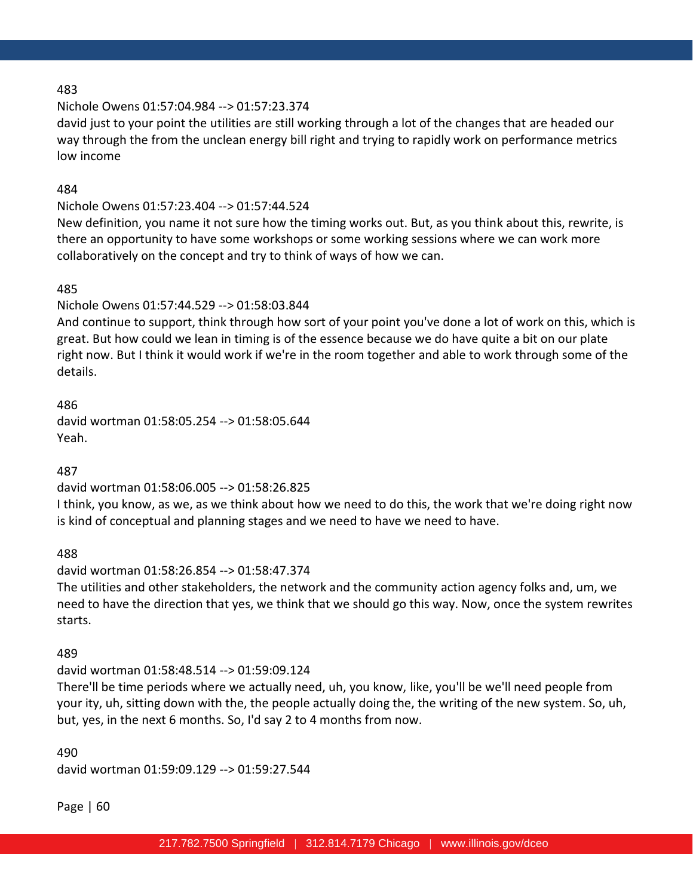### Nichole Owens 01:57:04.984 --> 01:57:23.374

david just to your point the utilities are still working through a lot of the changes that are headed our way through the from the unclean energy bill right and trying to rapidly work on performance metrics low income

### 484

# Nichole Owens 01:57:23.404 --> 01:57:44.524

New definition, you name it not sure how the timing works out. But, as you think about this, rewrite, is there an opportunity to have some workshops or some working sessions where we can work more collaboratively on the concept and try to think of ways of how we can.

### 485

Nichole Owens 01:57:44.529 --> 01:58:03.844

And continue to support, think through how sort of your point you've done a lot of work on this, which is great. But how could we lean in timing is of the essence because we do have quite a bit on our plate right now. But I think it would work if we're in the room together and able to work through some of the details.

486 david wortman 01:58:05.254 --> 01:58:05.644 Yeah.

487

# david wortman 01:58:06.005 --> 01:58:26.825

I think, you know, as we, as we think about how we need to do this, the work that we're doing right now is kind of conceptual and planning stages and we need to have we need to have.

488

# david wortman 01:58:26.854 --> 01:58:47.374

The utilities and other stakeholders, the network and the community action agency folks and, um, we need to have the direction that yes, we think that we should go this way. Now, once the system rewrites starts.

489

# david wortman 01:58:48.514 --> 01:59:09.124

There'll be time periods where we actually need, uh, you know, like, you'll be we'll need people from your ity, uh, sitting down with the, the people actually doing the, the writing of the new system. So, uh, but, yes, in the next 6 months. So, I'd say 2 to 4 months from now.

490 david wortman 01:59:09.129 --> 01:59:27.544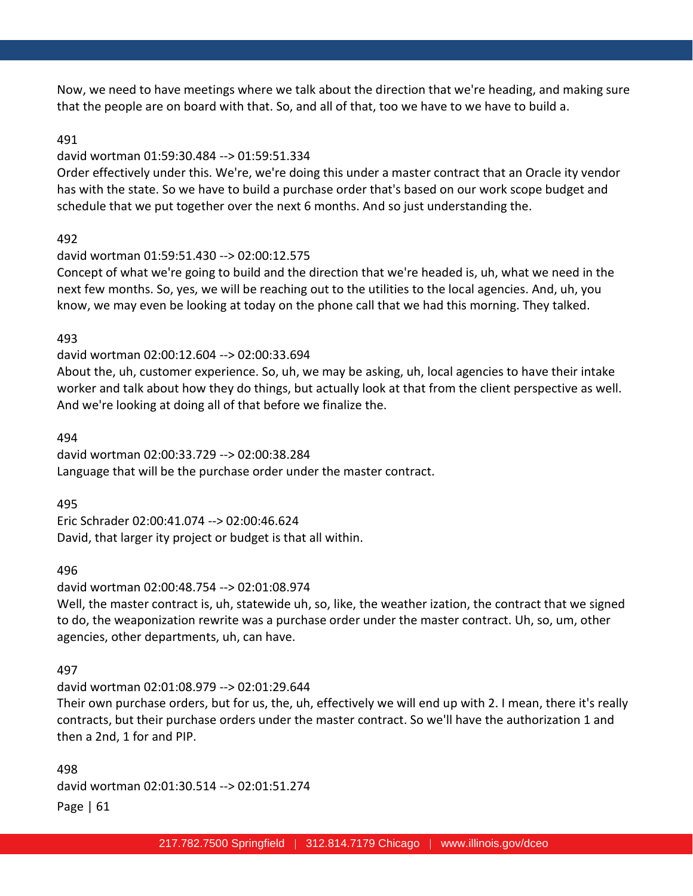Now, we need to have meetings where we talk about the direction that we're heading, and making sure that the people are on board with that. So, and all of that, too we have to we have to build a.

#### 491

### david wortman 01:59:30.484 --> 01:59:51.334

Order effectively under this. We're, we're doing this under a master contract that an Oracle ity vendor has with the state. So we have to build a purchase order that's based on our work scope budget and schedule that we put together over the next 6 months. And so just understanding the.

#### 492

#### david wortman 01:59:51.430 --> 02:00:12.575

Concept of what we're going to build and the direction that we're headed is, uh, what we need in the next few months. So, yes, we will be reaching out to the utilities to the local agencies. And, uh, you know, we may even be looking at today on the phone call that we had this morning. They talked.

#### 493

#### david wortman 02:00:12.604 --> 02:00:33.694

About the, uh, customer experience. So, uh, we may be asking, uh, local agencies to have their intake worker and talk about how they do things, but actually look at that from the client perspective as well. And we're looking at doing all of that before we finalize the.

#### 494

david wortman 02:00:33.729 --> 02:00:38.284 Language that will be the purchase order under the master contract.

495

Eric Schrader 02:00:41.074 --> 02:00:46.624 David, that larger ity project or budget is that all within.

#### 496

### david wortman 02:00:48.754 --> 02:01:08.974

Well, the master contract is, uh, statewide uh, so, like, the weather ization, the contract that we signed to do, the weaponization rewrite was a purchase order under the master contract. Uh, so, um, other agencies, other departments, uh, can have.

#### 497

#### david wortman 02:01:08.979 --> 02:01:29.644

Their own purchase orders, but for us, the, uh, effectively we will end up with 2. I mean, there it's really contracts, but their purchase orders under the master contract. So we'll have the authorization 1 and then a 2nd, 1 for and PIP.

Page | 61 498 david wortman 02:01:30.514 --> 02:01:51.274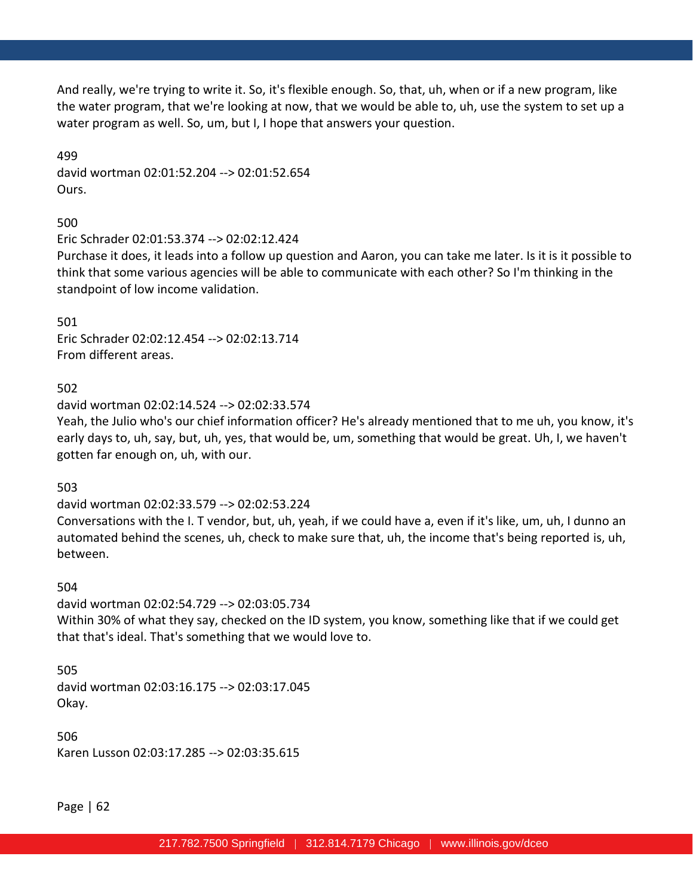And really, we're trying to write it. So, it's flexible enough. So, that, uh, when or if a new program, like the water program, that we're looking at now, that we would be able to, uh, use the system to set up a water program as well. So, um, but I, I hope that answers your question.

499 david wortman 02:01:52.204 --> 02:01:52.654 Ours.

500

Eric Schrader 02:01:53.374 --> 02:02:12.424

Purchase it does, it leads into a follow up question and Aaron, you can take me later. Is it is it possible to think that some various agencies will be able to communicate with each other? So I'm thinking in the standpoint of low income validation.

501 Eric Schrader 02:02:12.454 --> 02:02:13.714 From different areas.

502

david wortman 02:02:14.524 --> 02:02:33.574

Yeah, the Julio who's our chief information officer? He's already mentioned that to me uh, you know, it's early days to, uh, say, but, uh, yes, that would be, um, something that would be great. Uh, I, we haven't gotten far enough on, uh, with our.

503

david wortman 02:02:33.579 --> 02:02:53.224

Conversations with the I. T vendor, but, uh, yeah, if we could have a, even if it's like, um, uh, I dunno an automated behind the scenes, uh, check to make sure that, uh, the income that's being reported is, uh, between.

504

david wortman 02:02:54.729 --> 02:03:05.734 Within 30% of what they say, checked on the ID system, you know, something like that if we could get that that's ideal. That's something that we would love to.

505 david wortman 02:03:16.175 --> 02:03:17.045 Okay.

506 Karen Lusson 02:03:17.285 --> 02:03:35.615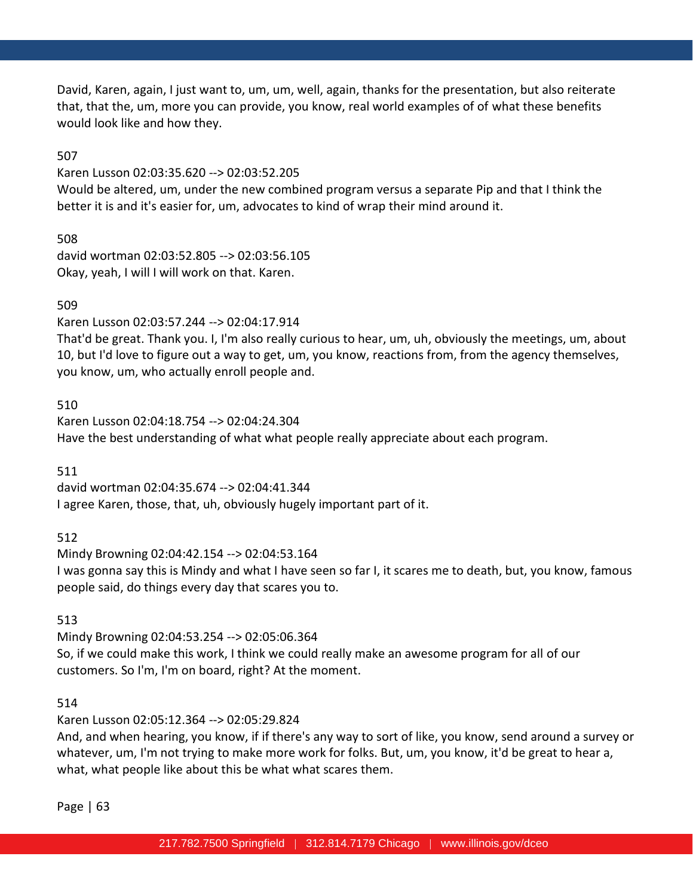David, Karen, again, I just want to, um, um, well, again, thanks for the presentation, but also reiterate that, that the, um, more you can provide, you know, real world examples of of what these benefits would look like and how they.

507

Karen Lusson 02:03:35.620 --> 02:03:52.205

Would be altered, um, under the new combined program versus a separate Pip and that I think the better it is and it's easier for, um, advocates to kind of wrap their mind around it.

508

david wortman 02:03:52.805 --> 02:03:56.105 Okay, yeah, I will I will work on that. Karen.

### 509

Karen Lusson 02:03:57.244 --> 02:04:17.914

That'd be great. Thank you. I, I'm also really curious to hear, um, uh, obviously the meetings, um, about 10, but I'd love to figure out a way to get, um, you know, reactions from, from the agency themselves, you know, um, who actually enroll people and.

### 510

Karen Lusson 02:04:18.754 --> 02:04:24.304 Have the best understanding of what what people really appreciate about each program.

511

david wortman 02:04:35.674 --> 02:04:41.344 I agree Karen, those, that, uh, obviously hugely important part of it.

512

Mindy Browning 02:04:42.154 --> 02:04:53.164 I was gonna say this is Mindy and what I have seen so far I, it scares me to death, but, you know, famous people said, do things every day that scares you to.

### 513

Mindy Browning 02:04:53.254 --> 02:05:06.364 So, if we could make this work, I think we could really make an awesome program for all of our customers. So I'm, I'm on board, right? At the moment.

### 514

Karen Lusson 02:05:12.364 --> 02:05:29.824

And, and when hearing, you know, if if there's any way to sort of like, you know, send around a survey or whatever, um, I'm not trying to make more work for folks. But, um, you know, it'd be great to hear a, what, what people like about this be what what scares them.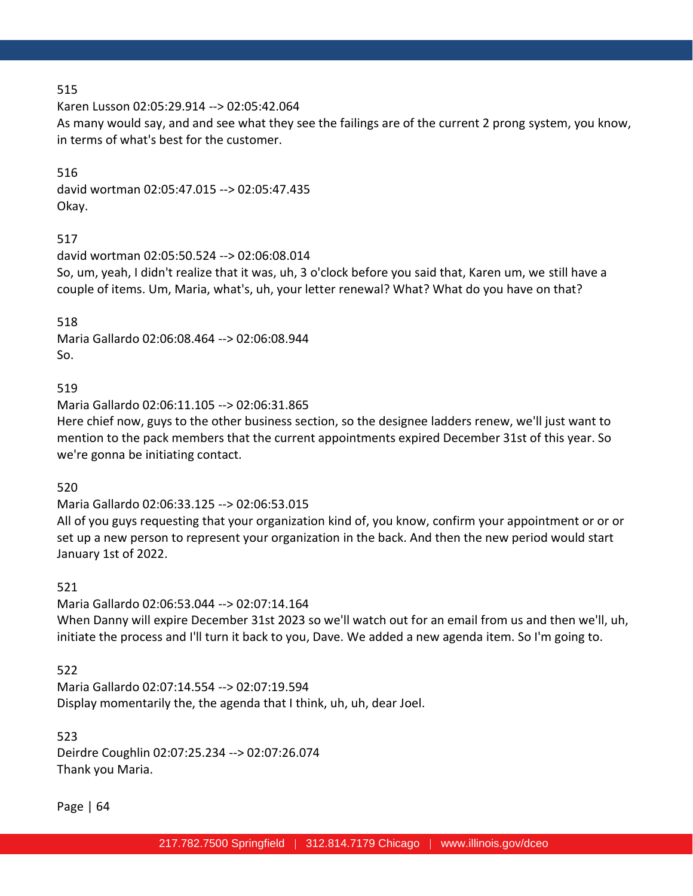Karen Lusson 02:05:29.914 --> 02:05:42.064

As many would say, and and see what they see the failings are of the current 2 prong system, you know, in terms of what's best for the customer.

### 516

david wortman 02:05:47.015 --> 02:05:47.435 Okay.

# 517

david wortman 02:05:50.524 --> 02:06:08.014 So, um, yeah, I didn't realize that it was, uh, 3 o'clock before you said that, Karen um, we still have a couple of items. Um, Maria, what's, uh, your letter renewal? What? What do you have on that?

518 Maria Gallardo 02:06:08.464 --> 02:06:08.944 So.

# 519

Maria Gallardo 02:06:11.105 --> 02:06:31.865 Here chief now, guys to the other business section, so the designee ladders renew, we'll just want to mention to the pack members that the current appointments expired December 31st of this year. So we're gonna be initiating contact.

# 520

Maria Gallardo 02:06:33.125 --> 02:06:53.015

All of you guys requesting that your organization kind of, you know, confirm your appointment or or or set up a new person to represent your organization in the back. And then the new period would start January 1st of 2022.

### 521

Maria Gallardo 02:06:53.044 --> 02:07:14.164 When Danny will expire December 31st 2023 so we'll watch out for an email from us and then we'll, uh, initiate the process and I'll turn it back to you, Dave. We added a new agenda item. So I'm going to.

# 522

Maria Gallardo 02:07:14.554 --> 02:07:19.594 Display momentarily the, the agenda that I think, uh, uh, dear Joel.

### 523

Deirdre Coughlin 02:07:25.234 --> 02:07:26.074 Thank you Maria.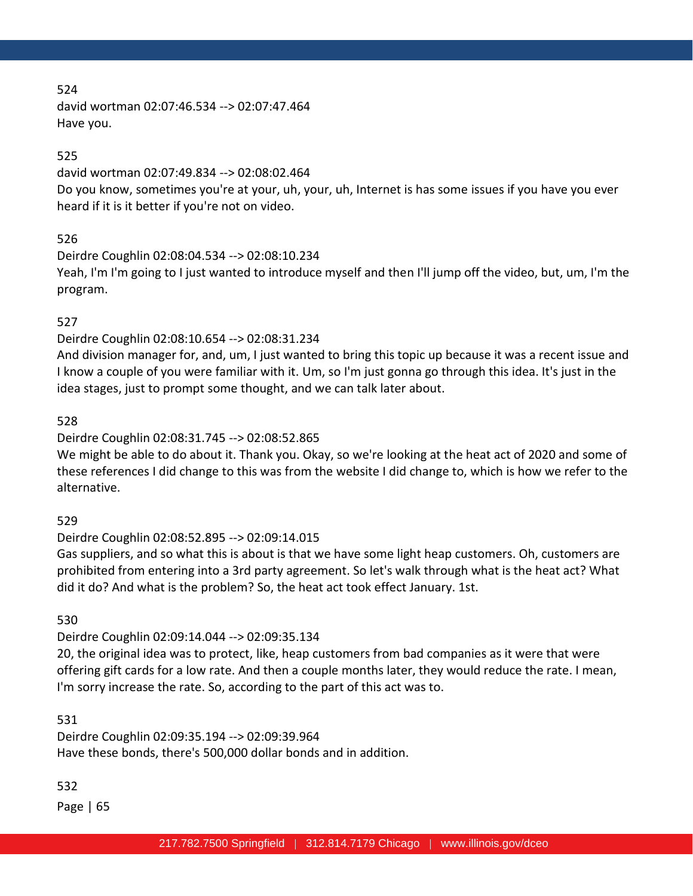david wortman 02:07:46.534 --> 02:07:47.464 Have you.

# 525

david wortman 02:07:49.834 --> 02:08:02.464 Do you know, sometimes you're at your, uh, your, uh, Internet is has some issues if you have you ever heard if it is it better if you're not on video.

### 526

Deirdre Coughlin 02:08:04.534 --> 02:08:10.234 Yeah, I'm I'm going to I just wanted to introduce myself and then I'll jump off the video, but, um, I'm the program.

# 527

Deirdre Coughlin 02:08:10.654 --> 02:08:31.234

And division manager for, and, um, I just wanted to bring this topic up because it was a recent issue and I know a couple of you were familiar with it. Um, so I'm just gonna go through this idea. It's just in the idea stages, just to prompt some thought, and we can talk later about.

### 528

# Deirdre Coughlin 02:08:31.745 --> 02:08:52.865

We might be able to do about it. Thank you. Okay, so we're looking at the heat act of 2020 and some of these references I did change to this was from the website I did change to, which is how we refer to the alternative.

# 529

# Deirdre Coughlin 02:08:52.895 --> 02:09:14.015

Gas suppliers, and so what this is about is that we have some light heap customers. Oh, customers are prohibited from entering into a 3rd party agreement. So let's walk through what is the heat act? What did it do? And what is the problem? So, the heat act took effect January. 1st.

# 530

# Deirdre Coughlin 02:09:14.044 --> 02:09:35.134

20, the original idea was to protect, like, heap customers from bad companies as it were that were offering gift cards for a low rate. And then a couple months later, they would reduce the rate. I mean, I'm sorry increase the rate. So, according to the part of this act was to.

# 531

Deirdre Coughlin 02:09:35.194 --> 02:09:39.964 Have these bonds, there's 500,000 dollar bonds and in addition.

# 532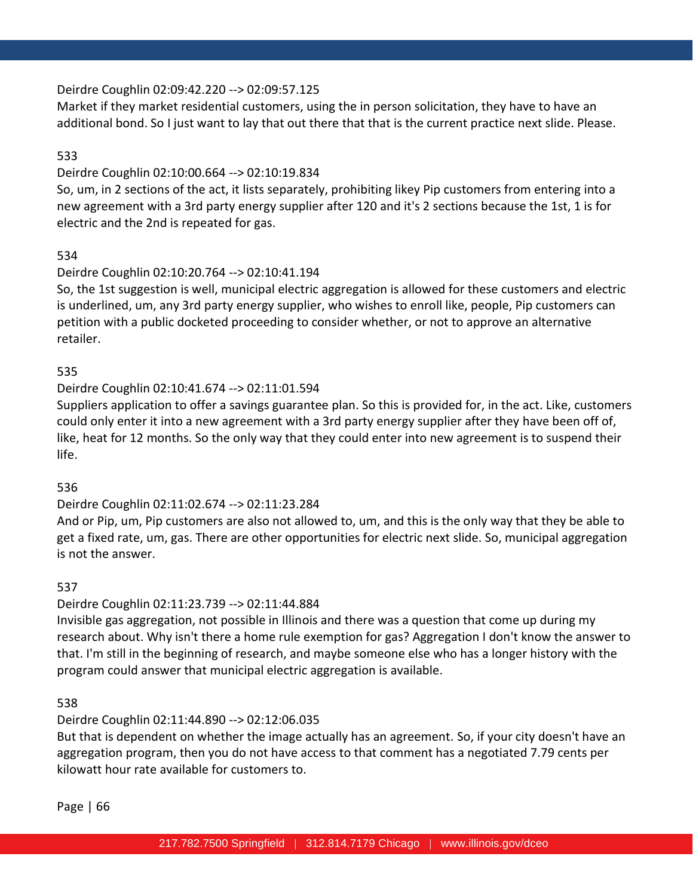### Deirdre Coughlin 02:09:42.220 --> 02:09:57.125

Market if they market residential customers, using the in person solicitation, they have to have an additional bond. So I just want to lay that out there that that is the current practice next slide. Please.

## 533

### Deirdre Coughlin 02:10:00.664 --> 02:10:19.834

So, um, in 2 sections of the act, it lists separately, prohibiting likey Pip customers from entering into a new agreement with a 3rd party energy supplier after 120 and it's 2 sections because the 1st, 1 is for electric and the 2nd is repeated for gas.

### 534

### Deirdre Coughlin 02:10:20.764 --> 02:10:41.194

So, the 1st suggestion is well, municipal electric aggregation is allowed for these customers and electric is underlined, um, any 3rd party energy supplier, who wishes to enroll like, people, Pip customers can petition with a public docketed proceeding to consider whether, or not to approve an alternative retailer.

### 535

# Deirdre Coughlin 02:10:41.674 --> 02:11:01.594

Suppliers application to offer a savings guarantee plan. So this is provided for, in the act. Like, customers could only enter it into a new agreement with a 3rd party energy supplier after they have been off of, like, heat for 12 months. So the only way that they could enter into new agreement is to suspend their life.

### 536

# Deirdre Coughlin 02:11:02.674 --> 02:11:23.284

And or Pip, um, Pip customers are also not allowed to, um, and this is the only way that they be able to get a fixed rate, um, gas. There are other opportunities for electric next slide. So, municipal aggregation is not the answer.

### 537

# Deirdre Coughlin 02:11:23.739 --> 02:11:44.884

Invisible gas aggregation, not possible in Illinois and there was a question that come up during my research about. Why isn't there a home rule exemption for gas? Aggregation I don't know the answer to that. I'm still in the beginning of research, and maybe someone else who has a longer history with the program could answer that municipal electric aggregation is available.

### 538

# Deirdre Coughlin 02:11:44.890 --> 02:12:06.035

But that is dependent on whether the image actually has an agreement. So, if your city doesn't have an aggregation program, then you do not have access to that comment has a negotiated 7.79 cents per kilowatt hour rate available for customers to.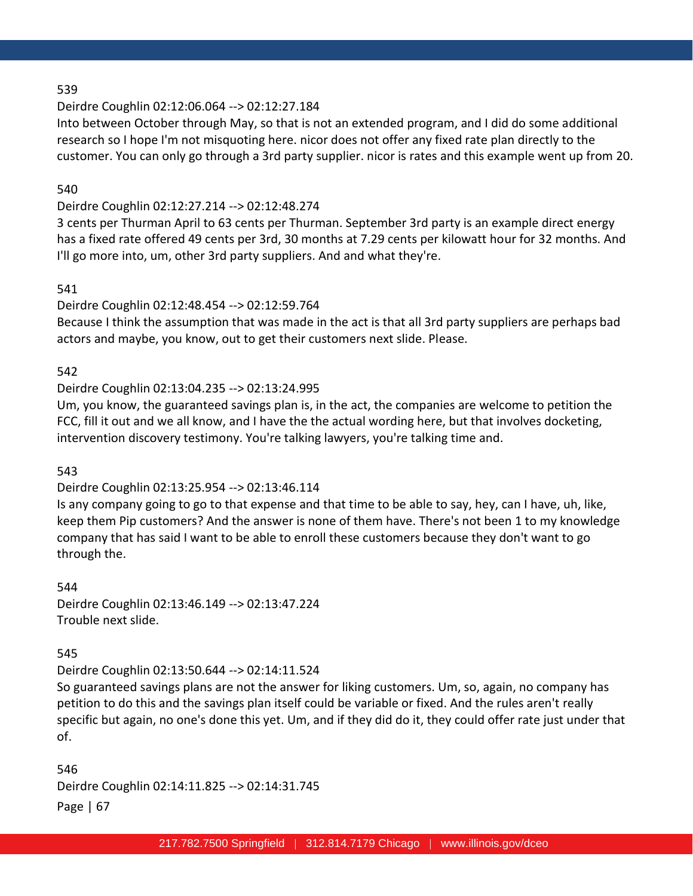### Deirdre Coughlin 02:12:06.064 --> 02:12:27.184

Into between October through May, so that is not an extended program, and I did do some additional research so I hope I'm not misquoting here. nicor does not offer any fixed rate plan directly to the customer. You can only go through a 3rd party supplier. nicor is rates and this example went up from 20.

### 540

## Deirdre Coughlin 02:12:27.214 --> 02:12:48.274

3 cents per Thurman April to 63 cents per Thurman. September 3rd party is an example direct energy has a fixed rate offered 49 cents per 3rd, 30 months at 7.29 cents per kilowatt hour for 32 months. And I'll go more into, um, other 3rd party suppliers. And and what they're.

### 541

### Deirdre Coughlin 02:12:48.454 --> 02:12:59.764

Because I think the assumption that was made in the act is that all 3rd party suppliers are perhaps bad actors and maybe, you know, out to get their customers next slide. Please.

### 542

### Deirdre Coughlin 02:13:04.235 --> 02:13:24.995

Um, you know, the guaranteed savings plan is, in the act, the companies are welcome to petition the FCC, fill it out and we all know, and I have the the actual wording here, but that involves docketing, intervention discovery testimony. You're talking lawyers, you're talking time and.

543

# Deirdre Coughlin 02:13:25.954 --> 02:13:46.114

Is any company going to go to that expense and that time to be able to say, hey, can I have, uh, like, keep them Pip customers? And the answer is none of them have. There's not been 1 to my knowledge company that has said I want to be able to enroll these customers because they don't want to go through the.

544 Deirdre Coughlin 02:13:46.149 --> 02:13:47.224 Trouble next slide.

# 545

### Deirdre Coughlin 02:13:50.644 --> 02:14:11.524

So guaranteed savings plans are not the answer for liking customers. Um, so, again, no company has petition to do this and the savings plan itself could be variable or fixed. And the rules aren't really specific but again, no one's done this yet. Um, and if they did do it, they could offer rate just under that of.

Page | 67 546 Deirdre Coughlin 02:14:11.825 --> 02:14:31.745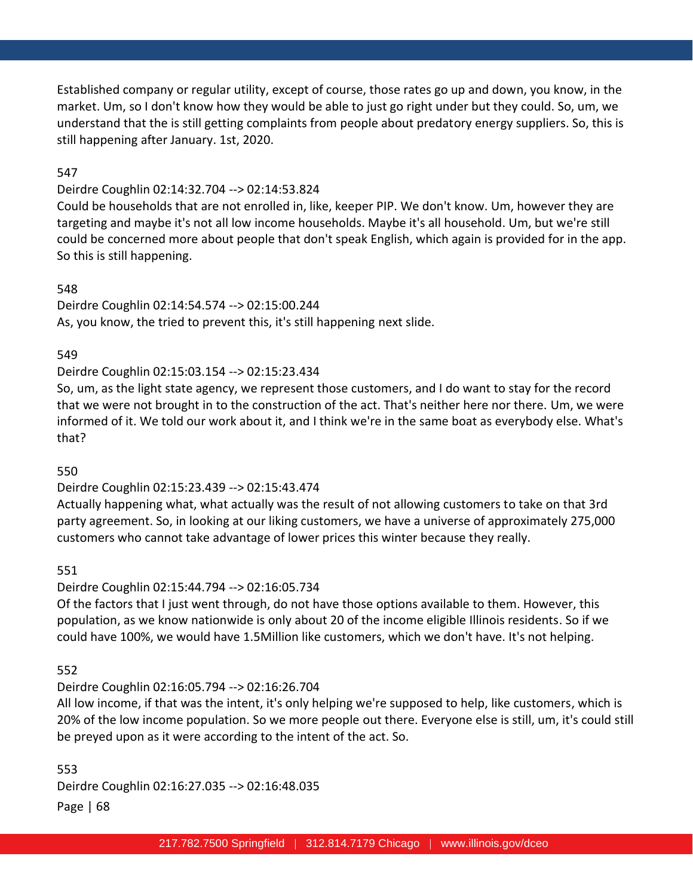Established company or regular utility, except of course, those rates go up and down, you know, in the market. Um, so I don't know how they would be able to just go right under but they could. So, um, we understand that the is still getting complaints from people about predatory energy suppliers. So, this is still happening after January. 1st, 2020.

### 547

### Deirdre Coughlin 02:14:32.704 --> 02:14:53.824

Could be households that are not enrolled in, like, keeper PIP. We don't know. Um, however they are targeting and maybe it's not all low income households. Maybe it's all household. Um, but we're still could be concerned more about people that don't speak English, which again is provided for in the app. So this is still happening.

### 548

Deirdre Coughlin 02:14:54.574 --> 02:15:00.244 As, you know, the tried to prevent this, it's still happening next slide.

### 549

# Deirdre Coughlin 02:15:03.154 --> 02:15:23.434

So, um, as the light state agency, we represent those customers, and I do want to stay for the record that we were not brought in to the construction of the act. That's neither here nor there. Um, we were informed of it. We told our work about it, and I think we're in the same boat as everybody else. What's that?

### 550

# Deirdre Coughlin 02:15:23.439 --> 02:15:43.474

Actually happening what, what actually was the result of not allowing customers to take on that 3rd party agreement. So, in looking at our liking customers, we have a universe of approximately 275,000 customers who cannot take advantage of lower prices this winter because they really.

### 551

# Deirdre Coughlin 02:15:44.794 --> 02:16:05.734

Of the factors that I just went through, do not have those options available to them. However, this population, as we know nationwide is only about 20 of the income eligible Illinois residents. So if we could have 100%, we would have 1.5Million like customers, which we don't have. It's not helping.

### 552

# Deirdre Coughlin 02:16:05.794 --> 02:16:26.704

All low income, if that was the intent, it's only helping we're supposed to help, like customers, which is 20% of the low income population. So we more people out there. Everyone else is still, um, it's could still be preyed upon as it were according to the intent of the act. So.

Page | 68 553 Deirdre Coughlin 02:16:27.035 --> 02:16:48.035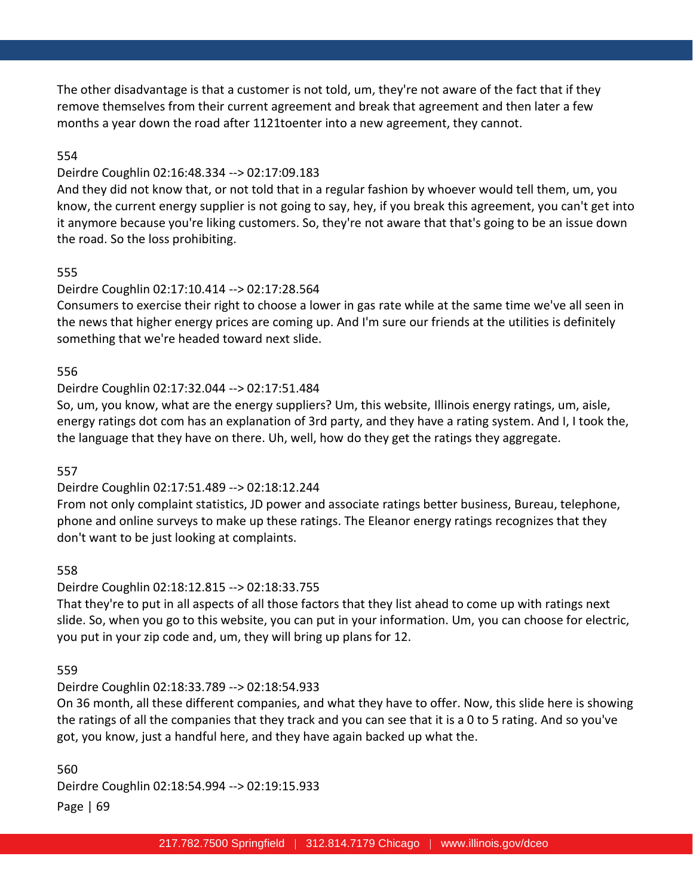The other disadvantage is that a customer is not told, um, they're not aware of the fact that if they remove themselves from their current agreement and break that agreement and then later a few months a year down the road after 1121toenter into a new agreement, they cannot.

## 554

### Deirdre Coughlin 02:16:48.334 --> 02:17:09.183

And they did not know that, or not told that in a regular fashion by whoever would tell them, um, you know, the current energy supplier is not going to say, hey, if you break this agreement, you can't get into it anymore because you're liking customers. So, they're not aware that that's going to be an issue down the road. So the loss prohibiting.

### 555

### Deirdre Coughlin 02:17:10.414 --> 02:17:28.564

Consumers to exercise their right to choose a lower in gas rate while at the same time we've all seen in the news that higher energy prices are coming up. And I'm sure our friends at the utilities is definitely something that we're headed toward next slide.

### 556

### Deirdre Coughlin 02:17:32.044 --> 02:17:51.484

So, um, you know, what are the energy suppliers? Um, this website, Illinois energy ratings, um, aisle, energy ratings dot com has an explanation of 3rd party, and they have a rating system. And I, I took the, the language that they have on there. Uh, well, how do they get the ratings they aggregate.

### 557

### Deirdre Coughlin 02:17:51.489 --> 02:18:12.244

From not only complaint statistics, JD power and associate ratings better business, Bureau, telephone, phone and online surveys to make up these ratings. The Eleanor energy ratings recognizes that they don't want to be just looking at complaints.

### 558

### Deirdre Coughlin 02:18:12.815 --> 02:18:33.755

That they're to put in all aspects of all those factors that they list ahead to come up with ratings next slide. So, when you go to this website, you can put in your information. Um, you can choose for electric, you put in your zip code and, um, they will bring up plans for 12.

### 559

### Deirdre Coughlin 02:18:33.789 --> 02:18:54.933

On 36 month, all these different companies, and what they have to offer. Now, this slide here is showing the ratings of all the companies that they track and you can see that it is a 0 to 5 rating. And so you've got, you know, just a handful here, and they have again backed up what the.

Page | 69 560 Deirdre Coughlin 02:18:54.994 --> 02:19:15.933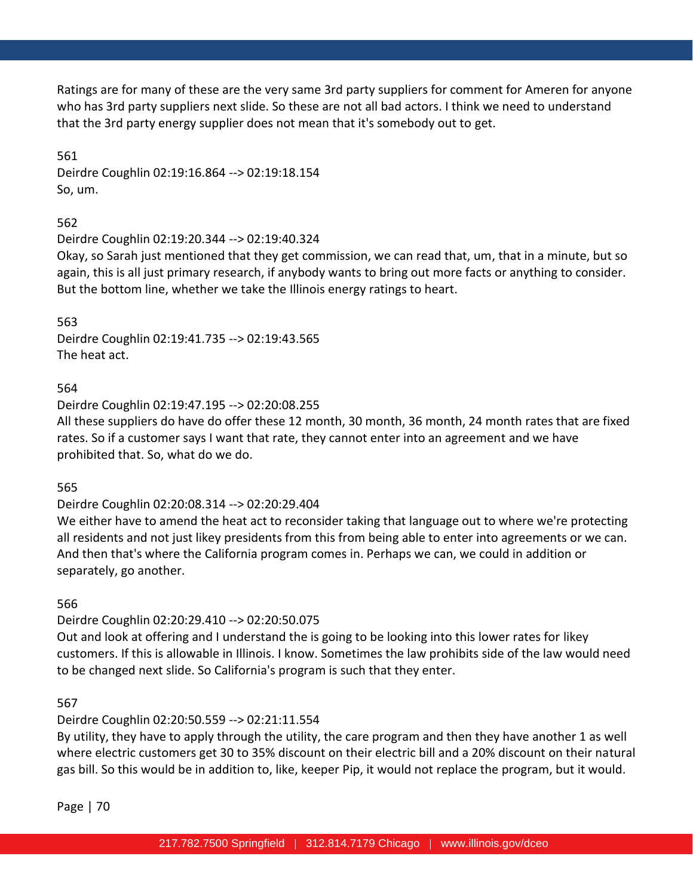Ratings are for many of these are the very same 3rd party suppliers for comment for Ameren for anyone who has 3rd party suppliers next slide. So these are not all bad actors. I think we need to understand that the 3rd party energy supplier does not mean that it's somebody out to get.

561 Deirdre Coughlin 02:19:16.864 --> 02:19:18.154 So, um.

562

Deirdre Coughlin 02:19:20.344 --> 02:19:40.324

Okay, so Sarah just mentioned that they get commission, we can read that, um, that in a minute, but so again, this is all just primary research, if anybody wants to bring out more facts or anything to consider. But the bottom line, whether we take the Illinois energy ratings to heart.

563 Deirdre Coughlin 02:19:41.735 --> 02:19:43.565 The heat act.

564

Deirdre Coughlin 02:19:47.195 --> 02:20:08.255

All these suppliers do have do offer these 12 month, 30 month, 36 month, 24 month rates that are fixed rates. So if a customer says I want that rate, they cannot enter into an agreement and we have prohibited that. So, what do we do.

565

Deirdre Coughlin 02:20:08.314 --> 02:20:29.404

We either have to amend the heat act to reconsider taking that language out to where we're protecting all residents and not just likey presidents from this from being able to enter into agreements or we can. And then that's where the California program comes in. Perhaps we can, we could in addition or separately, go another.

566

Deirdre Coughlin 02:20:29.410 --> 02:20:50.075

Out and look at offering and I understand the is going to be looking into this lower rates for likey customers. If this is allowable in Illinois. I know. Sometimes the law prohibits side of the law would need to be changed next slide. So California's program is such that they enter.

567

# Deirdre Coughlin 02:20:50.559 --> 02:21:11.554

By utility, they have to apply through the utility, the care program and then they have another 1 as well where electric customers get 30 to 35% discount on their electric bill and a 20% discount on their natural gas bill. So this would be in addition to, like, keeper Pip, it would not replace the program, but it would.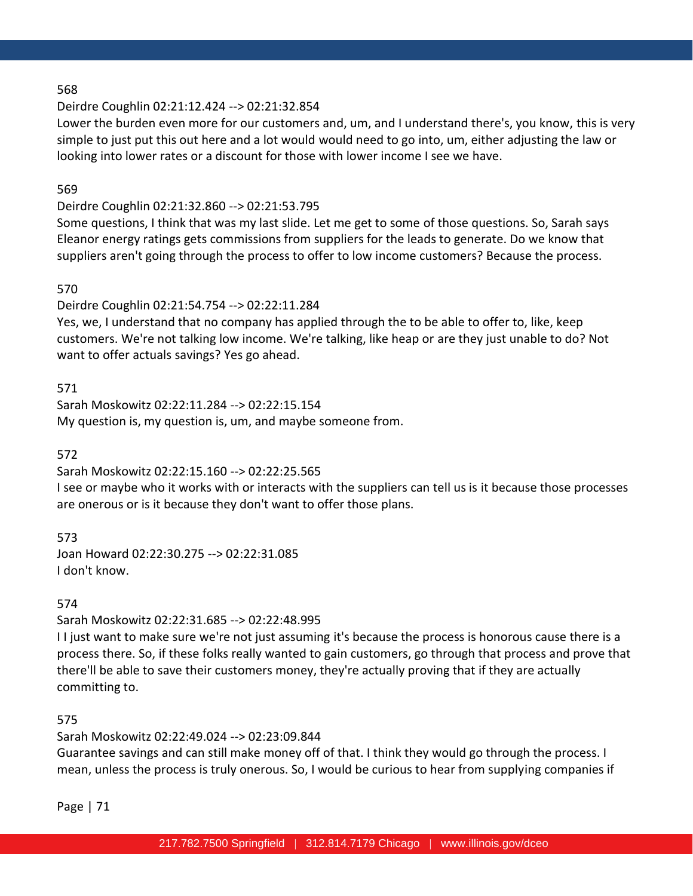### Deirdre Coughlin 02:21:12.424 --> 02:21:32.854

Lower the burden even more for our customers and, um, and I understand there's, you know, this is very simple to just put this out here and a lot would would need to go into, um, either adjusting the law or looking into lower rates or a discount for those with lower income I see we have.

### 569

## Deirdre Coughlin 02:21:32.860 --> 02:21:53.795

Some questions, I think that was my last slide. Let me get to some of those questions. So, Sarah says Eleanor energy ratings gets commissions from suppliers for the leads to generate. Do we know that suppliers aren't going through the process to offer to low income customers? Because the process.

### 570

Deirdre Coughlin 02:21:54.754 --> 02:22:11.284

Yes, we, I understand that no company has applied through the to be able to offer to, like, keep customers. We're not talking low income. We're talking, like heap or are they just unable to do? Not want to offer actuals savings? Yes go ahead.

### 571

Sarah Moskowitz 02:22:11.284 --> 02:22:15.154 My question is, my question is, um, and maybe someone from.

### 572

Sarah Moskowitz 02:22:15.160 --> 02:22:25.565

I see or maybe who it works with or interacts with the suppliers can tell us is it because those processes are onerous or is it because they don't want to offer those plans.

# 573

Joan Howard 02:22:30.275 --> 02:22:31.085 I don't know.

### 574

Sarah Moskowitz 02:22:31.685 --> 02:22:48.995

I I just want to make sure we're not just assuming it's because the process is honorous cause there is a process there. So, if these folks really wanted to gain customers, go through that process and prove that there'll be able to save their customers money, they're actually proving that if they are actually committing to.

### 575

Sarah Moskowitz 02:22:49.024 --> 02:23:09.844

Guarantee savings and can still make money off of that. I think they would go through the process. I mean, unless the process is truly onerous. So, I would be curious to hear from supplying companies if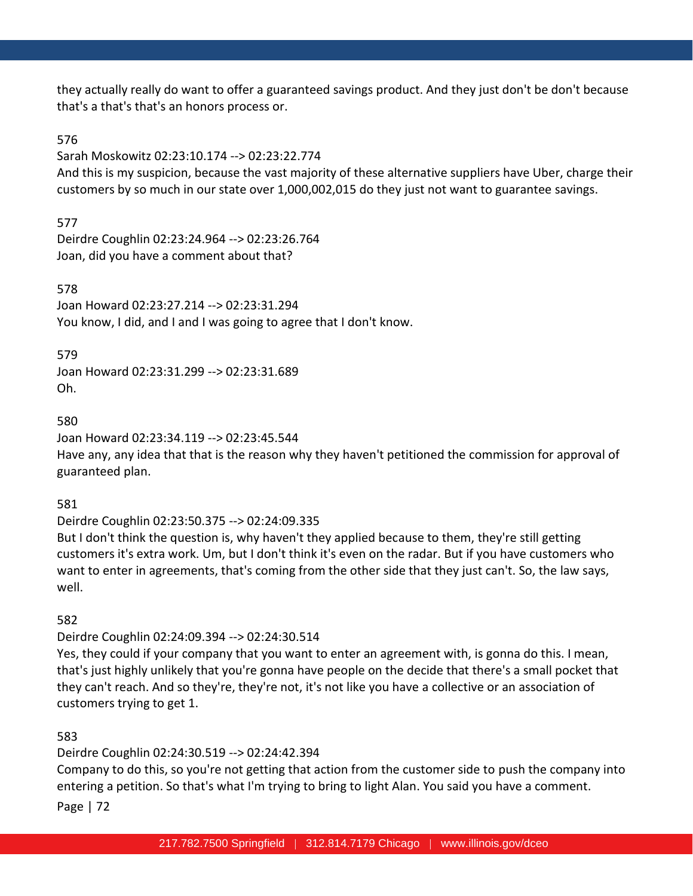they actually really do want to offer a guaranteed savings product. And they just don't be don't because that's a that's that's an honors process or.

## 576

Sarah Moskowitz 02:23:10.174 --> 02:23:22.774

And this is my suspicion, because the vast majority of these alternative suppliers have Uber, charge their customers by so much in our state over 1,000,002,015 do they just not want to guarantee savings.

# 577

Deirdre Coughlin 02:23:24.964 --> 02:23:26.764 Joan, did you have a comment about that?

578

Joan Howard 02:23:27.214 --> 02:23:31.294 You know, I did, and I and I was going to agree that I don't know.

### 579

Joan Howard 02:23:31.299 --> 02:23:31.689 Oh.

### 580

Joan Howard 02:23:34.119 --> 02:23:45.544

Have any, any idea that that is the reason why they haven't petitioned the commission for approval of guaranteed plan.

581

# Deirdre Coughlin 02:23:50.375 --> 02:24:09.335

But I don't think the question is, why haven't they applied because to them, they're still getting customers it's extra work. Um, but I don't think it's even on the radar. But if you have customers who want to enter in agreements, that's coming from the other side that they just can't. So, the law says, well.

# 582

# Deirdre Coughlin 02:24:09.394 --> 02:24:30.514

Yes, they could if your company that you want to enter an agreement with, is gonna do this. I mean, that's just highly unlikely that you're gonna have people on the decide that there's a small pocket that they can't reach. And so they're, they're not, it's not like you have a collective or an association of customers trying to get 1.

# 583

# Deirdre Coughlin 02:24:30.519 --> 02:24:42.394

Company to do this, so you're not getting that action from the customer side to push the company into entering a petition. So that's what I'm trying to bring to light Alan. You said you have a comment.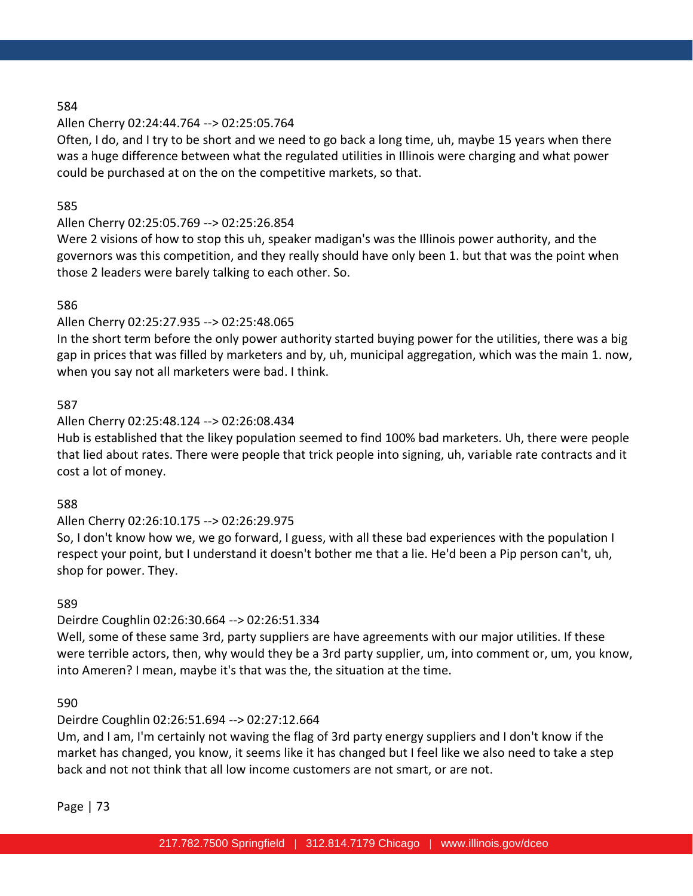#### 584

# Allen Cherry 02:24:44.764 --> 02:25:05.764

Often, I do, and I try to be short and we need to go back a long time, uh, maybe 15 years when there was a huge difference between what the regulated utilities in Illinois were charging and what power could be purchased at on the on the competitive markets, so that.

# 585

# Allen Cherry 02:25:05.769 --> 02:25:26.854

Were 2 visions of how to stop this uh, speaker madigan's was the Illinois power authority, and the governors was this competition, and they really should have only been 1. but that was the point when those 2 leaders were barely talking to each other. So.

# 586

# Allen Cherry 02:25:27.935 --> 02:25:48.065

In the short term before the only power authority started buying power for the utilities, there was a big gap in prices that was filled by marketers and by, uh, municipal aggregation, which was the main 1. now, when you say not all marketers were bad. I think.

# 587

# Allen Cherry 02:25:48.124 --> 02:26:08.434

Hub is established that the likey population seemed to find 100% bad marketers. Uh, there were people that lied about rates. There were people that trick people into signing, uh, variable rate contracts and it cost a lot of money.

# 588

# Allen Cherry 02:26:10.175 --> 02:26:29.975

So, I don't know how we, we go forward, I guess, with all these bad experiences with the population I respect your point, but I understand it doesn't bother me that a lie. He'd been a Pip person can't, uh, shop for power. They.

# 589

# Deirdre Coughlin 02:26:30.664 --> 02:26:51.334

Well, some of these same 3rd, party suppliers are have agreements with our major utilities. If these were terrible actors, then, why would they be a 3rd party supplier, um, into comment or, um, you know, into Ameren? I mean, maybe it's that was the, the situation at the time.

# 590

# Deirdre Coughlin 02:26:51.694 --> 02:27:12.664

Um, and I am, I'm certainly not waving the flag of 3rd party energy suppliers and I don't know if the market has changed, you know, it seems like it has changed but I feel like we also need to take a step back and not not think that all low income customers are not smart, or are not.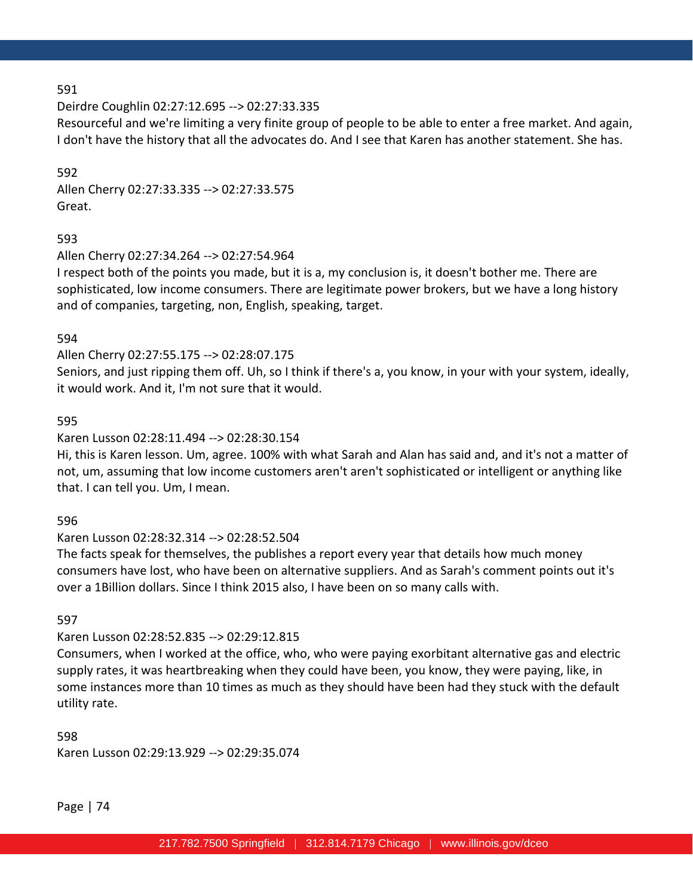# 591

Deirdre Coughlin 02:27:12.695 --> 02:27:33.335

Resourceful and we're limiting a very finite group of people to be able to enter a free market. And again, I don't have the history that all the advocates do. And I see that Karen has another statement. She has.

592 Allen Cherry 02:27:33.335 --> 02:27:33.575 Great.

# 593

Allen Cherry 02:27:34.264 --> 02:27:54.964

I respect both of the points you made, but it is a, my conclusion is, it doesn't bother me. There are sophisticated, low income consumers. There are legitimate power brokers, but we have a long history and of companies, targeting, non, English, speaking, target.

# 594

Allen Cherry 02:27:55.175 --> 02:28:07.175

Seniors, and just ripping them off. Uh, so I think if there's a, you know, in your with your system, ideally, it would work. And it, I'm not sure that it would.

# 595

# Karen Lusson 02:28:11.494 --> 02:28:30.154

Hi, this is Karen lesson. Um, agree. 100% with what Sarah and Alan has said and, and it's not a matter of not, um, assuming that low income customers aren't aren't sophisticated or intelligent or anything like that. I can tell you. Um, I mean.

# 596

# Karen Lusson 02:28:32.314 --> 02:28:52.504

The facts speak for themselves, the publishes a report every year that details how much money consumers have lost, who have been on alternative suppliers. And as Sarah's comment points out it's over a 1Billion dollars. Since I think 2015 also, I have been on so many calls with.

# 597

# Karen Lusson 02:28:52.835 --> 02:29:12.815

Consumers, when I worked at the office, who, who were paying exorbitant alternative gas and electric supply rates, it was heartbreaking when they could have been, you know, they were paying, like, in some instances more than 10 times as much as they should have been had they stuck with the default utility rate.

# 598

Karen Lusson 02:29:13.929 --> 02:29:35.074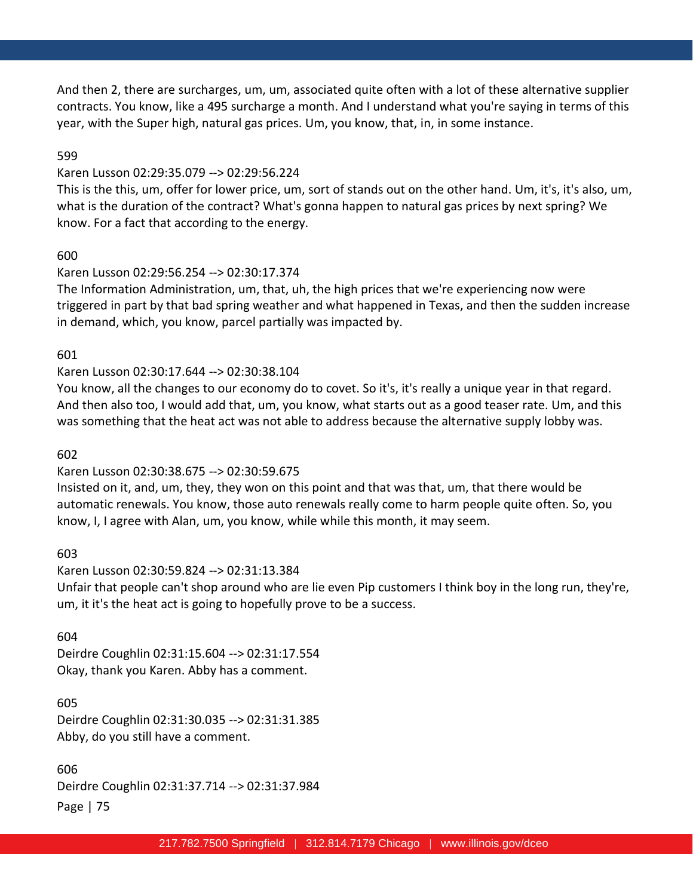And then 2, there are surcharges, um, um, associated quite often with a lot of these alternative supplier contracts. You know, like a 495 surcharge a month. And I understand what you're saying in terms of this year, with the Super high, natural gas prices. Um, you know, that, in, in some instance.

#### 599

#### Karen Lusson 02:29:35.079 --> 02:29:56.224

This is the this, um, offer for lower price, um, sort of stands out on the other hand. Um, it's, it's also, um, what is the duration of the contract? What's gonna happen to natural gas prices by next spring? We know. For a fact that according to the energy.

#### 600

# Karen Lusson 02:29:56.254 --> 02:30:17.374

The Information Administration, um, that, uh, the high prices that we're experiencing now were triggered in part by that bad spring weather and what happened in Texas, and then the sudden increase in demand, which, you know, parcel partially was impacted by.

# 601

# Karen Lusson 02:30:17.644 --> 02:30:38.104

You know, all the changes to our economy do to covet. So it's, it's really a unique year in that regard. And then also too, I would add that, um, you know, what starts out as a good teaser rate. Um, and this was something that the heat act was not able to address because the alternative supply lobby was.

#### 602

# Karen Lusson 02:30:38.675 --> 02:30:59.675

Insisted on it, and, um, they, they won on this point and that was that, um, that there would be automatic renewals. You know, those auto renewals really come to harm people quite often. So, you know, I, I agree with Alan, um, you know, while while this month, it may seem.

603

# Karen Lusson 02:30:59.824 --> 02:31:13.384

Unfair that people can't shop around who are lie even Pip customers I think boy in the long run, they're, um, it it's the heat act is going to hopefully prove to be a success.

# 604

Deirdre Coughlin 02:31:15.604 --> 02:31:17.554 Okay, thank you Karen. Abby has a comment.

# 605

Deirdre Coughlin 02:31:30.035 --> 02:31:31.385 Abby, do you still have a comment.

# 606

Page | 75 Deirdre Coughlin 02:31:37.714 --> 02:31:37.984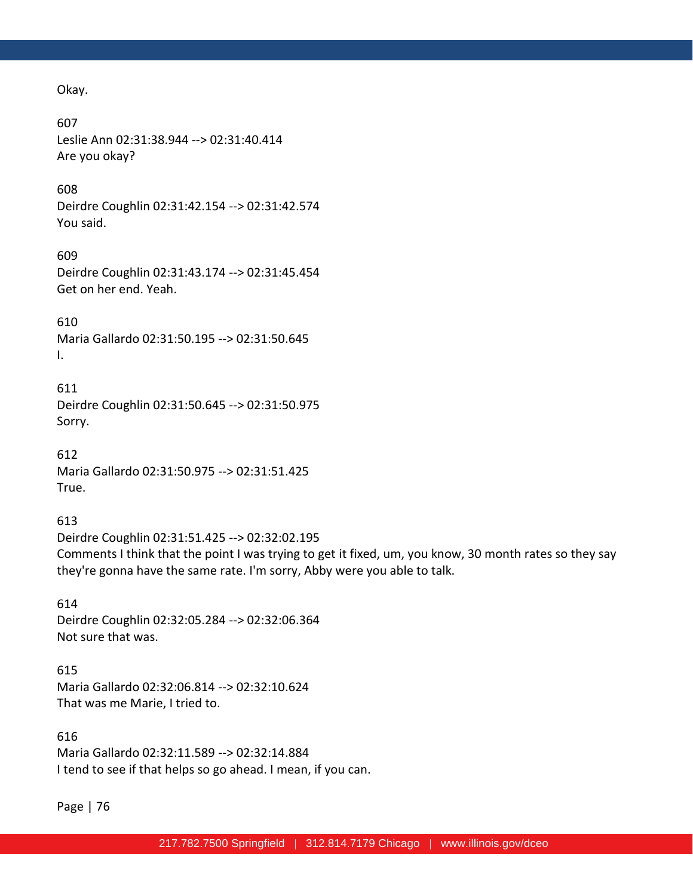Okay.

607

Leslie Ann 02:31:38.944 --> 02:31:40.414 Are you okay?

#### 608

Deirdre Coughlin 02:31:42.154 --> 02:31:42.574 You said.

#### 609

Deirdre Coughlin 02:31:43.174 --> 02:31:45.454 Get on her end. Yeah.

610

Maria Gallardo 02:31:50.195 --> 02:31:50.645 I.

611

Deirdre Coughlin 02:31:50.645 --> 02:31:50.975 Sorry.

612 Maria Gallardo 02:31:50.975 --> 02:31:51.425 True.

# 613

Deirdre Coughlin 02:31:51.425 --> 02:32:02.195 Comments I think that the point I was trying to get it fixed, um, you know, 30 month rates so they say they're gonna have the same rate. I'm sorry, Abby were you able to talk.

614 Deirdre Coughlin 02:32:05.284 --> 02:32:06.364 Not sure that was.

615 Maria Gallardo 02:32:06.814 --> 02:32:10.624 That was me Marie, I tried to.

616 Maria Gallardo 02:32:11.589 --> 02:32:14.884 I tend to see if that helps so go ahead. I mean, if you can.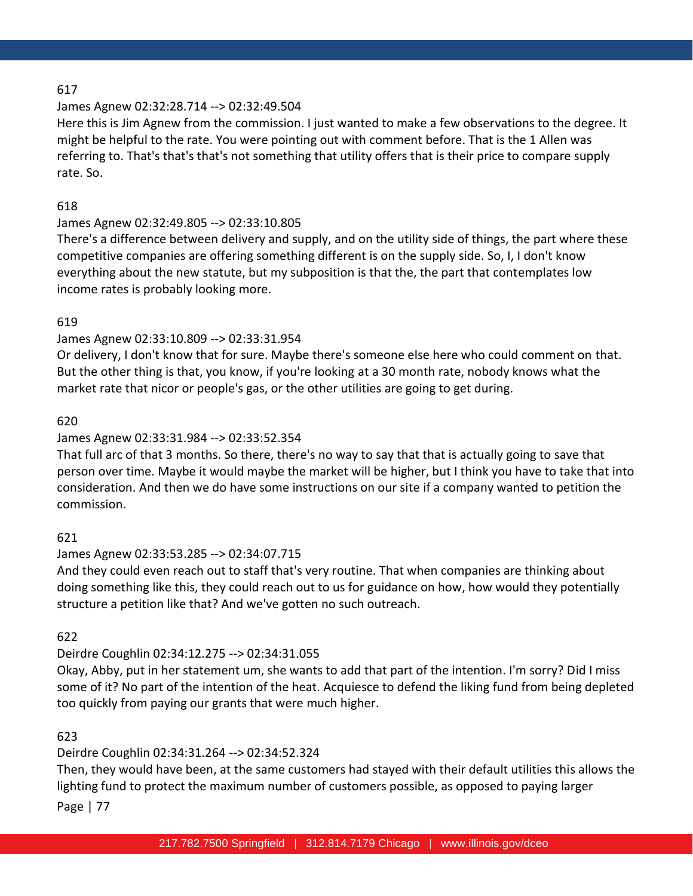# 617

# James Agnew 02:32:28.714 --> 02:32:49.504

Here this is Jim Agnew from the commission. I just wanted to make a few observations to the degree. It might be helpful to the rate. You were pointing out with comment before. That is the 1 Allen was referring to. That's that's that's not something that utility offers that is their price to compare supply rate. So.

# 618

# James Agnew 02:32:49.805 --> 02:33:10.805

There's a difference between delivery and supply, and on the utility side of things, the part where these competitive companies are offering something different is on the supply side. So, I, I don't know everything about the new statute, but my subposition is that the, the part that contemplates low income rates is probably looking more.

# 619

# James Agnew 02:33:10.809 --> 02:33:31.954

Or delivery, I don't know that for sure. Maybe there's someone else here who could comment on that. But the other thing is that, you know, if you're looking at a 30 month rate, nobody knows what the market rate that nicor or people's gas, or the other utilities are going to get during.

# 620

# James Agnew 02:33:31.984 --> 02:33:52.354

That full arc of that 3 months. So there, there's no way to say that that is actually going to save that person over time. Maybe it would maybe the market will be higher, but I think you have to take that into consideration. And then we do have some instructions on our site if a company wanted to petition the commission.

# 621

# James Agnew 02:33:53.285 --> 02:34:07.715

And they could even reach out to staff that's very routine. That when companies are thinking about doing something like this, they could reach out to us for guidance on how, how would they potentially structure a petition like that? And we've gotten no such outreach.

# 622

# Deirdre Coughlin 02:34:12.275 --> 02:34:31.055

Okay, Abby, put in her statement um, she wants to add that part of the intention. I'm sorry? Did I miss some of it? No part of the intention of the heat. Acquiesce to defend the liking fund from being depleted too quickly from paying our grants that were much higher.

# 623

# Deirdre Coughlin 02:34:31.264 --> 02:34:52.324

Then, they would have been, at the same customers had stayed with their default utilities this allows the lighting fund to protect the maximum number of customers possible, as opposed to paying larger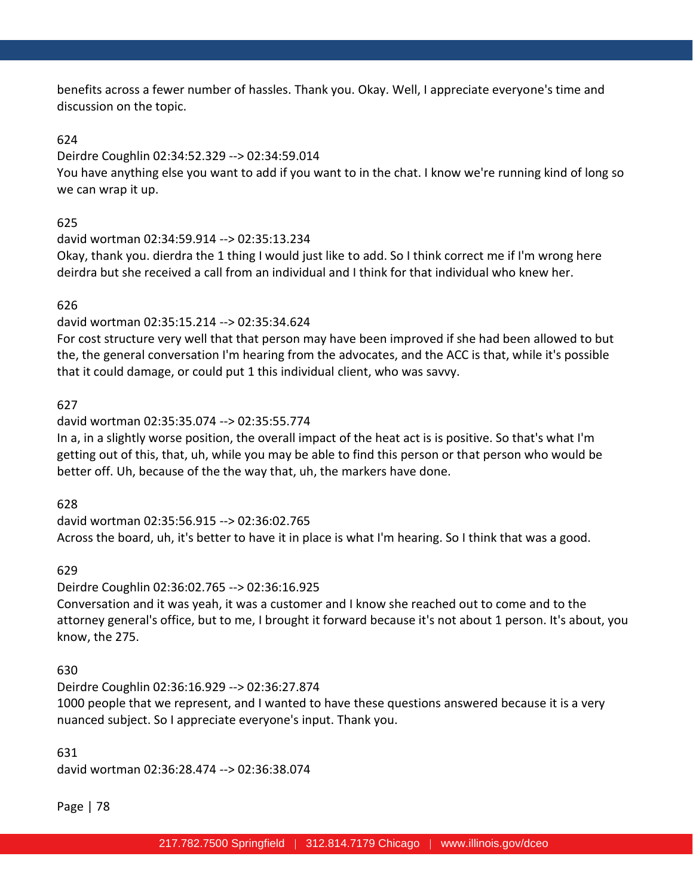benefits across a fewer number of hassles. Thank you. Okay. Well, I appreciate everyone's time and discussion on the topic.

# 624

#### Deirdre Coughlin 02:34:52.329 --> 02:34:59.014

You have anything else you want to add if you want to in the chat. I know we're running kind of long so we can wrap it up.

#### 625

#### david wortman 02:34:59.914 --> 02:35:13.234

Okay, thank you. dierdra the 1 thing I would just like to add. So I think correct me if I'm wrong here deirdra but she received a call from an individual and I think for that individual who knew her.

# 626

# david wortman 02:35:15.214 --> 02:35:34.624

For cost structure very well that that person may have been improved if she had been allowed to but the, the general conversation I'm hearing from the advocates, and the ACC is that, while it's possible that it could damage, or could put 1 this individual client, who was savvy.

#### 627

#### david wortman 02:35:35.074 --> 02:35:55.774

In a, in a slightly worse position, the overall impact of the heat act is is positive. So that's what I'm getting out of this, that, uh, while you may be able to find this person or that person who would be better off. Uh, because of the the way that, uh, the markers have done.

628

david wortman 02:35:56.915 --> 02:36:02.765 Across the board, uh, it's better to have it in place is what I'm hearing. So I think that was a good.

# 629

Deirdre Coughlin 02:36:02.765 --> 02:36:16.925

Conversation and it was yeah, it was a customer and I know she reached out to come and to the attorney general's office, but to me, I brought it forward because it's not about 1 person. It's about, you know, the 275.

# 630

Deirdre Coughlin 02:36:16.929 --> 02:36:27.874 1000 people that we represent, and I wanted to have these questions answered because it is a very nuanced subject. So I appreciate everyone's input. Thank you.

# 631 david wortman 02:36:28.474 --> 02:36:38.074